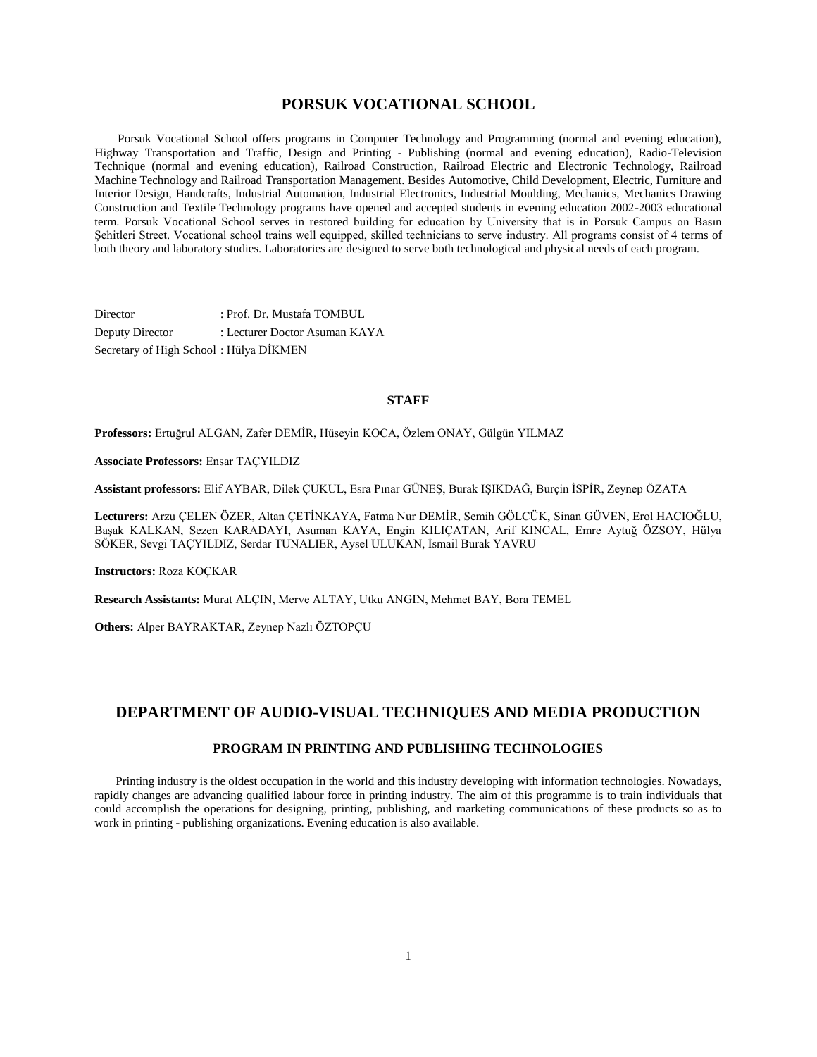## **PORSUK VOCATIONAL SCHOOL**

 Porsuk Vocational School offers programs in Computer Technology and Programming (normal and evening education), Highway Transportation and Traffic, Design and Printing - Publishing (normal and evening education), Radio-Television Technique (normal and evening education), Railroad Construction, Railroad Electric and Electronic Technology, Railroad Machine Technology and Railroad Transportation Management. Besides Automotive, Child Development, Electric, Furniture and Interior Design, Handcrafts, Industrial Automation, Industrial Electronics, Industrial Moulding, Mechanics, Mechanics Drawing Construction and Textile Technology programs have opened and accepted students in evening education 2002-2003 educational term. Porsuk Vocational School serves in restored building for education by University that is in Porsuk Campus on Basın Şehitleri Street. Vocational school trains well equipped, skilled technicians to serve industry. All programs consist of 4 terms of both theory and laboratory studies. Laboratories are designed to serve both technological and physical needs of each program.

Director : Prof. Dr. Mustafa TOMBUL Deputy Director : Lecturer Doctor Asuman KAYA Secretary of High School : Hülya DİKMEN

#### **STAFF**

**Professors:** Ertuğrul ALGAN, Zafer DEMİR, Hüseyin KOCA, Özlem ONAY, Gülgün YILMAZ

**Associate Professors:** Ensar TAÇYILDIZ

**Assistant professors:** Elif AYBAR, Dilek ÇUKUL, Esra Pınar GÜNEŞ, Burak IŞIKDAĞ, Burçin İSPİR, Zeynep ÖZATA

**Lecturers:** Arzu ÇELEN ÖZER, Altan ÇETİNKAYA, Fatma Nur DEMİR, Semih GÖLCÜK, Sinan GÜVEN, Erol HACIOĞLU, Başak KALKAN, Sezen KARADAYI, Asuman KAYA, Engin KILIÇATAN, Arif KINCAL, Emre Aytuğ ÖZSOY, Hülya SÖKER, Sevgi TAÇYILDIZ, Serdar TUNALIER, Aysel ULUKAN, İsmail Burak YAVRU

**Instructors:** Roza KOÇKAR

**Research Assistants:** Murat ALÇIN, Merve ALTAY, Utku ANGIN, Mehmet BAY, Bora TEMEL

**Others:** Alper BAYRAKTAR, Zeynep Nazlı ÖZTOPÇU

## **DEPARTMENT OF AUDIO-VISUAL TECHNIQUES AND MEDIA PRODUCTION**

## **PROGRAM IN PRINTING AND PUBLISHING TECHNOLOGIES**

 Printing industry is the oldest occupation in the world and this industry developing with information technologies. Nowadays, rapidly changes are advancing qualified labour force in printing industry. The aim of this programme is to train individuals that could accomplish the operations for designing, printing, publishing, and marketing communications of these products so as to work in printing - publishing organizations. Evening education is also available.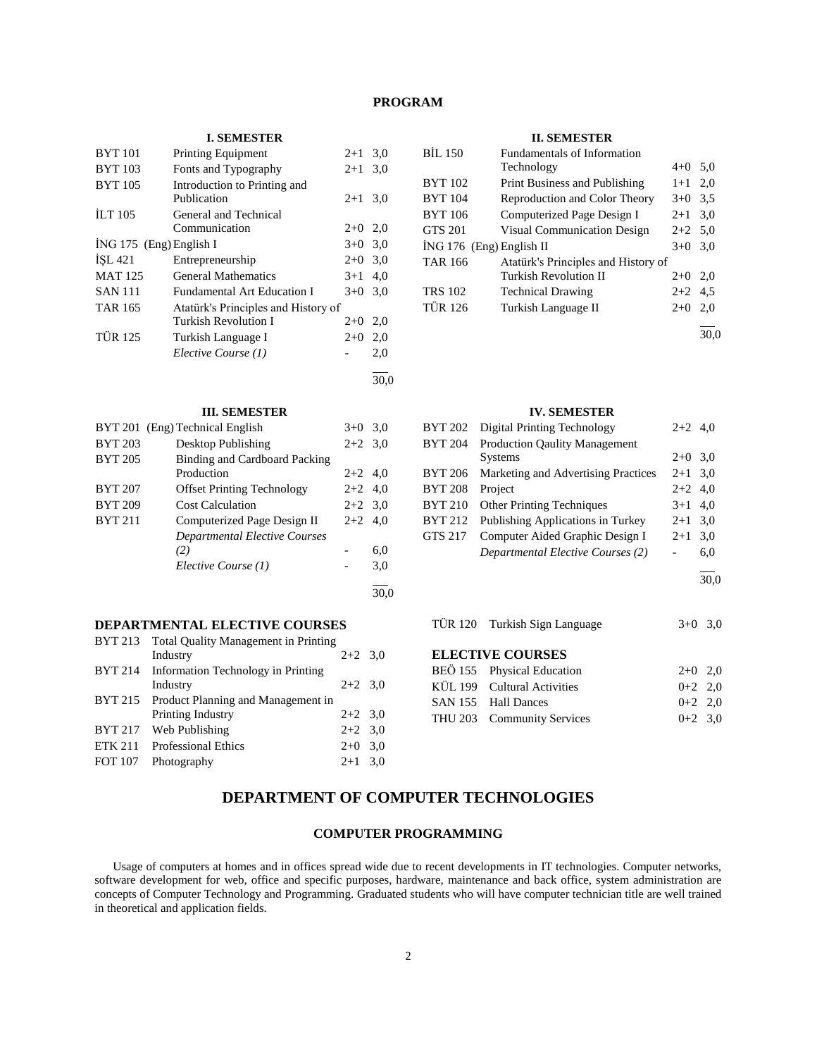## **PROGRAM**

## **I. SEMESTER**

| <b>BYT 101</b>            | <b>Printing Equipment</b>           | $2+1$     | 3,0  |
|---------------------------|-------------------------------------|-----------|------|
| <b>BYT</b> 103            | Fonts and Typography                | $2+1$     | 3,0  |
| <b>BYT 105</b>            | Introduction to Printing and        |           |      |
|                           | Publication                         | $2+1$     | 3,0  |
| ILT <sub>105</sub>        | General and Technical               |           |      |
|                           | Communication                       | $2+0$ 2,0 |      |
| $ING 175$ (Eng) English I |                                     | $3+0$     | 3,0  |
| <b>ISL 421</b>            | Entrepreneurship                    | $2+0$ 3.0 |      |
| <b>MAT 125</b>            | <b>General Mathematics</b>          | $3+1$     | 4,0  |
| <b>SAN 111</b>            | <b>Fundamental Art Education I</b>  | $3+0$     | 3,0  |
| <b>TAR 165</b>            | Atatürk's Principles and History of |           |      |
|                           | <b>Turkish Revolution I</b>         | $2+0$     | 2,0  |
| <b>TÜR 125</b>            | Turkish Language I                  | $2+0$     | 2,0  |
|                           | Elective Course (1)                 |           | 2,0  |
|                           |                                     |           | 30,0 |

## **III. SEMESTER**

|                | BYT 201 (Eng) Technical English   | $3+0$     | 3,0 |
|----------------|-----------------------------------|-----------|-----|
| <b>BYT 203</b> | Desktop Publishing                | $2+2$ 3.0 |     |
| <b>BYT 205</b> | Binding and Cardboard Packing     |           |     |
|                | Production                        | $2+2$ 4,0 |     |
| <b>BYT 207</b> | <b>Offset Printing Technology</b> | $2+2$ 4,0 |     |
| <b>BYT 209</b> | <b>Cost Calculation</b>           | $2+2$ 3.0 |     |
| <b>BYT 211</b> | Computerized Page Design II       | $2+2$     | 4.0 |
|                | Departmental Elective Courses     |           |     |
|                | (2)                               |           | 6,0 |
|                | Elective Course (1)               |           | 3,0 |
|                |                                   |           |     |

## **DEPARTMENTAL ELECTIVE COURSES**

|                | BYT 213 Total Quality Management in Printing |           |  |
|----------------|----------------------------------------------|-----------|--|
|                | Industry                                     | $2+2$ 3.0 |  |
| BYT 214        | Information Technology in Printing           |           |  |
|                | Industry                                     | $2+2$ 3.0 |  |
|                | BYT 215 Product Planning and Management in   |           |  |
|                | Printing Industry                            | $2+2$ 3.0 |  |
|                | BYT 217 Web Publishing                       | $2+2$ 3.0 |  |
| <b>ETK 211</b> | <b>Professional Ethics</b>                   | $2+0$ 3,0 |  |
| FOT 107        | Photography                                  | $2+1$ 3.0 |  |
|                |                                              |           |  |

#### **II. SEMESTER**

| <b>BİL 150</b> | Fundamentals of Information         |           |     |
|----------------|-------------------------------------|-----------|-----|
|                | Technology                          | $4+0$ 5,0 |     |
| <b>BYT 102</b> | Print Business and Publishing       | $1+1$ 2,0 |     |
| <b>BYT 104</b> | Reproduction and Color Theory       | $3+0$ 3.5 |     |
| <b>BYT 106</b> | Computerized Page Design I          | $2 + 1$   | 3,0 |
| <b>GTS 201</b> | <b>Visual Communication Design</b>  | $2+2$ 5,0 |     |
|                | $ING 176$ (Eng) English II          | $3+0$     | 3,0 |
| <b>TAR 166</b> | Atatürk's Principles and History of |           |     |
|                | Turkish Revolution II               | $2+0$     | 2.0 |
| <b>TRS 102</b> | <b>Technical Drawing</b>            | $2+2$ 4.5 |     |
| <b>TÜR 126</b> | Turkish Language II                 | $2+0$     | 2.0 |
|                |                                     |           |     |

30,0

#### **IV. SEMESTER**

| <b>BYT 202</b> | <b>Digital Printing Technology</b>       | $2+2$ 4.0 |     |
|----------------|------------------------------------------|-----------|-----|
| <b>BYT 204</b> | <b>Production Qaulity Management</b>     |           |     |
|                | <b>Systems</b>                           | $2+0$ 3.0 |     |
| <b>BYT 206</b> | Marketing and Advertising Practices      | $2+1$ 3,0 |     |
| <b>BYT 208</b> | Project                                  | $2+2$ 4.0 |     |
| <b>BYT 210</b> | <b>Other Printing Techniques</b>         | $3+1$ 4,0 |     |
| <b>BYT 212</b> | Publishing Applications in Turkey        | $2+1$     | 3,0 |
| <b>GTS 217</b> | Computer Aided Graphic Design I          | $2+1$     | 3,0 |
|                | <b>Departmental Elective Courses (2)</b> |           | 6,0 |
|                |                                          |           |     |

 $\overline{30,0}$ 

TÜR 120 Turkish Sign Language 3+0 3,0

## **ELECTIVE COURSES**

| BEÖ 155 Physical Education  | $2+0$ 2.0 |  |
|-----------------------------|-----------|--|
| KÜL 199 Cultural Activities | $0+2$ 2.0 |  |
| SAN 155 Hall Dances         | $0+2$ 2.0 |  |
| THU 203 Community Services  | $0+2$ 3.0 |  |

# **DEPARTMENT OF COMPUTER TECHNOLOGIES**

30,0

## **COMPUTER PROGRAMMING**

 Usage of computers at homes and in offices spread wide due to recent developments in IT technologies. Computer networks, software development for web, office and specific purposes, hardware, maintenance and back office, system administration are concepts of Computer Technology and Programming. Graduated students who will have computer technician title are well trained in theoretical and application fields.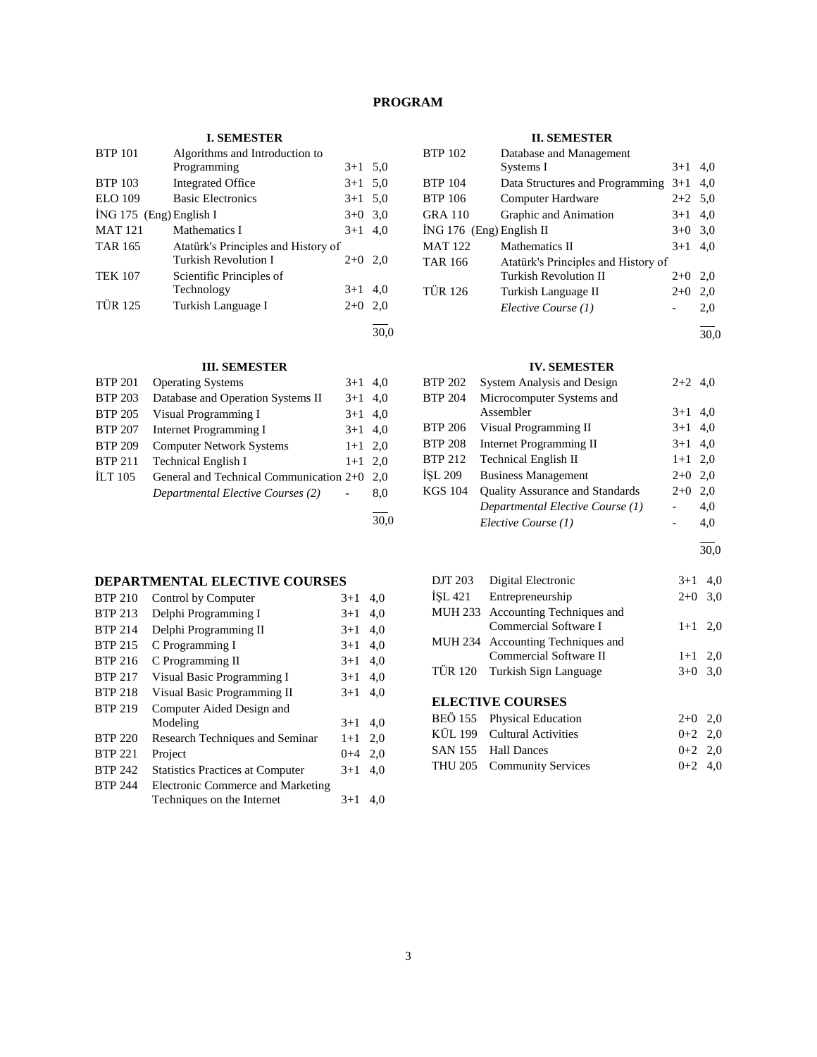# **PROGRAM**

## **I. SEMESTER**

| <b>BTP 101</b>            | Algorithms and Introduction to      |           |     |
|---------------------------|-------------------------------------|-----------|-----|
|                           | Programming                         | $3+1$     | 5,0 |
| <b>BTP 103</b>            | <b>Integrated Office</b>            | $3+1$ 5.0 |     |
| <b>ELO</b> 109            | <b>Basic Electronics</b>            | $3+1$     | 5,0 |
| $ING 175$ (Eng) English I |                                     | $3+0$     | 3,0 |
| <b>MAT121</b>             | Mathematics I                       | $3+1$     | 4.0 |
| <b>TAR 165</b>            | Atatürk's Principles and History of |           |     |
|                           | Turkish Revolution I                | $2+0$     | 2.0 |
| <b>TEK 107</b>            | Scientific Principles of            |           |     |
|                           | Technology                          | $3+1$     | 4.0 |
| <b>TÜR 125</b>            | Turkish Language I                  | $2+0$     | 2,0 |
|                           |                                     |           |     |
|                           |                                     |           |     |

## **III. SEMESTER**

| <b>BTP 201</b> | <b>Operating Systems</b>                | $3+1$     | 4.0 |
|----------------|-----------------------------------------|-----------|-----|
| <b>BTP 203</b> | Database and Operation Systems II       | $3+1$     | 4.0 |
| <b>BTP 205</b> | Visual Programming I                    | $3+1$     | 4,0 |
| <b>BTP 207</b> | Internet Programming I                  | $3+1$ 4.0 |     |
| <b>BTP 209</b> | <b>Computer Network Systems</b>         | $1+1$ 2.0 |     |
| <b>BTP 211</b> | <b>Technical English I</b>              | $1 + 1$   | 2.0 |
| ILT $105$      | General and Technical Communication 2+0 |           | 2.0 |
|                | Departmental Elective Courses (2)       |           | 8.0 |
|                |                                         |           |     |

#### 30,0

## **DEPARTMENTAL ELECTIVE COURSES**

| <b>BTP 210</b> | Control by Computer                     | $3+1$   | 4.0 |
|----------------|-----------------------------------------|---------|-----|
| <b>BTP 213</b> | Delphi Programming I                    | $3+1$   | 4,0 |
| <b>BTP 214</b> | Delphi Programming II                   | $3+1$   | 4.0 |
| <b>BTP 215</b> | C Programming I                         | $3+1$   | 4,0 |
| <b>BTP 216</b> | C Programming II                        | $3+1$   | 4,0 |
| <b>BTP 217</b> | Visual Basic Programming I              | $3+1$   | 4,0 |
| <b>BTP 218</b> | Visual Basic Programming II             | $3+1$   | 4,0 |
| <b>BTP 219</b> | Computer Aided Design and               |         |     |
|                | Modeling                                | $3+1$   | 4.0 |
| <b>BTP 220</b> | Research Techniques and Seminar         | $1+1$   | 2,0 |
| <b>BTP 221</b> | Project                                 | $0 + 4$ | 2.0 |
| <b>BTP 242</b> | <b>Statistics Practices at Computer</b> | $3+1$   | 4,0 |
| <b>BTP 244</b> | Electronic Commerce and Marketing       |         |     |
|                | Techniques on the Internet              | $3+1$   | 4.0 |

## **II. SEMESTER**

| <b>BTP 102</b>             | Database and Management             |           |     |
|----------------------------|-------------------------------------|-----------|-----|
|                            | Systems I                           | $3+1$     | 4.0 |
| <b>BTP 104</b>             | Data Structures and Programming     | $3+1$     | 4.0 |
| <b>BTP 106</b>             | Computer Hardware                   | $2+2$ 5.0 |     |
| <b>GRA 110</b>             | Graphic and Animation               | $3+1$     | 4,0 |
| $ING 176$ (Eng) English II |                                     | $3+0$ 3.0 |     |
| <b>MAT 122</b>             | Mathematics II                      | $3+1$     | 4.0 |
| <b>TAR 166</b>             | Atatürk's Principles and History of |           |     |
|                            | Turkish Revolution II               | $2+0$     | 2.0 |
| <b>TÜR 126</b>             | Turkish Language II                 | $2+0$     | 2,0 |
|                            | Elective Course (1)                 |           | 2.0 |
|                            |                                     |           |     |

30,0

## **IV. SEMESTER**

| <b>BTP 202</b> | <b>System Analysis and Design</b>      | $2+2$ 4,0 |     |
|----------------|----------------------------------------|-----------|-----|
| <b>BTP 204</b> | Microcomputer Systems and              |           |     |
|                | Assembler                              | $3 + 1$   | 4,0 |
| <b>BTP 206</b> | Visual Programming II                  | $3+1$ 4.0 |     |
| <b>BTP 208</b> | <b>Internet Programming II</b>         | $3+1$ 4.0 |     |
| <b>BTP 212</b> | <b>Technical English II</b>            | $1+1$ 2,0 |     |
| İSL 209        | <b>Business Management</b>             | $2+0$ 2,0 |     |
| <b>KGS 104</b> | <b>Quality Assurance and Standards</b> | $2+0$     | 2,0 |
|                | Departmental Elective Course (1)       |           | 4,0 |
|                | Elective Course (1)                    |           | 4,0 |
|                |                                        |           |     |

30,0

| DJT 203 Digital Electronic        | $3+1$ 4,0 |  |
|-----------------------------------|-----------|--|
| ISL 421 Entrepreneurship          | $2+0$ 3,0 |  |
| MUH 233 Accounting Techniques and |           |  |
| Commercial Software I             | $1+1$ 2,0 |  |
| MUH 234 Accounting Techniques and |           |  |
| Commercial Software II            | $1+1$ 2,0 |  |
| TÜR 120 Turkish Sign Language     | $3+0$ 3.0 |  |

| BEÖ 155 Physical Education  | $2+0$ 2.0 |  |
|-----------------------------|-----------|--|
| KÜL 199 Cultural Activities | $0+2$ 2.0 |  |
| SAN 155 Hall Dances         | $0+2$ 2.0 |  |
| THU 205 Community Services  | $0+2$ 4.0 |  |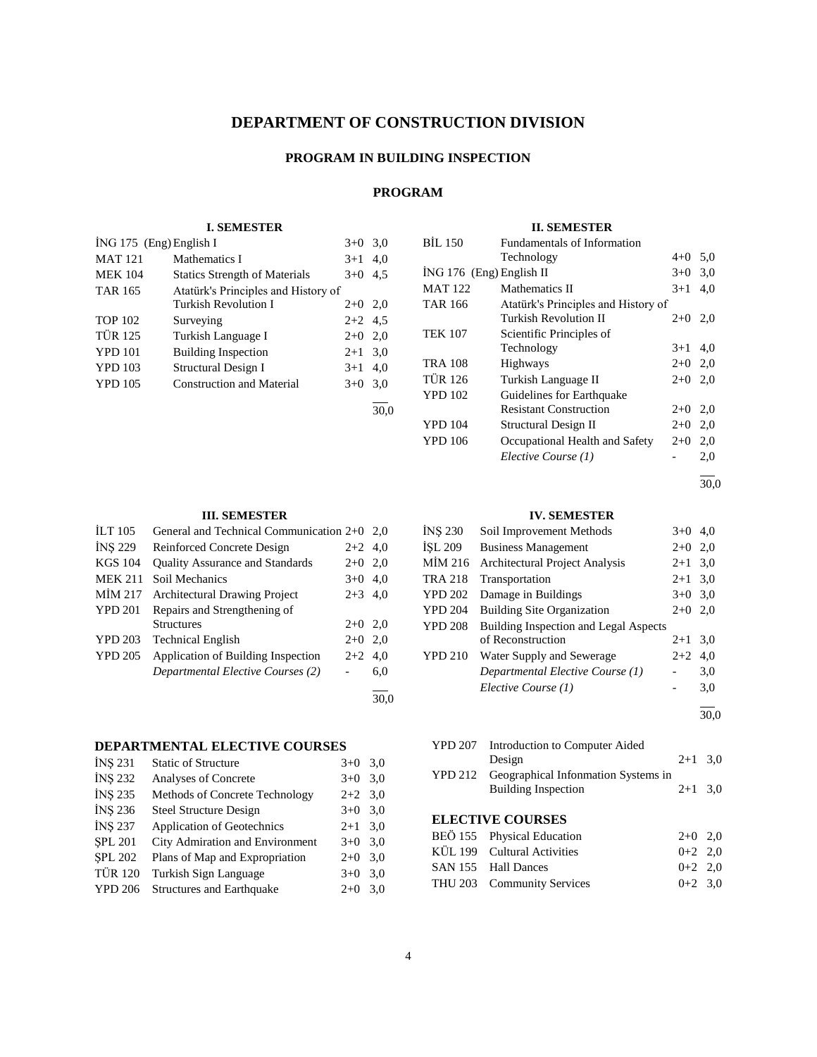# **DEPARTMENT OF CONSTRUCTION DIVISION**

## **PROGRAM IN BUILDING INSPECTION**

# **PROGRAM**

30,0

30,0

## **I. SEMESTER**

| İNG 175 (Eng) English I |                                      | $3+0$     | 3,0 |
|-------------------------|--------------------------------------|-----------|-----|
| <b>MAT 121</b>          | Mathematics I                        | $3+1$     | 4,0 |
| <b>MEK 104</b>          | <b>Statics Strength of Materials</b> | $3+0$     | 4.5 |
| <b>TAR 165</b>          | Atatürk's Principles and History of  |           |     |
|                         | <b>Turkish Revolution I</b>          | $2+0$ 2,0 |     |
| <b>TOP 102</b>          | Surveying                            | $2+2$ 4.5 |     |
| <b>TÜR 125</b>          | Turkish Language I                   | $2+0$ 2,0 |     |
| <b>YPD 101</b>          | <b>Building Inspection</b>           | $2 + 1$   | 3,0 |
| <b>YPD 103</b>          | <b>Structural Design I</b>           | $3+1$     | 4,0 |
| <b>YPD 105</b>          | <b>Construction and Material</b>     | $3+0$     | 3,0 |
|                         |                                      |           |     |

## **III. SEMESTER**

| <b>ILT 105</b> | General and Technical Communication 2+0 2,0 |           |     |
|----------------|---------------------------------------------|-----------|-----|
| <b>INS 229</b> | Reinforced Concrete Design                  | $2+2$ 4,0 |     |
| <b>KGS 104</b> | <b>Quality Assurance and Standards</b>      | $2+0$     | 2,0 |
| <b>MEK 211</b> | Soil Mechanics                              | $3+0$ 4.0 |     |
| MİM 217        | <b>Architectural Drawing Project</b>        | $2+3$ 4,0 |     |
| <b>YPD 201</b> | Repairs and Strengthening of                |           |     |
|                | <b>Structures</b>                           | $2+0$ 2,0 |     |
| <b>YPD 203</b> | <b>Technical English</b>                    | $2+0$     | 2,0 |
| <b>YPD 205</b> | Application of Building Inspection          | $2+2$     | 4,0 |
|                | Departmental Elective Courses (2)           |           | 6,0 |
|                |                                             |           |     |

## **DEPARTMENTAL ELECTIVE COURSES**

| INS 231        | <b>Static of Structure</b>       | $3+0$     | 3,0 |
|----------------|----------------------------------|-----------|-----|
| <b>INS 232</b> | Analyses of Concrete             | $3+0$     | 3,0 |
| <b>INS 235</b> | Methods of Concrete Technology   | $2+2$ 3.0 |     |
| <b>INS 236</b> | <b>Steel Structure Design</b>    | $3+0$     | 3,0 |
| <b>INS 237</b> | Application of Geotechnics       | $2+1$ 3.0 |     |
| <b>SPL 201</b> | City Admiration and Environment  | $3+0$     | 3,0 |
| <b>SPL 202</b> | Plans of Map and Expropriation   | $2+0$     | 3,0 |
| <b>TÜR 120</b> | Turkish Sign Language            | $3+0$     | 3,0 |
| <b>YPD 206</b> | <b>Structures and Earthquake</b> | $2+0$     | 3,0 |
|                |                                  |           |     |

## **II. SEMESTER**

| <b>BIL 150</b>             | Fundamentals of Information         |           |     |
|----------------------------|-------------------------------------|-----------|-----|
|                            | Technology                          | $4 + 0$   | 5,0 |
| $ING 176$ (Eng) English II |                                     | $3+0$     | 3,0 |
| <b>MAT 122</b>             | Mathematics II                      | $3+1$     | 4.0 |
| <b>TAR 166</b>             | Atatürk's Principles and History of |           |     |
|                            | Turkish Revolution II               | $2+0$ 2,0 |     |
| <b>TEK 107</b>             | Scientific Principles of            |           |     |
|                            | Technology                          | $3+1$     | 4,0 |
| <b>TRA 108</b>             | Highways                            | $2+0$ 2,0 |     |
| <b>TÜR 126</b>             | Turkish Language II                 | $2+0$ 2,0 |     |
| <b>YPD 102</b>             | Guidelines for Earthquake           |           |     |
|                            | <b>Resistant Construction</b>       | $2+0$     | 2,0 |
| <b>YPD 104</b>             | Structural Design II                | $2+0$     | 2,0 |
| <b>YPD 106</b>             | Occupational Health and Safety      | $2+0$     | 2,0 |
|                            | Elective Course (1)                 |           | 2,0 |
|                            |                                     |           |     |

30,0

#### **IV. SEMESTER**

| <b>INS 230</b> | Soil Improvement Methods              | $3+0$     | 4.0  |
|----------------|---------------------------------------|-----------|------|
| ISL 209        | <b>Business Management</b>            | $2+0$     | 2,0  |
| MIM 216        | <b>Architectural Project Analysis</b> | $2+1$     | 3,0  |
| <b>TRA 218</b> | Transportation                        | $2 + 1$   | 3,0  |
| <b>YPD 202</b> | Damage in Buildings                   | $3+0$ 3.0 |      |
| <b>YPD 204</b> | <b>Building Site Organization</b>     | $2+0$     | 2.0  |
| <b>YPD 208</b> | Building Inspection and Legal Aspects |           |      |
|                | of Reconstruction                     | $2+1$     | 3.0  |
| <b>YPD 210</b> | Water Supply and Sewerage             | $2+2$     | 4.0  |
|                | Departmental Elective Course (1)      |           | 3,0  |
|                | Elective Course (1)                   |           | 3.0  |
|                |                                       |           | 30.0 |

| YPD 207 | Introduction to Computer Aided              |           |  |
|---------|---------------------------------------------|-----------|--|
|         | Design                                      | $2+1$ 3.0 |  |
|         | YPD 212 Geographical Infonmation Systems in |           |  |
|         | <b>Building Inspection</b>                  | $2+1$ 3.0 |  |

| BEÖ 155 Physical Education  | $2+0$ 2.0 |  |
|-----------------------------|-----------|--|
| KÜL 199 Cultural Activities | $0+2$ 2.0 |  |
| SAN 155 Hall Dances         | $0+2$ 2.0 |  |
| THU 203 Community Services  | $0+2$ 3.0 |  |
|                             |           |  |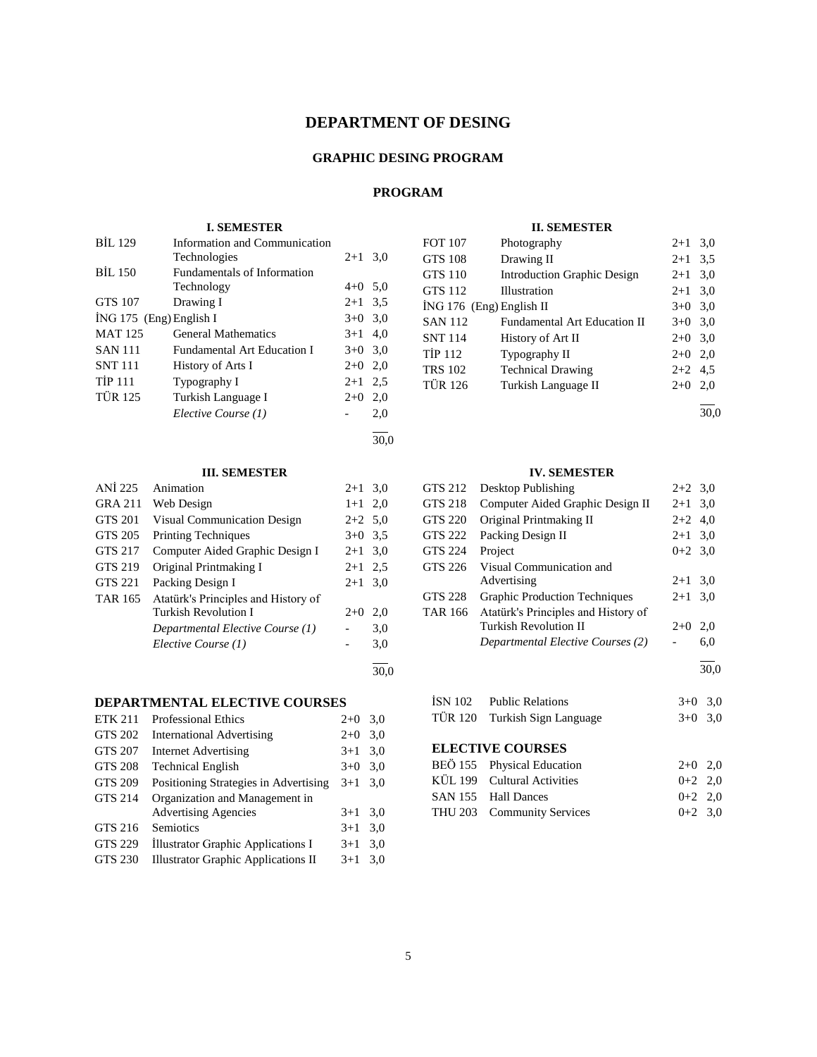# **DEPARTMENT OF DESING**

## **GRAPHIC DESING PROGRAM**

# **PROGRAM**

#### **I. SEMESTER**

| <b>BIL 129</b>            | Information and Communication      |           |     |
|---------------------------|------------------------------------|-----------|-----|
|                           | Technologies                       | $2 + 1$   | 3,0 |
| <b>BIL 150</b>            | <b>Fundamentals of Information</b> |           |     |
|                           | Technology                         | $4+0$ 5,0 |     |
| GTS 107                   | Drawing I                          | $2+1$ 3.5 |     |
| ING 175 $(Eng)$ English I |                                    | $3+0$ 3,0 |     |
| <b>MAT 125</b>            | <b>General Mathematics</b>         | $3+1$ 4,0 |     |
| <b>SAN 111</b>            | <b>Fundamental Art Education I</b> | $3+0$ 3.0 |     |
| <b>SNT</b> 111            | History of Arts I                  | $2+0$ 2,0 |     |
| <b>TİP 111</b>            | Typography I                       | $2+1$ 2,5 |     |
| <b>TÜR 125</b>            | Turkish Language I                 | $2+0$     | 2,0 |
|                           | Elective Course (1)                |           | 2,0 |
|                           |                                    |           |     |

#### 30,0

## **III. SEMESTER**

| ANI 225        | Animation                           | $2+1$     | 3,0  |
|----------------|-------------------------------------|-----------|------|
| <b>GRA 211</b> | Web Design                          | $1+1$ 2,0 |      |
| <b>GTS 201</b> | <b>Visual Communication Design</b>  | $2+2$ 5.0 |      |
| GTS 205        | <b>Printing Techniques</b>          | $3+0$ 3.5 |      |
| GTS 217        | Computer Aided Graphic Design I     | $2+1$ 3.0 |      |
| GTS 219        | Original Printmaking I              | $2+1$ 2.5 |      |
| GTS 221        | Packing Design I                    | $2+1$ 3.0 |      |
| <b>TAR 165</b> | Atatürk's Principles and History of |           |      |
|                | <b>Turkish Revolution I</b>         | $2+0$     | 2,0  |
|                | Departmental Elective Course (1)    |           | 3,0  |
|                | Elective Course (1)                 |           | 3,0  |
|                |                                     |           | 30.0 |

## **DEPARTMENTAL ELECTIVE COURSES**

| <b>ETK 211</b> | <b>Professional Ethics</b>                 | $2+0$ | 3,0 |
|----------------|--------------------------------------------|-------|-----|
| GTS 202        | <b>International Advertising</b>           | $2+0$ | 3,0 |
| <b>GTS 207</b> | <b>Internet Advertising</b>                | $3+1$ | 3.0 |
| <b>GTS 208</b> | <b>Technical English</b>                   | $3+0$ | 3,0 |
| <b>GTS 209</b> | Positioning Strategies in Advertising      | $3+1$ | 3.0 |
| GTS 214        | Organization and Management in             |       |     |
|                | <b>Advertising Agencies</b>                | $3+1$ | 3,0 |
| GTS 216        | <b>Semiotics</b>                           | $3+1$ | 3,0 |
| <b>GTS 229</b> | Illustrator Graphic Applications I         | $3+1$ | 3,0 |
| GTS 230        | <b>Illustrator Graphic Applications II</b> | $3+1$ | 3,0 |
|                |                                            |       |     |

#### **II. SEMESTER**

| <b>FOT 107</b>             | Photography                         | $2+1$     | 3,0 |
|----------------------------|-------------------------------------|-----------|-----|
| <b>GTS 108</b>             | Drawing II                          | $2 + 1$   | 3.5 |
| <b>GTS 110</b>             | <b>Introduction Graphic Design</b>  | $2 + 1$   | 3,0 |
| <b>GTS 112</b>             | <b>Illustration</b>                 | $2 + 1$   | 3,0 |
| $ING 176$ (Eng) English II |                                     | $3+0$     | 3,0 |
| <b>SAN 112</b>             | <b>Fundamental Art Education II</b> | $3+0$     | 3,0 |
| <b>SNT 114</b>             | History of Art II                   | $2+0$ 3,0 |     |
| <b>TIP 112</b>             | Typography II                       | $2+0$     | 2,0 |
| <b>TRS 102</b>             | <b>Technical Drawing</b>            | $2+2$ 4.5 |     |
| <b>TÜR 126</b>             | Turkish Language II                 | $2+0$     | 2,0 |
|                            |                                     |           |     |

30,0

### **IV. SEMESTER**

| GTS 212        | Desktop Publishing                   | $2+2$ 3.0 |     |
|----------------|--------------------------------------|-----------|-----|
| GTS 218        | Computer Aided Graphic Design II     | $2 + 1$   | 3.0 |
| GTS 220        | Original Printmaking II              | $2+2$     | 4.0 |
| GTS 222        | Packing Design II                    | $2 + 1$   | 3.0 |
| <b>GTS 224</b> | Project                              | $0+2$ 3.0 |     |
| GTS 226        | Visual Communication and             |           |     |
|                | Advertising                          | $2+1$     | 3.0 |
| <b>GTS 228</b> | <b>Graphic Production Techniques</b> | $2+1$     | 3,0 |
| <b>TAR 166</b> | Atatürk's Principles and History of  |           |     |
|                | Turkish Revolution II                | $2+0$     | 2.0 |
|                | Departmental Elective Courses (2)    |           | 6,0 |
|                |                                      |           |     |

| İSN 102 | <b>Public Relations</b>       | $3+0$ 3.0 |  |
|---------|-------------------------------|-----------|--|
|         | TÜR 120 Turkish Sign Language | $3+0$ 3.0 |  |

| BEÖ 155 Physical Education  | $2+0$ 2.0 |  |
|-----------------------------|-----------|--|
| KÜL 199 Cultural Activities | $0+2$ 2.0 |  |
| SAN 155 Hall Dances         | $0+2$ 2.0 |  |
| THU 203 Community Services  | $0+2$ 3.0 |  |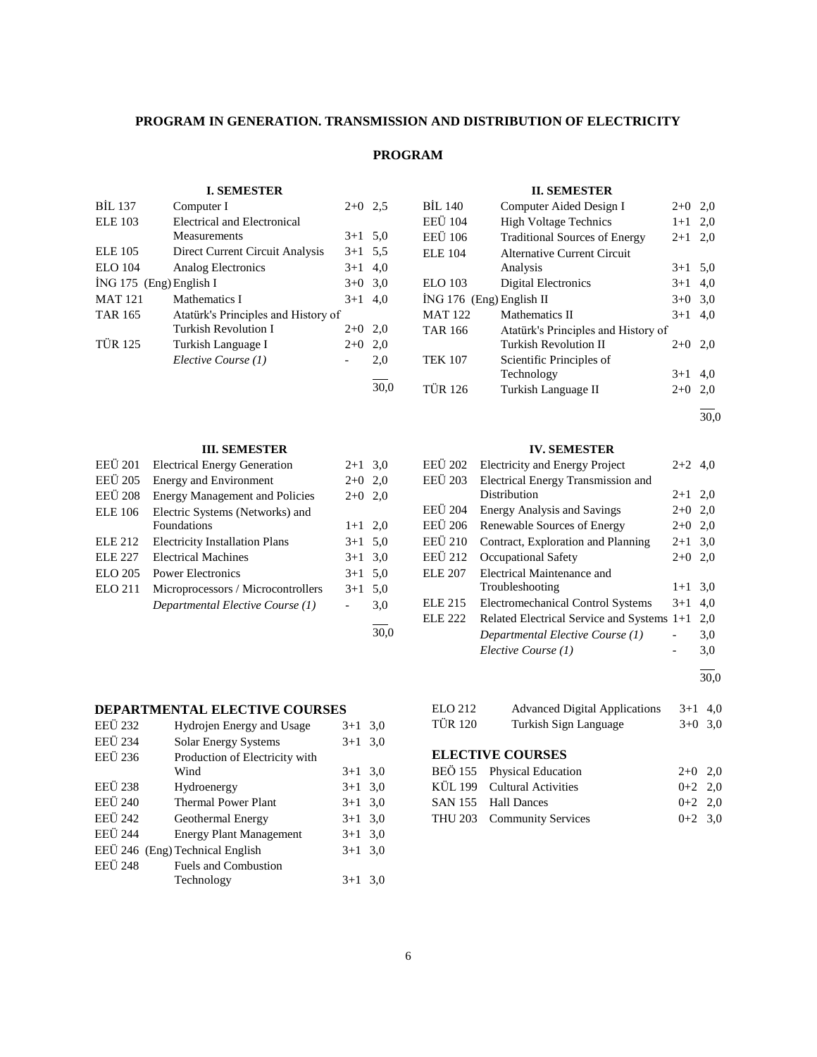## **PROGRAM IN GENERATION. TRANSMISSION AND DISTRIBUTION OF ELECTRICITY**

## **PROGRAM**

## **I. SEMESTER**

| <b>BIL 137</b>          | Computer I                          | $2+0$ 2.5 |      |
|-------------------------|-------------------------------------|-----------|------|
| <b>ELE</b> 103          | Electrical and Electronical         |           |      |
|                         | Measurements                        | $3+1$ 5.0 |      |
| <b>ELE</b> 105          | Direct Current Circuit Analysis     | $3+1$ 5,5 |      |
| <b>ELO</b> 104          | Analog Electronics                  | $3+1$     | 4,0  |
| İNG 175 (Eng) English I |                                     | $3+0$     | 3,0  |
| <b>MAT 121</b>          | Mathematics I                       | $3+1$     | 4.0  |
| <b>TAR 165</b>          | Atatürk's Principles and History of |           |      |
|                         | Turkish Revolution I                | $2+0$     | 2,0  |
| <b>TÜR 125</b>          | Turkish Language I                  | $2+0$     | 2,0  |
|                         | Elective Course (1)                 |           | 2,0  |
|                         |                                     |           | 30.0 |

## **III. SEMESTER**

| <b>EEÜ</b> 201 | <b>Electrical Energy Generation</b>   | $2 + 1$   | 3,0  |
|----------------|---------------------------------------|-----------|------|
| EEÜ 205        | <b>Energy and Environment</b>         | $2+0$     | 2,0  |
| <b>EEÜ</b> 208 | <b>Energy Management and Policies</b> | $2+0$     | 2,0  |
| <b>ELE</b> 106 | Electric Systems (Networks) and       |           |      |
|                | <b>Foundations</b>                    | $1+1$ 2,0 |      |
| <b>ELE 212</b> | <b>Electricity Installation Plans</b> | $3+1$ 5.0 |      |
| ELE 227        | <b>Electrical Machines</b>            | $3+1$     | 3,0  |
| <b>ELO 205</b> | Power Electronics                     | $3+1$     | 5,0  |
| <b>ELO 211</b> | Microprocessors / Microcontrollers    | $3+1$     | 5,0  |
|                | Departmental Elective Course (1)      |           | 3,0  |
|                |                                       |           | 30.0 |

## **DEPARTMENTAL ELECTIVE COURSES**

| <b>EEÜ 232</b> | Hydrojen Energy and Usage       | $3+1$     | 3,0 |
|----------------|---------------------------------|-----------|-----|
| <b>EEÜ 234</b> | <b>Solar Energy Systems</b>     | $3 + 1$   | 3,0 |
| EEÜ 236        | Production of Electricity with  |           |     |
|                | Wind                            | $3+1$ 3.0 |     |
| <b>EEÜ 238</b> | Hydroenergy                     | $3+1$ 3.0 |     |
| <b>EEÜ 240</b> | <b>Thermal Power Plant</b>      | $3+1$ 3.0 |     |
| <b>EEÜ</b> 242 | Geothermal Energy               | $3+1$     | 3,0 |
| <b>EEÜ</b> 244 | <b>Energy Plant Management</b>  | $3+1$ 3.0 |     |
|                | EEÜ 246 (Eng) Technical English | $3+1$ 3.0 |     |
| <b>EEÜ</b> 248 | <b>Fuels and Combustion</b>     |           |     |
|                | Technology                      | $3+1$     | 3.0 |
|                |                                 |           |     |

## **II. SEMESTER**

| <b>BIL 140</b>             | Computer Aided Design I              | $2+0$     | 2,0 |
|----------------------------|--------------------------------------|-----------|-----|
| <b>EEU</b> 104             | <b>High Voltage Technics</b>         | $1 + 1$   | 2,0 |
| EEU 106                    | <b>Traditional Sources of Energy</b> | $2+1$ 2,0 |     |
| <b>ELE 104</b>             | Alternative Current Circuit          |           |     |
|                            | Analysis                             | $3+1$     | 5,0 |
| <b>ELO</b> 103             | <b>Digital Electronics</b>           | $3+1$     | 4,0 |
| $ING 176$ (Eng) English II |                                      | $3+0$     | 3,0 |
| <b>MAT 122</b>             | Mathematics II                       | $3+1$     | 4.0 |
| TAR 166                    | Atatürk's Principles and History of  |           |     |
|                            | Turkish Revolution II                | $2+0$     | 2,0 |
| <b>TEK 107</b>             | Scientific Principles of             |           |     |
|                            | Technology                           | $3+1$     | 4,0 |
| <b>TÜR 126</b>             | Turkish Language II                  | $2+0$     | 2,0 |
|                            |                                      |           |     |

30,0

## **IV. SEMESTER**

| <b>EEU</b> 202 | <b>Electricity and Energy Project</b>      | $2+2$ 4.0 |     |
|----------------|--------------------------------------------|-----------|-----|
| <b>EEÜ 203</b> | Electrical Energy Transmission and         |           |     |
|                | Distribution                               | $2+1$ 2,0 |     |
| <b>EEU</b> 204 | <b>Energy Analysis and Savings</b>         | $2+0$ 2,0 |     |
| <b>EEÜ</b> 206 | Renewable Sources of Energy                | $2+0$ 2,0 |     |
| <b>EEÜ 210</b> | Contract, Exploration and Planning         | $2 + 1$   | 3,0 |
| EEÜ 212        | <b>Occupational Safety</b>                 | $2+0$     | 2,0 |
| ELE 207        | Electrical Maintenance and                 |           |     |
|                | Troubleshooting                            | $1+1$     | 3,0 |
| <b>ELE 215</b> | <b>Electromechanical Control Systems</b>   | $3+1$     | 4.0 |
| ELE 222        | Related Electrical Service and Systems 1+1 |           | 2,0 |
|                | Departmental Elective Course (1)           |           | 3,0 |
|                | Elective Course (1)                        |           | 3,0 |
|                |                                            |           |     |

 $\frac{1}{30,0}$ 

## ELO 212 Advanced Digital Applications 3+1 4,0 TÜR 120 Turkish Sign Language 3+0 3,0

| BEÖ 155 Physical Education  | $2+0$ 2.0 |  |
|-----------------------------|-----------|--|
| KÜL 199 Cultural Activities | $0+2$ 2.0 |  |
| SAN 155 Hall Dances         | $0+2$ 2.0 |  |
| THU 203 Community Services  | $0+2$ 3.0 |  |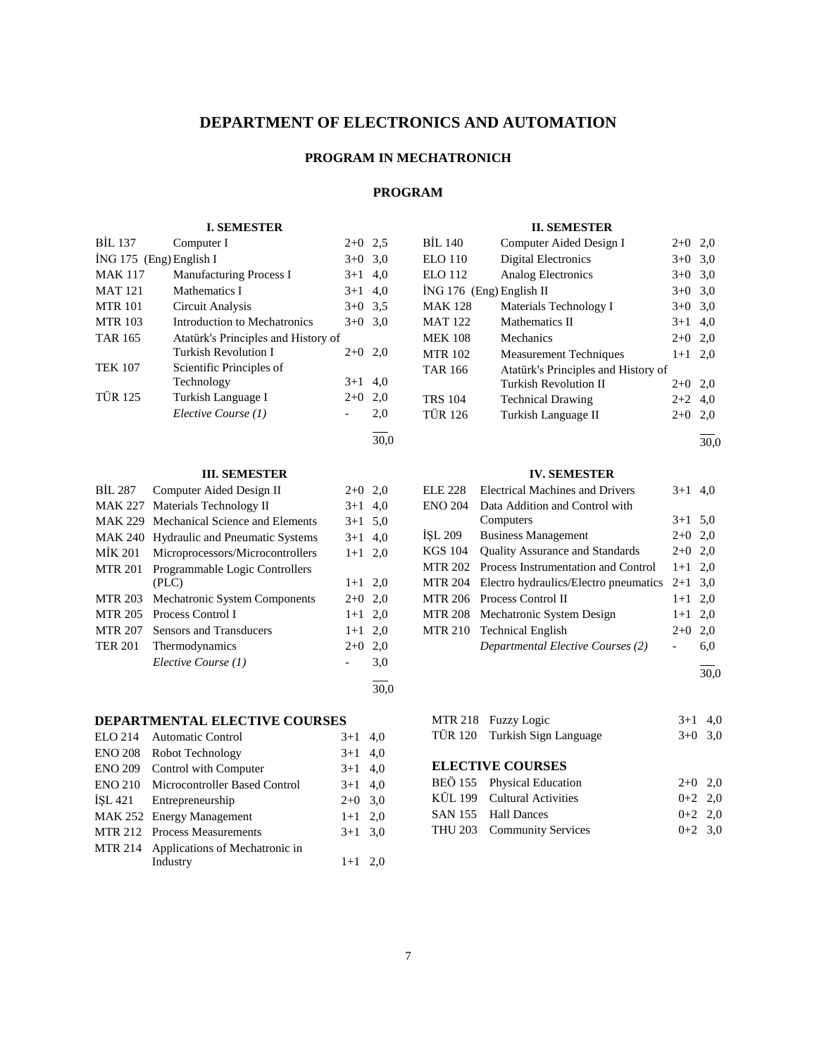# **DEPARTMENT OF ELECTRONICS AND AUTOMATION**

## **PROGRAM IN MECHATRONICH**

# **PROGRAM**

#### **I. SEMESTER**

| <b>BIL 137</b>            | Computer I                          | $2+0$ | 2.5 |
|---------------------------|-------------------------------------|-------|-----|
| $ING 175$ (Eng) English I |                                     | $3+0$ | 3,0 |
| <b>MAK 117</b>            | <b>Manufacturing Process I</b>      | $3+1$ | 4,0 |
| <b>MAT 121</b>            | Mathematics I                       | $3+1$ | 4.0 |
| <b>MTR 101</b>            | Circuit Analysis                    | $3+0$ | 3.5 |
| <b>MTR 103</b>            | Introduction to Mechatronics        | $3+0$ | 3.0 |
| <b>TAR 165</b>            | Atatürk's Principles and History of |       |     |
|                           | <b>Turkish Revolution I</b>         | $2+0$ | 2,0 |
| <b>TEK 107</b>            | Scientific Principles of            |       |     |
|                           | Technology                          | $3+1$ | 4.0 |
| <b>TÜR 125</b>            | Turkish Language I                  | $2+0$ | 2,0 |
|                           | Elective Course (1)                 |       | 2,0 |
|                           |                                     |       |     |

30,0

## **III. SEMESTER**

| <b>BIL 287</b> | Computer Aided Design II               | $2+0$     | 2,0  |
|----------------|----------------------------------------|-----------|------|
| <b>MAK 227</b> | Materials Technology II                | $3+1$     | 4,0  |
| <b>MAK 229</b> | Mechanical Science and Elements        | $3+1$     | 5,0  |
| <b>MAK 240</b> | <b>Hydraulic and Pneumatic Systems</b> | $3+1$     | 4.0  |
| MİK 201        | Microprocessors/Microcontrollers       | $1+1$     | 2,0  |
| MTR 201        | Programmable Logic Controllers         |           |      |
|                | (PLC)                                  | $1+1$ 2,0 |      |
| <b>MTR 203</b> | Mechatronic System Components          | $2+0$ 2,0 |      |
| <b>MTR 205</b> | Process Control I                      | $1+1$     | 2,0  |
| <b>MTR 207</b> | Sensors and Transducers                | $1+1$     | 2,0  |
| <b>TER 201</b> | Thermodynamics                         | $2+0$     | 2,0  |
|                | Elective Course (1)                    |           | 3,0  |
|                |                                        |           | 30.0 |

## **DEPARTMENTAL ELECTIVE COURSES**

|                | ELO 214 Automatic Control              | $3+1$ 4,0 |  |
|----------------|----------------------------------------|-----------|--|
|                | ENO 208 Robot Technology               | $3+1$ 4,0 |  |
| <b>ENO 209</b> | Control with Computer                  | $3+1$ 4,0 |  |
|                | ENO 210 Microcontroller Based Control  | $3+1$ 4,0 |  |
|                | ISL 421 Entrepreneurship               | $2+0$ 3.0 |  |
|                | MAK 252 Energy Management              | $1+1$ 2,0 |  |
|                | MTR 212 Process Measurements           | $3+1$ 3.0 |  |
|                | MTR 214 Applications of Mechatronic in |           |  |
|                | Industry                               | $1+1$ 2.0 |  |
|                |                                        |           |  |

| <b>II. SEMESTER</b>        |                                     |           |     |  |
|----------------------------|-------------------------------------|-----------|-----|--|
| BIL 140                    | Computer Aided Design I             | $2+0$ 2,0 |     |  |
| ELO 110                    | Digital Electronics                 | $3+0$ 3.0 |     |  |
| ELO 112                    | <b>Analog Electronics</b>           | $3+0$     | 3,0 |  |
| $ING 176$ (Eng) English II |                                     | $3+0$     | 3,0 |  |
| <b>MAK 128</b>             | Materials Technology I              | $3+0$     | 3,0 |  |
| <b>MAT 122</b>             | Mathematics II                      | $3+1$     | 4,0 |  |
| <b>MEK 108</b>             | Mechanics                           | $2+0$ 2,0 |     |  |
| <b>MTR 102</b>             | <b>Measurement Techniques</b>       | $1+1$     | 2.0 |  |
| <b>TAR 166</b>             | Atatürk's Principles and History of |           |     |  |
|                            | Turkish Revolution II               | $2+0$     | 2.0 |  |
| <b>TRS 104</b>             | <b>Technical Drawing</b>            | $2+2$     | 4,0 |  |
| <b>TÜR 126</b>             | Turkish Language II                 | $2+0$     | 2,0 |  |
|                            |                                     |           |     |  |

30,0

## **IV. SEMESTER**

| <b>ELE 228</b> | <b>Electrical Machines and Drivers</b>          | $3+1$     | 4.0 |
|----------------|-------------------------------------------------|-----------|-----|
| <b>ENO 204</b> | Data Addition and Control with                  |           |     |
|                | Computers                                       | $3+1$ 5.0 |     |
| ISL 209        | <b>Business Management</b>                      | $2+0$ 2,0 |     |
| KGS 104        | <b>Quality Assurance and Standards</b>          | $2+0$ 2,0 |     |
| <b>MTR 202</b> | Process Instrumentation and Control             | $1+1$ 2,0 |     |
| <b>MTR 204</b> | Electro hydraulics/Electro pneumatics $2+1$ 3.0 |           |     |
| <b>MTR 206</b> | Process Control II                              | $1+1$ 2,0 |     |
| <b>MTR 208</b> | Mechatronic System Design                       | $1+1$ 2,0 |     |
|                | MTR 210 Technical English                       | $2+0$     | 2,0 |
|                | Departmental Elective Courses (2)               |           | 6,0 |
|                |                                                 |           |     |

30,0

| MTR 218 Fuzzy Logic           | $3+1$ 4.0 |  |
|-------------------------------|-----------|--|
| TÜR 120 Turkish Sign Language | $3+0$ 3.0 |  |

| BEÖ 155 Physical Education  | $2+0$ 2.0 |  |
|-----------------------------|-----------|--|
| KÜL 199 Cultural Activities | $0+2$ 2.0 |  |
| SAN 155 Hall Dances         | $0+2$ 2.0 |  |
| THU 203 Community Services  | $0+2$ 3.0 |  |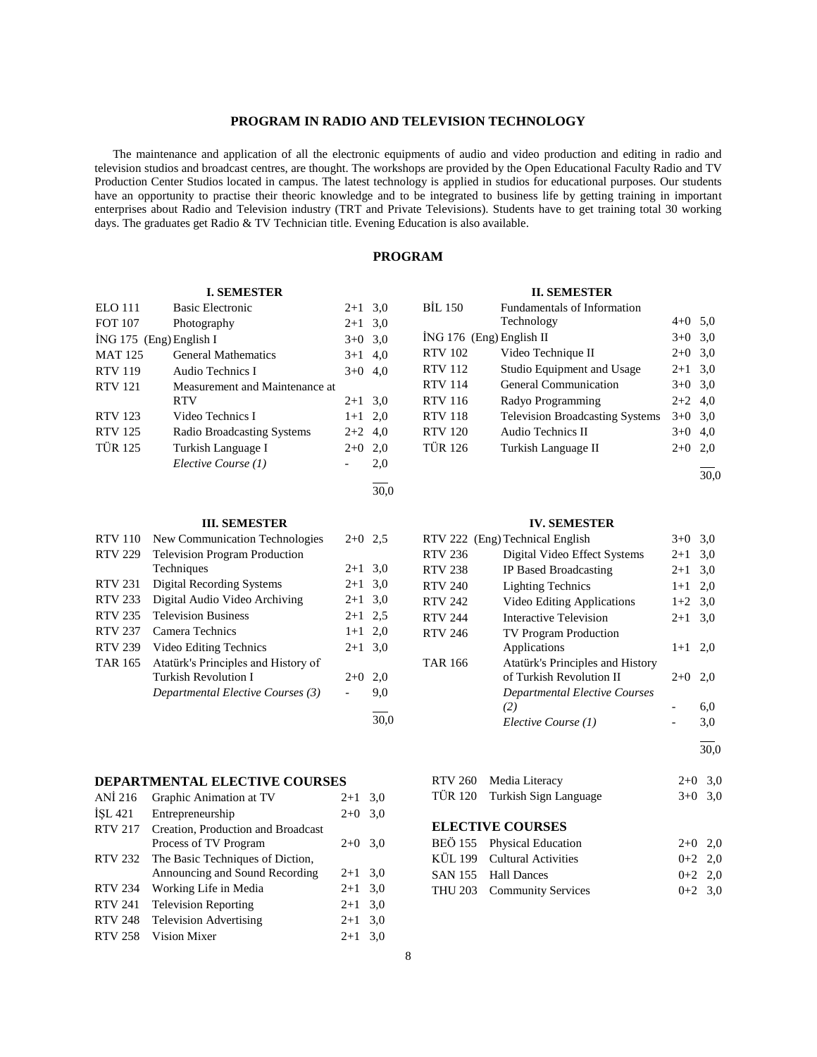## **PROGRAM IN RADIO AND TELEVISION TECHNOLOGY**

 The maintenance and application of all the electronic equipments of audio and video production and editing in radio and television studios and broadcast centres, are thought. The workshops are provided by the Open Educational Faculty Radio and TV Production Center Studios located in campus. The latest technology is applied in studios for educational purposes. Our students have an opportunity to practise their theoric knowledge and to be integrated to business life by getting training in important enterprises about Radio and Television industry (TRT and Private Televisions). Students have to get training total 30 working days. The graduates get Radio & TV Technician title. Evening Education is also available.

# **PROGRAM**

#### **II. SEMESTER**

| <b>ELO</b> 111          | <b>Basic Electronic</b>           | $2 + 1$ | 3,0  |
|-------------------------|-----------------------------------|---------|------|
| <b>FOT 107</b>          | Photography                       | $2 + 1$ | 3,0  |
| İNG 175 (Eng) English I |                                   | $3+0$   | 3,0  |
| <b>MAT125</b>           | <b>General Mathematics</b>        | $3+1$   | 4.0  |
| <b>RTV 119</b>          | Audio Technics I                  | $3+0$   | 4,0  |
| <b>RTV 121</b>          | Measurement and Maintenance at    |         |      |
|                         | <b>RTV</b>                        | $2+1$   | 3,0  |
| <b>RTV 123</b>          | Video Technics I                  | $1+1$   | 2,0  |
| <b>RTV 125</b>          | <b>Radio Broadcasting Systems</b> | $2+2$   | 4.0  |
| <b>TÜR 125</b>          | Turkish Language I                | $2+0$   | 2,0  |
|                         | Elective Course (1)               |         | 2,0  |
|                         |                                   |         | 30.0 |

**I. SEMESTER**

#### **III. SEMESTER**

| <b>RTV 110</b> | <b>New Communication Technologies</b> | $2+0$   | 2.5  |
|----------------|---------------------------------------|---------|------|
| <b>RTV 229</b> | <b>Television Program Production</b>  |         |      |
|                | Techniques                            | $2 + 1$ | 3,0  |
| <b>RTV 231</b> | <b>Digital Recording Systems</b>      | $2 + 1$ | 3,0  |
| <b>RTV 233</b> | Digital Audio Video Archiving         | $2+1$   | 3,0  |
| <b>RTV 235</b> | <b>Television Business</b>            | $2 + 1$ | 2.5  |
| <b>RTV 237</b> | Camera Technics                       | $1+1$   | 2.0  |
| <b>RTV 239</b> | Video Editing Technics                | $2+1$   | 3,0  |
| TAR 165        | Atatürk's Principles and History of   |         |      |
|                | <b>Turkish Revolution I</b>           | $2+0$   | 2.0  |
|                | Departmental Elective Courses (3)     |         | 9,0  |
|                |                                       |         | 30.0 |

#### **DEPARTMENTAL ELECTIVE COURSES**

| ANI 216        | Graphic Animation at TV            | $2 + 1$ | 3,0 |
|----------------|------------------------------------|---------|-----|
| ISL 421        | Entrepreneurship                   | $2+0$   | 3,0 |
| <b>RTV 217</b> | Creation, Production and Broadcast |         |     |
|                | Process of TV Program              | $2+0$   | 3,0 |
| <b>RTV 232</b> | The Basic Techniques of Diction,   |         |     |
|                | Announcing and Sound Recording     | $2+1$   | 3,0 |
| <b>RTV 234</b> | Working Life in Media              | $2 + 1$ | 3,0 |
| <b>RTV 241</b> | <b>Television Reporting</b>        | $2+1$   | 3,0 |
| <b>RTV 248</b> | <b>Television Advertising</b>      | $2+1$   | 3,0 |
| <b>RTV 258</b> | Vision Mixer                       | $2+1$   | 3.0 |

| <b>BIL 150</b>             | Fundamentals of Information            |           |  |
|----------------------------|----------------------------------------|-----------|--|
|                            | Technology                             | $4+0$ 5,0 |  |
| $ING 176$ (Eng) English II |                                        | $3+0$ 3.0 |  |
| <b>RTV 102</b>             | Video Technique II                     | $2+0$ 3.0 |  |
| <b>RTV 112</b>             | Studio Equipment and Usage             | $2+1$ 3.0 |  |
| <b>RTV 114</b>             | <b>General Communication</b>           | $3+0$ 3.0 |  |
| <b>RTV 116</b>             | Radyo Programming                      | $2+2$ 4,0 |  |
| <b>RTV 118</b>             | <b>Television Broadcasting Systems</b> | $3+0$ 3.0 |  |
| <b>RTV 120</b>             | Audio Technics II                      | $3+0$ 4,0 |  |
| <b>TÜR 126</b>             | Turkish Language II                    | $2+0$ 2,0 |  |
|                            |                                        |           |  |
|                            |                                        |           |  |

## **IV. SEMESTER**

|                | RTV 222 (Eng) Technical English  | $3+0$   | 3,0 |
|----------------|----------------------------------|---------|-----|
| <b>RTV 236</b> | Digital Video Effect Systems     | $2+1$   | 3,0 |
| <b>RTV 238</b> | IP Based Broadcasting            | $2+1$   | 3,0 |
| <b>RTV 240</b> | <b>Lighting Technics</b>         | $1 + 1$ | 2,0 |
| <b>RTV 242</b> | Video Editing Applications       | $1+2$   | 3,0 |
| <b>RTV 244</b> | Interactive Television           | $2 + 1$ | 3,0 |
| <b>RTV 246</b> | <b>TV Program Production</b>     |         |     |
|                | Applications                     | $1+1$   | 2.0 |
| <b>TAR 166</b> | Atatürk's Principles and History |         |     |
|                | of Turkish Revolution II         | $2+0$   | 2,0 |
|                | Departmental Elective Courses    |         |     |
|                | (2)                              |         | 6,0 |
|                | Elective Course (1)              |         | 3,0 |
|                |                                  |         |     |

30,0

## RTV 260 Media Literacy 2+0 3,0 TÜR 120 Turkish Sign Language 3+0 3,0

| BEÖ 155 Physical Education  | $2+0$ 2.0 |  |
|-----------------------------|-----------|--|
| KÜL 199 Cultural Activities | $0+2$ 2.0 |  |
| SAN 155 Hall Dances         | $0+2$ 2.0 |  |
| THU 203 Community Services  | $0+2$ 3.0 |  |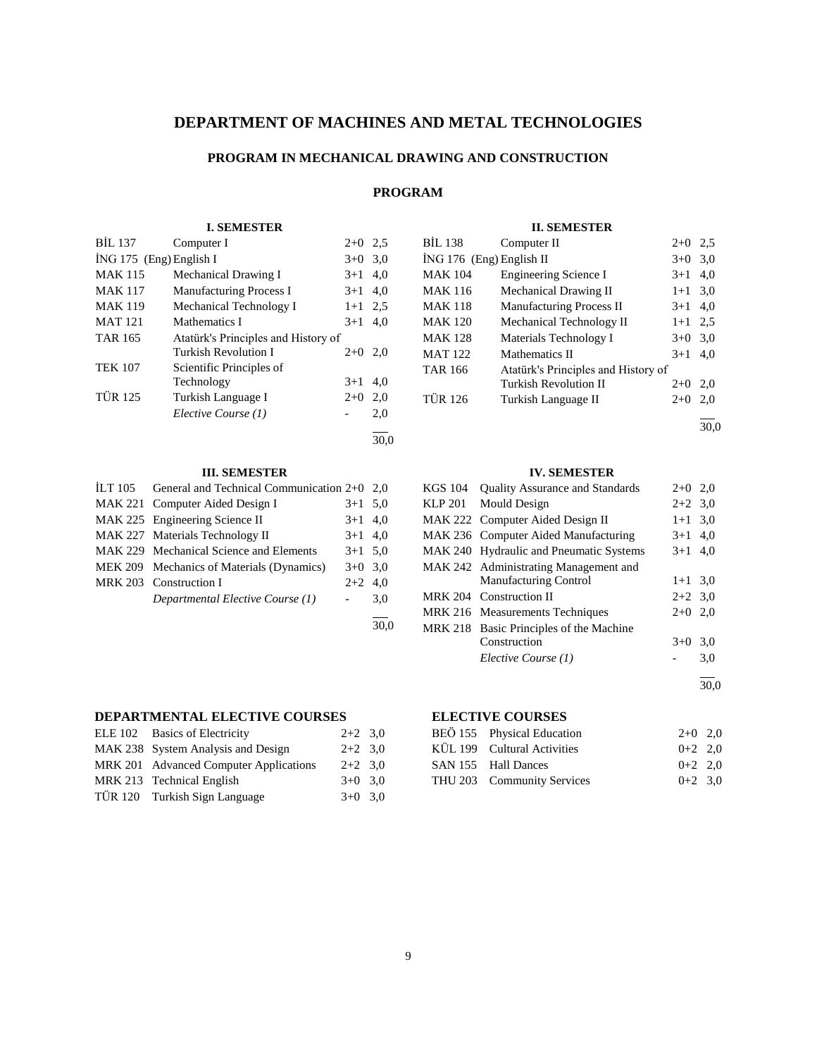# **DEPARTMENT OF MACHINES AND METAL TECHNOLOGIES**

## **PROGRAM IN MECHANICAL DRAWING AND CONSTRUCTION**

# **PROGRAM**

## **I. SEMESTER**

| BİL 137                   | Computer I                          | $2+0$     | 2.5 |
|---------------------------|-------------------------------------|-----------|-----|
| $ING 175$ (Eng) English I |                                     | $3+0$ 3.0 |     |
| <b>MAK 115</b>            | Mechanical Drawing I                | $3+1$     | 4,0 |
| <b>MAK 117</b>            | <b>Manufacturing Process I</b>      | $3+1$     | 4.0 |
| <b>MAK 119</b>            | Mechanical Technology I             | $1+1$ 2.5 |     |
| <b>MAT 121</b>            | Mathematics I                       | $3+1$     | 4.0 |
| <b>TAR 165</b>            | Atatürk's Principles and History of |           |     |
|                           | <b>Turkish Revolution I</b>         | $2+0$     | 2,0 |
| <b>TEK 107</b>            | Scientific Principles of            |           |     |
|                           | Technology                          | $3+1$     | 4.0 |
| <b>TÜR 125</b>            | Turkish Language I                  | $2+0$     | 2,0 |
|                           | Elective Course (1)                 |           | 2,0 |
|                           |                                     |           |     |

# 30,0

## **III. SEMESTER**

| ILT 105 General and Technical Communication $2+0$ 2,0 |           |      |
|-------------------------------------------------------|-----------|------|
| MAK 221 Computer Aided Design I                       | $3+1$ 5.0 |      |
| MAK 225 Engineering Science II                        | $3+1$ 4,0 |      |
| MAK 227 Materials Technology II                       | $3+1$ 4,0 |      |
| MAK 229 Mechanical Science and Elements               | $3+1$ 5.0 |      |
| MEK 209 Mechanics of Materials (Dynamics)             | $3+0$ 3.0 |      |
| MRK 203 Construction I                                | $2+2$ 4,0 |      |
| Departmental Elective Course (1)                      |           | 3,0  |
|                                                       |           | 30.0 |

## **DEPARTMENTAL ELECTIVE COURSES**

| ELE 102 Basics of Electricity          | $2+2$ 3.0 |  |
|----------------------------------------|-----------|--|
| MAK 238 System Analysis and Design     | $2+2$ 3.0 |  |
| MRK 201 Advanced Computer Applications | $2+2$ 3.0 |  |
| MRK 213 Technical English              | $3+0$ 3.0 |  |
| TÜR 120 Turkish Sign Language          | $3+0$ 3.0 |  |

## **II. SEMESTER**

| BİL 138                    | Computer II                         | $2+0$     | 2.5 |
|----------------------------|-------------------------------------|-----------|-----|
| $ING 176$ (Eng) English II |                                     | $3+0$     | 3,0 |
| <b>MAK 104</b>             | <b>Engineering Science I</b>        | $3+1$     | 4,0 |
| <b>MAK 116</b>             | Mechanical Drawing II               | $1 + 1$   | 3,0 |
| <b>MAK 118</b>             | <b>Manufacturing Process II</b>     | $3+1$ 4,0 |     |
| <b>MAK 120</b>             | Mechanical Technology II            | $1 + 1$   | 2.5 |
| <b>MAK 128</b>             | Materials Technology I              | $3+0$     | 3,0 |
| <b>MAT 122</b>             | Mathematics II                      | $3+1$     | 4,0 |
| <b>TAR 166</b>             | Atatürk's Principles and History of |           |     |
|                            | <b>Turkish Revolution II</b>        | $2+0$     | 2,0 |
| <b>TÜR 126</b>             | Turkish Language II                 | $2+0$     | 2,0 |
|                            |                                     |           |     |

30,0

### **IV. SEMESTER**

| KGS 104 | <b>Quality Assurance and Standards</b>  | $2+0$ 2,0 |     |
|---------|-----------------------------------------|-----------|-----|
|         | KLP 201 Mould Design                    | $2+2$ 3.0 |     |
|         | MAK 222 Computer Aided Design II        | $1+1$ 3,0 |     |
|         | MAK 236 Computer Aided Manufacturing    | $3+1$ 4,0 |     |
|         | MAK 240 Hydraulic and Pneumatic Systems | $3+1$ 4.0 |     |
|         | MAK 242 Administrating Management and   |           |     |
|         | <b>Manufacturing Control</b>            | $1+1$ 3,0 |     |
|         | MRK 204 Construction II                 | $2+2$ 3.0 |     |
|         | MRK 216 Measurements Techniques         | $2+0$ 2,0 |     |
|         | MRK 218 Basic Principles of the Machine |           |     |
|         | Construction                            | $3+0$     | 3.0 |
|         | Elective Course (1)                     |           | 3,0 |
|         |                                         |           |     |

30,0

| BEÖ 155 Physical Education  | $2+0$ 2,0 |  |
|-----------------------------|-----------|--|
| KÜL 199 Cultural Activities | $0+2$ 2,0 |  |
| SAN 155 Hall Dances         | $0+2$ 2.0 |  |
| THU 203 Community Services  | $0+2$ 3.0 |  |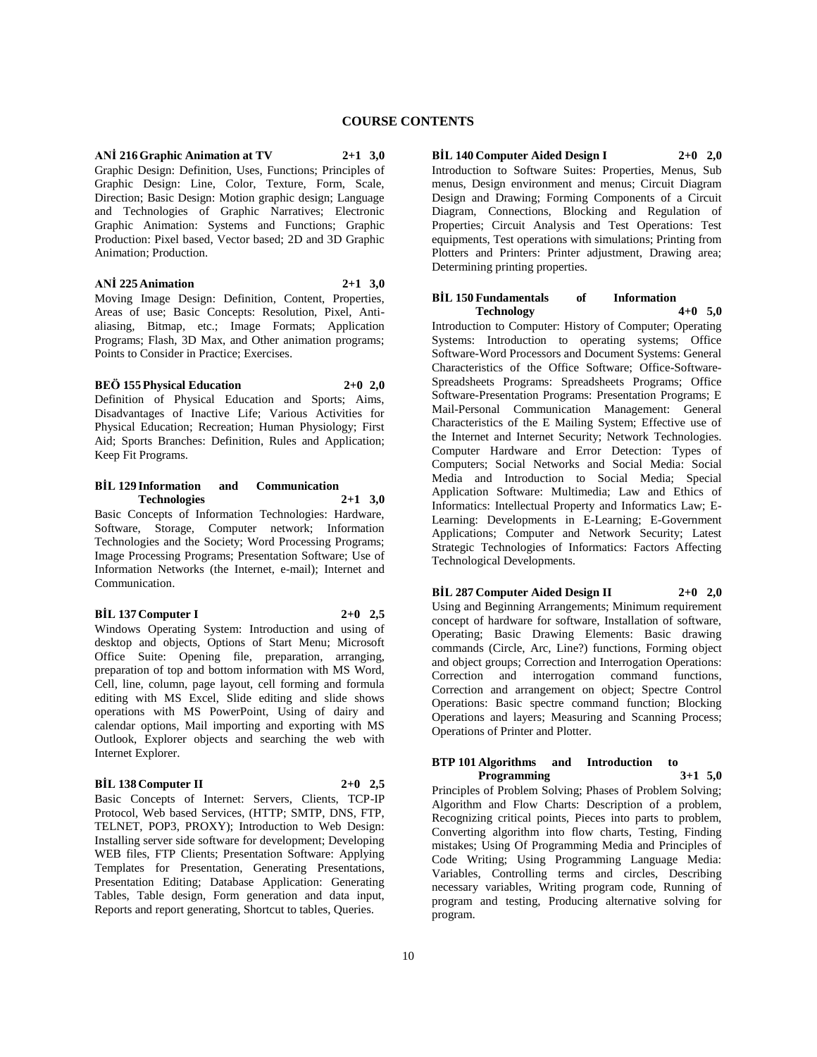**ANİ 216 Graphic Animation at TV 2+1 3,0** Graphic Design: Definition, Uses, Functions; Principles of Graphic Design: Line, Color, Texture, Form, Scale, Direction; Basic Design: Motion graphic design; Language and Technologies of Graphic Narratives; Electronic Graphic Animation: Systems and Functions; Graphic Production: Pixel based, Vector based; 2D and 3D Graphic Animation; Production.

**ANİ 225 Animation 2+1 3,0** Moving Image Design: Definition, Content, Properties, Areas of use; Basic Concepts: Resolution, Pixel, Anti-

aliasing, Bitmap, etc.; Image Formats; Application Programs; Flash, 3D Max, and Other animation programs; Points to Consider in Practice; Exercises.

## **BEÖ 155 Physical Education 2+0 2,0**

Definition of Physical Education and Sports; Aims, Disadvantages of Inactive Life; Various Activities for Physical Education; Recreation; Human Physiology; First Aid; Sports Branches: Definition, Rules and Application; Keep Fit Programs.

## **BİL 129 Information and Communication Technologies 2+1 3,0**

Basic Concepts of Information Technologies: Hardware, Software, Storage, Computer network; Information Technologies and the Society; Word Processing Programs; Image Processing Programs; Presentation Software; Use of Information Networks (the Internet, e-mail); Internet and Communication.

#### **BİL 137 Computer I 2+0 2,5**

Windows Operating System: Introduction and using of desktop and objects, Options of Start Menu; Microsoft Office Suite: Opening file, preparation, arranging, preparation of top and bottom information with MS Word, Cell, line, column, page layout, cell forming and formula editing with MS Excel, Slide editing and slide shows operations with MS PowerPoint, Using of dairy and calendar options, Mail importing and exporting with MS Outlook, Explorer objects and searching the web with Internet Explorer.

#### **BİL 138 Computer II 2+0 2,5**

Basic Concepts of Internet: Servers, Clients, TCP-IP Protocol, Web based Services, (HTTP; SMTP, DNS, FTP, TELNET, POP3, PROXY); Introduction to Web Design: Installing server side software for development; Developing WEB files, FTP Clients; Presentation Software: Applying Templates for Presentation, Generating Presentations, Presentation Editing; Database Application: Generating Tables, Table design, Form generation and data input, Reports and report generating, Shortcut to tables, Queries.

**BİL 140 Computer Aided Design I 2+0 2,0** Introduction to Software Suites: Properties, Menus, Sub menus, Design environment and menus; Circuit Diagram Design and Drawing; Forming Components of a Circuit Diagram, Connections, Blocking and Regulation of Properties; Circuit Analysis and Test Operations: Test equipments, Test operations with simulations; Printing from Plotters and Printers: Printer adjustment, Drawing area; Determining printing properties.

#### **BİL 150 Fundamentals of Information Technology 4+0 5,0**

Introduction to Computer: History of Computer; Operating Systems: Introduction to operating systems; Office Software-Word Processors and Document Systems: General Characteristics of the Office Software; Office-Software-Spreadsheets Programs: Spreadsheets Programs; Office Software-Presentation Programs: Presentation Programs; E Mail-Personal Communication Management: General Characteristics of the E Mailing System; Effective use of the Internet and Internet Security; Network Technologies. Computer Hardware and Error Detection: Types of Computers; Social Networks and Social Media: Social Media and Introduction to Social Media; Special Application Software: Multimedia; Law and Ethics of Informatics: Intellectual Property and Informatics Law; E-Learning: Developments in E-Learning; E-Government Applications; Computer and Network Security; Latest Strategic Technologies of Informatics: Factors Affecting Technological Developments.

## **BİL 287 Computer Aided Design II 2+0 2,0**

Using and Beginning Arrangements; Minimum requirement concept of hardware for software, Installation of software, Operating; Basic Drawing Elements: Basic drawing commands (Circle, Arc, Line?) functions, Forming object and object groups; Correction and Interrogation Operations: Correction and interrogation command functions, Correction and arrangement on object; Spectre Control Operations: Basic spectre command function; Blocking Operations and layers; Measuring and Scanning Process; Operations of Printer and Plotter.

## **BTP 101 Algorithms and Introduction to Programming 3+1 5,0**

Principles of Problem Solving; Phases of Problem Solving; Algorithm and Flow Charts: Description of a problem, Recognizing critical points, Pieces into parts to problem, Converting algorithm into flow charts, Testing, Finding mistakes; Using Of Programming Media and Principles of Code Writing; Using Programming Language Media: Variables, Controlling terms and circles, Describing necessary variables, Writing program code, Running of program and testing, Producing alternative solving for program.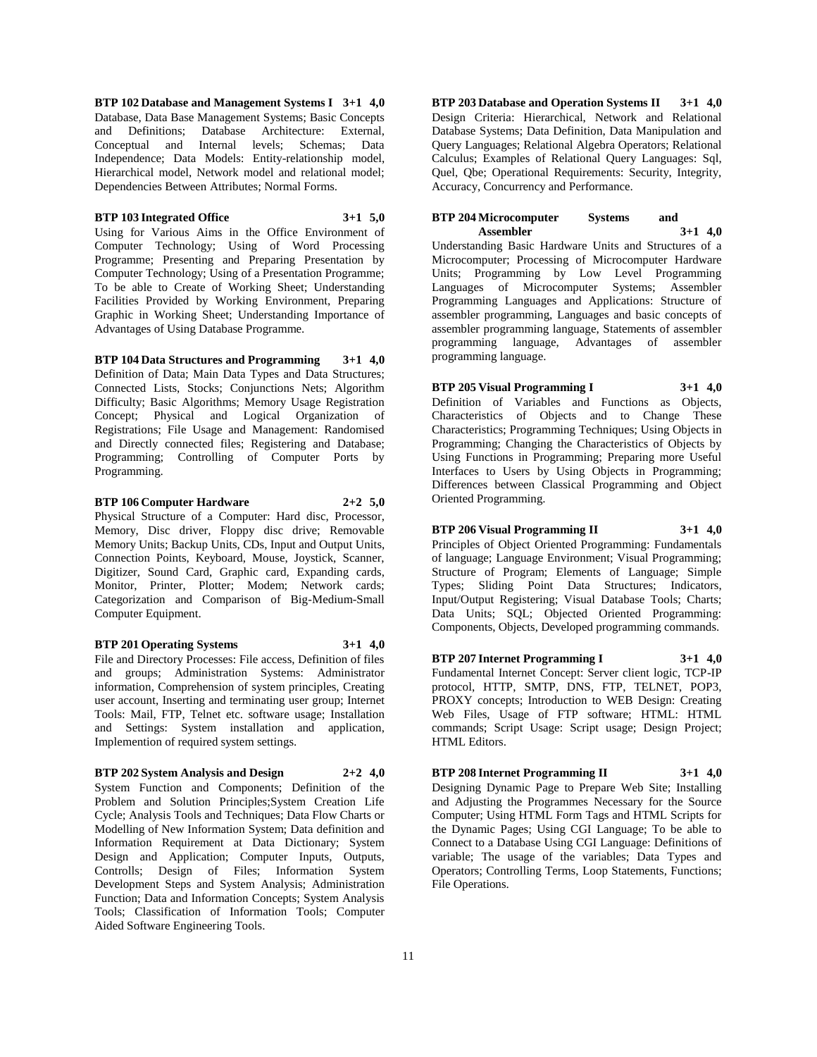**BTP 102 Database and Management Systems I 3+1 4,0** Database, Data Base Management Systems; Basic Concepts and Definitions; Database Architecture: External, Conceptual and Internal levels; Schemas; Data Independence; Data Models: Entity-relationship model, Hierarchical model, Network model and relational model; Dependencies Between Attributes; Normal Forms.

#### **BTP 103 Integrated Office 3+1 5,0**

Using for Various Aims in the Office Environment of Computer Technology; Using of Word Processing Programme; Presenting and Preparing Presentation by Computer Technology; Using of a Presentation Programme; To be able to Create of Working Sheet; Understanding Facilities Provided by Working Environment, Preparing Graphic in Working Sheet; Understanding Importance of Advantages of Using Database Programme.

**BTP 104 Data Structures and Programming 3+1 4,0** Definition of Data; Main Data Types and Data Structures; Connected Lists, Stocks; Conjunctions Nets; Algorithm Difficulty; Basic Algorithms; Memory Usage Registration Concept; Physical and Logical Organization of Registrations; File Usage and Management: Randomised and Directly connected files; Registering and Database; Programming; Controlling of Computer Ports by Programming.

**BTP 106 Computer Hardware 2+2 5,0** Physical Structure of a Computer: Hard disc, Processor, Memory, Disc driver, Floppy disc drive; Removable Memory Units; Backup Units, CDs, Input and Output Units, Connection Points, Keyboard, Mouse, Joystick, Scanner, Digitizer, Sound Card, Graphic card, Expanding cards,

Monitor, Printer, Plotter; Modem; Network cards; Categorization and Comparison of Big-Medium-Small

#### **BTP 201 Operating Systems 3+1 4,0**

Computer Equipment.

File and Directory Processes: File access, Definition of files and groups; Administration Systems: Administrator information, Comprehension of system principles, Creating user account, Inserting and terminating user group; Internet Tools: Mail, FTP, Telnet etc. software usage; Installation and Settings: System installation and application, Implemention of required system settings.

## **BTP 202 System Analysis and Design 2+2 4,0**

System Function and Components; Definition of the Problem and Solution Principles;System Creation Life Cycle; Analysis Tools and Techniques; Data Flow Charts or Modelling of New Information System; Data definition and Information Requirement at Data Dictionary; System Design and Application; Computer Inputs, Outputs, Controlls; Design of Files; Information System Development Steps and System Analysis; Administration Function; Data and Information Concepts; System Analysis Tools; Classification of Information Tools; Computer Aided Software Engineering Tools.

**BTP 203 Database and Operation Systems II 3+1 4,0** Design Criteria: Hierarchical, Network and Relational Database Systems; Data Definition, Data Manipulation and Query Languages; Relational Algebra Operators; Relational Calculus; Examples of Relational Query Languages: Sql, Quel, Qbe; Operational Requirements: Security, Integrity, Accuracy, Concurrency and Performance.

## **BTP 204 Microcomputer Systems and Assembler 3+1 4,0**

Understanding Basic Hardware Units and Structures of a Microcomputer; Processing of Microcomputer Hardware Units; Programming by Low Level Programming Languages of Microcomputer Systems; Assembler Programming Languages and Applications: Structure of assembler programming, Languages and basic concepts of assembler programming language, Statements of assembler programming language, Advantages of assembler programming language.

**BTP 205 Visual Programming I 3+1 4,0** Definition of Variables and Functions as Objects, Characteristics of Objects and to Change These Characteristics; Programming Techniques; Using Objects in Programming; Changing the Characteristics of Objects by Using Functions in Programming; Preparing more Useful Interfaces to Users by Using Objects in Programming; Differences between Classical Programming and Object Oriented Programming.

# **BTP 206 Visual Programming II 3+1 4,0**

Principles of Object Oriented Programming: Fundamentals of language; Language Environment; Visual Programming; Structure of Program; Elements of Language; Simple Types; Sliding Point Data Structures; Indicators, Input/Output Registering; Visual Database Tools; Charts; Data Units; SQL; Objected Oriented Programming: Components, Objects, Developed programming commands.

**BTP 207 Internet Programming I 3+1 4,0** Fundamental Internet Concept: Server client logic, TCP-IP protocol, HTTP, SMTP, DNS, FTP, TELNET, POP3, PROXY concepts; Introduction to WEB Design: Creating Web Files, Usage of FTP software; HTML: HTML commands; Script Usage: Script usage; Design Project; HTML Editors.

**BTP 208 Internet Programming II 3+1 4,0**

Designing Dynamic Page to Prepare Web Site; Installing and Adjusting the Programmes Necessary for the Source Computer; Using HTML Form Tags and HTML Scripts for the Dynamic Pages; Using CGI Language; To be able to Connect to a Database Using CGI Language: Definitions of variable; The usage of the variables; Data Types and Operators; Controlling Terms, Loop Statements, Functions; File Operations.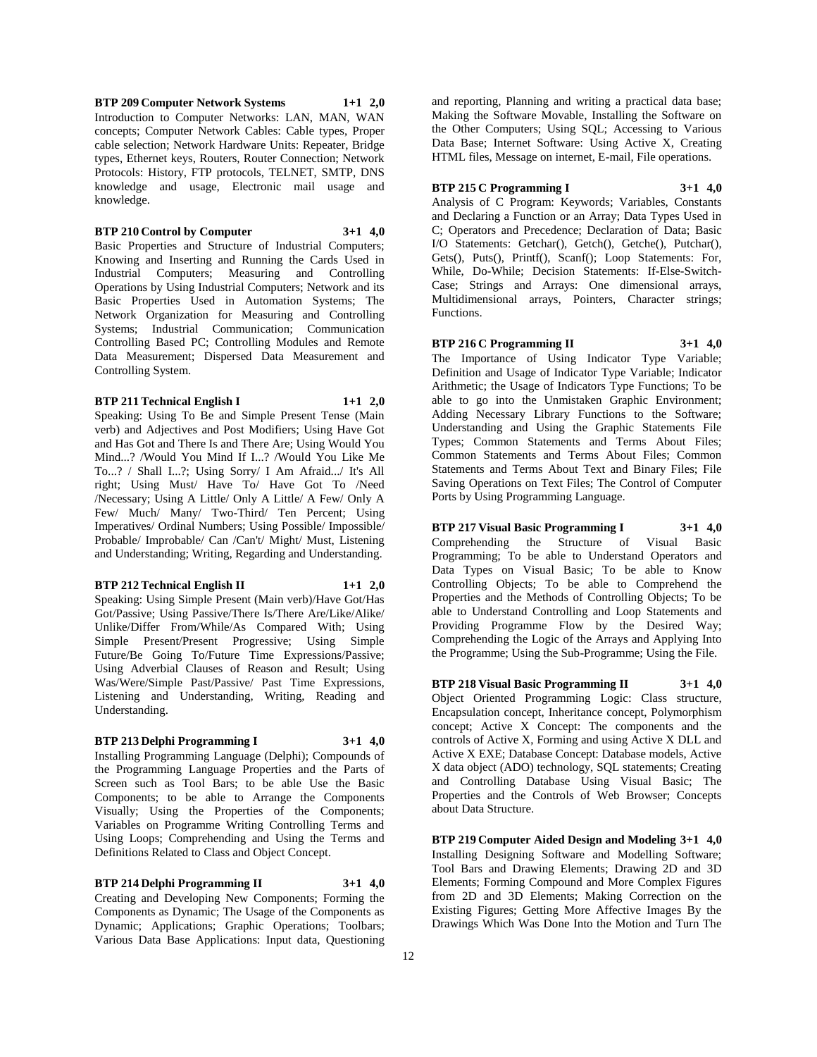**BTP 209 Computer Network Systems 1+1 2,0** Introduction to Computer Networks: LAN, MAN, WAN concepts; Computer Network Cables: Cable types, Proper cable selection; Network Hardware Units: Repeater, Bridge types, Ethernet keys, Routers, Router Connection; Network Protocols: History, FTP protocols, TELNET, SMTP, DNS knowledge and usage, Electronic mail usage and knowledge.

#### **BTP 210 Control by Computer 3+1 4,0**

Basic Properties and Structure of Industrial Computers; Knowing and Inserting and Running the Cards Used in Industrial Computers; Measuring and Controlling Operations by Using Industrial Computers; Network and its Basic Properties Used in Automation Systems; The Network Organization for Measuring and Controlling Systems; Industrial Communication; Communication Controlling Based PC; Controlling Modules and Remote Data Measurement; Dispersed Data Measurement and Controlling System.

#### **BTP 211 Technical English I 1+1 2,0**

Speaking: Using To Be and Simple Present Tense (Main verb) and Adjectives and Post Modifiers; Using Have Got and Has Got and There Is and There Are; Using Would You Mind...? /Would You Mind If I...? /Would You Like Me To...? / Shall I...?; Using Sorry/ I Am Afraid.../ It's All right; Using Must/ Have To/ Have Got To /Need /Necessary; Using A Little/ Only A Little/ A Few/ Only A Few/ Much/ Many/ Two-Third/ Ten Percent; Using Imperatives/ Ordinal Numbers; Using Possible/ Impossible/ Probable/ Improbable/ Can /Can't/ Might/ Must, Listening and Understanding; Writing, Regarding and Understanding.

#### **BTP 212 Technical English II 1+1 2,0**

Speaking: Using Simple Present (Main verb)/Have Got/Has Got/Passive; Using Passive/There Is/There Are/Like/Alike/ Unlike/Differ From/While/As Compared With; Using Simple Present/Present Progressive; Using Simple Future/Be Going To/Future Time Expressions/Passive; Using Adverbial Clauses of Reason and Result; Using Was/Were/Simple Past/Passive/ Past Time Expressions, Listening and Understanding, Writing, Reading and Understanding.

## **BTP 213 Delphi Programming I 3+1 4,0**

Installing Programming Language (Delphi); Compounds of the Programming Language Properties and the Parts of Screen such as Tool Bars; to be able Use the Basic Components; to be able to Arrange the Components Visually; Using the Properties of the Components; Variables on Programme Writing Controlling Terms and Using Loops; Comprehending and Using the Terms and Definitions Related to Class and Object Concept.

**BTP 214 Delphi Programming II 3+1 4,0** Creating and Developing New Components; Forming the Components as Dynamic; The Usage of the Components as Dynamic; Applications; Graphic Operations; Toolbars;

Various Data Base Applications: Input data, Questioning

and reporting, Planning and writing a practical data base; Making the Software Movable, Installing the Software on the Other Computers; Using SQL; Accessing to Various Data Base; Internet Software: Using Active X, Creating HTML files, Message on internet, E-mail, File operations.

**BTP 215 C Programming I 3+1 4,0** Analysis of C Program: Keywords; Variables, Constants and Declaring a Function or an Array; Data Types Used in C; Operators and Precedence; Declaration of Data; Basic I/O Statements: Getchar(), Getch(), Getche(), Putchar(), Gets(), Puts(), Printf(), Scanf(); Loop Statements: For, While, Do-While; Decision Statements: If-Else-Switch-Case; Strings and Arrays: One dimensional arrays, Multidimensional arrays, Pointers, Character strings; Functions.

**BTP 216 C Programming II 3+1 4,0** The Importance of Using Indicator Type Variable; Definition and Usage of Indicator Type Variable; Indicator Arithmetic; the Usage of Indicators Type Functions; To be able to go into the Unmistaken Graphic Environment; Adding Necessary Library Functions to the Software; Understanding and Using the Graphic Statements File Types; Common Statements and Terms About Files; Common Statements and Terms About Files; Common Statements and Terms About Text and Binary Files; File Saving Operations on Text Files; The Control of Computer Ports by Using Programming Language.

**BTP 217 Visual Basic Programming I 3+1 4,0** Comprehending the Structure of Visual Basic Programming; To be able to Understand Operators and Data Types on Visual Basic; To be able to Know Controlling Objects; To be able to Comprehend the Properties and the Methods of Controlling Objects; To be able to Understand Controlling and Loop Statements and Providing Programme Flow by the Desired Way; Comprehending the Logic of the Arrays and Applying Into the Programme; Using the Sub-Programme; Using the File.

**BTP 218 Visual Basic Programming II 3+1 4,0** Object Oriented Programming Logic: Class structure, Encapsulation concept, Inheritance concept, Polymorphism concept; Active X Concept: The components and the controls of Active X, Forming and using Active X DLL and Active X EXE; Database Concept: Database models, Active X data object (ADO) technology, SQL statements; Creating and Controlling Database Using Visual Basic; The Properties and the Controls of Web Browser; Concepts about Data Structure.

**BTP 219 Computer Aided Design and Modeling 3+1 4,0** Installing Designing Software and Modelling Software; Tool Bars and Drawing Elements; Drawing 2D and 3D Elements; Forming Compound and More Complex Figures from 2D and 3D Elements; Making Correction on the Existing Figures; Getting More Affective Images By the Drawings Which Was Done Into the Motion and Turn The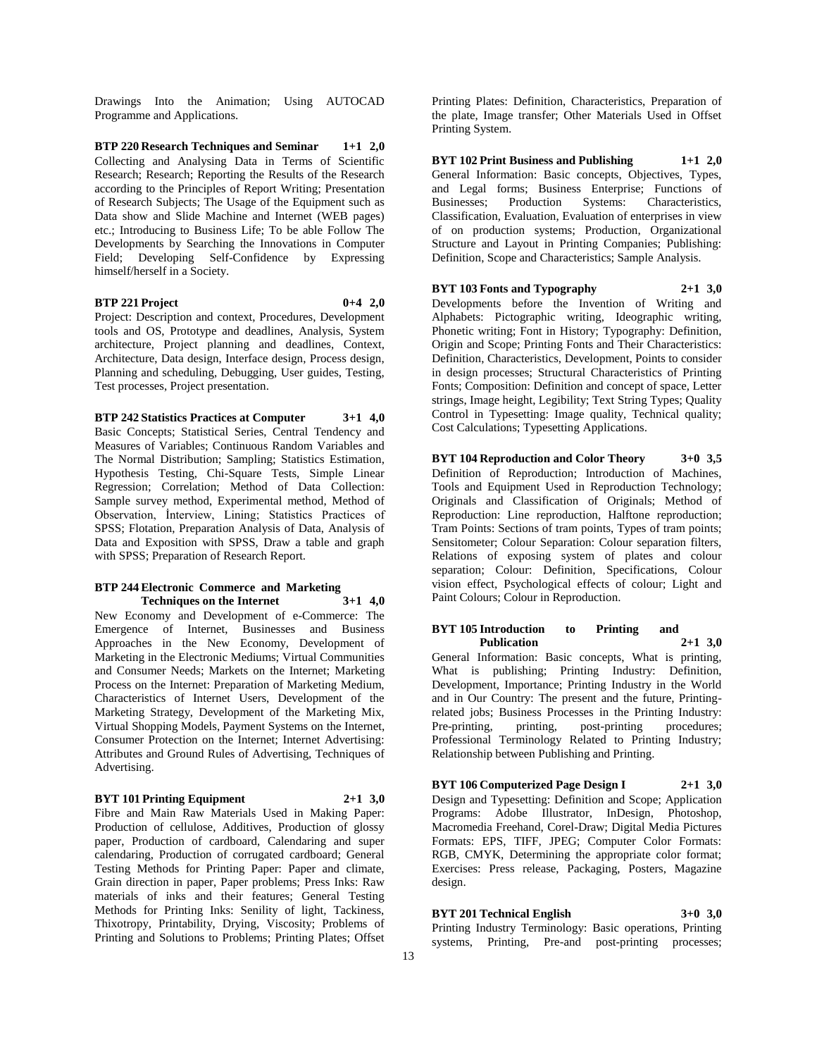Drawings Into the Animation; Using AUTOCAD Programme and Applications.

**BTP 220 Research Techniques and Seminar 1+1 2,0** Collecting and Analysing Data in Terms of Scientific Research; Research; Reporting the Results of the Research according to the Principles of Report Writing; Presentation of Research Subjects; The Usage of the Equipment such as Data show and Slide Machine and Internet (WEB pages) etc.; Introducing to Business Life; To be able Follow The Developments by Searching the Innovations in Computer Field; Developing Self-Confidence by Expressing himself/herself in a Society.

## **BTP 221 Project 0+4 2,0**

Project: Description and context, Procedures, Development tools and OS, Prototype and deadlines, Analysis, System architecture, Project planning and deadlines, Context, Architecture, Data design, Interface design, Process design, Planning and scheduling, Debugging, User guides, Testing, Test processes, Project presentation.

**BTP 242 Statistics Practices at Computer 3+1 4,0** Basic Concepts; Statistical Series, Central Tendency and Measures of Variables; Continuous Random Variables and The Normal Distribution; Sampling; Statistics Estimation, Hypothesis Testing, Chi-Square Tests, Simple Linear Regression; Correlation; Method of Data Collection: Sample survey method, Experimental method, Method of Observation, İnterview, Lining; Statistics Practices of SPSS; Flotation, Preparation Analysis of Data, Analysis of Data and Exposition with SPSS, Draw a table and graph with SPSS; Preparation of Research Report.

#### **BTP 244 Electronic Commerce and Marketing Techniques on the Internet 3+1 4,0**

New Economy and Development of e-Commerce: The Emergence of Internet, Businesses and Business Approaches in the New Economy, Development of Marketing in the Electronic Mediums; Virtual Communities and Consumer Needs; Markets on the Internet; Marketing Process on the Internet: Preparation of Marketing Medium, Characteristics of Internet Users, Development of the Marketing Strategy, Development of the Marketing Mix, Virtual Shopping Models, Payment Systems on the Internet, Consumer Protection on the Internet; Internet Advertising: Attributes and Ground Rules of Advertising, Techniques of Advertising.

#### **BYT 101 Printing Equipment 2+1 3,0**

Fibre and Main Raw Materials Used in Making Paper: Production of cellulose, Additives, Production of glossy paper, Production of cardboard, Calendaring and super calendaring, Production of corrugated cardboard; General Testing Methods for Printing Paper: Paper and climate, Grain direction in paper, Paper problems; Press Inks: Raw materials of inks and their features; General Testing Methods for Printing Inks: Senility of light, Tackiness, Thixotropy, Printability, Drying, Viscosity; Problems of Printing and Solutions to Problems; Printing Plates; Offset

Printing Plates: Definition, Characteristics, Preparation of the plate, Image transfer; Other Materials Used in Offset Printing System.

**BYT 102 Print Business and Publishing 1+1 2,0** General Information: Basic concepts, Objectives, Types, and Legal forms; Business Enterprise; Functions of Businesses; Production Systems: Characteristics, Classification, Evaluation, Evaluation of enterprises in view of on production systems; Production, Organizational Structure and Layout in Printing Companies; Publishing: Definition, Scope and Characteristics; Sample Analysis.

**BYT 103 Fonts and Typography 2+1 3,0** Developments before the Invention of Writing and Alphabets: Pictographic writing, Ideographic writing, Phonetic writing; Font in History; Typography: Definition, Origin and Scope; Printing Fonts and Their Characteristics: Definition, Characteristics, Development, Points to consider in design processes; Structural Characteristics of Printing Fonts; Composition: Definition and concept of space, Letter strings, Image height, Legibility; Text String Types; Quality Control in Typesetting: Image quality, Technical quality; Cost Calculations; Typesetting Applications.

**BYT 104 Reproduction and Color Theory 3+0 3,5** Definition of Reproduction; Introduction of Machines, Tools and Equipment Used in Reproduction Technology; Originals and Classification of Originals; Method of Reproduction: Line reproduction, Halftone reproduction; Tram Points: Sections of tram points, Types of tram points; Sensitometer; Colour Separation: Colour separation filters, Relations of exposing system of plates and colour separation; Colour: Definition, Specifications, Colour vision effect, Psychological effects of colour; Light and Paint Colours; Colour in Reproduction.

## **BYT 105 Introduction to Printing and Publication 2+1 3,0**

General Information: Basic concepts, What is printing, What is publishing; Printing Industry: Definition, Development, Importance; Printing Industry in the World and in Our Country: The present and the future, Printingrelated jobs; Business Processes in the Printing Industry: Pre-printing, printing, post-printing procedures; Professional Terminology Related to Printing Industry; Relationship between Publishing and Printing.

## **BYT 106 Computerized Page Design I 2+1 3,0**

Design and Typesetting: Definition and Scope; Application Programs: Adobe Illustrator, InDesign, Photoshop, Macromedia Freehand, Corel-Draw; Digital Media Pictures Formats: EPS, TIFF, JPEG; Computer Color Formats: RGB, CMYK, Determining the appropriate color format; Exercises: Press release, Packaging, Posters, Magazine design.

## **BYT 201 Technical English 3+0 3,0**

Printing Industry Terminology: Basic operations, Printing systems, Printing, Pre-and post-printing processes;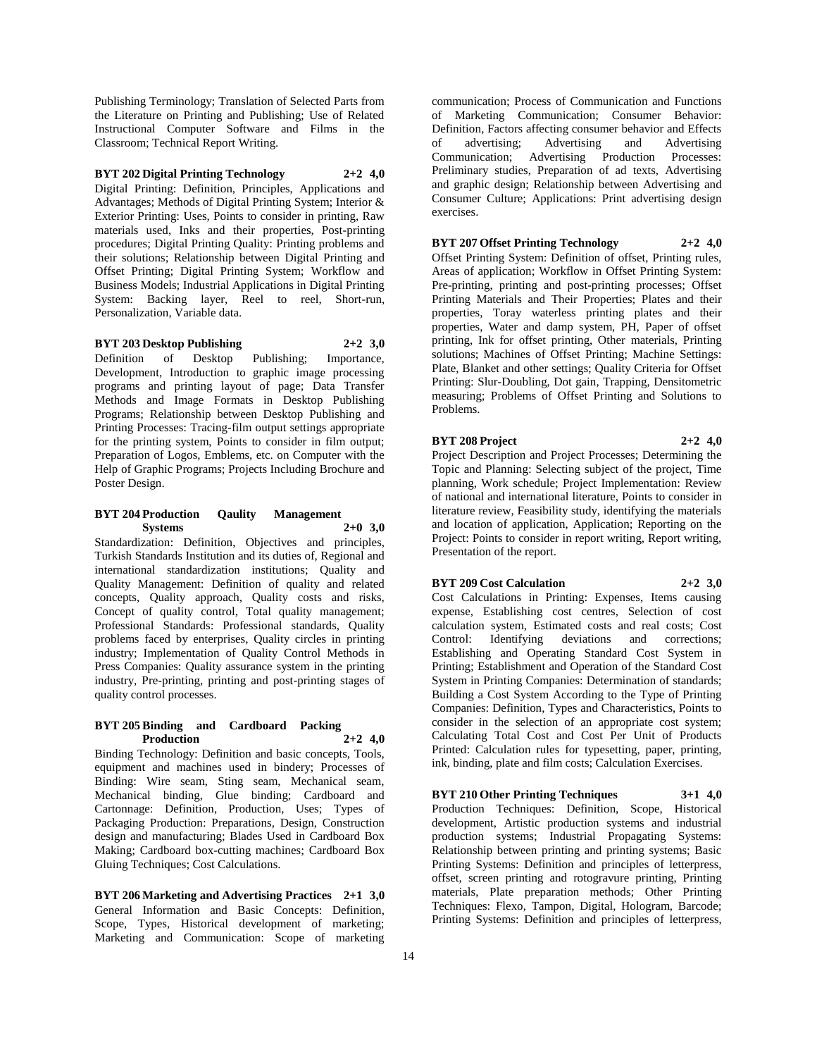Publishing Terminology; Translation of Selected Parts from the Literature on Printing and Publishing; Use of Related Instructional Computer Software and Films in the Classroom; Technical Report Writing.

**BYT 202 Digital Printing Technology 2+2 4,0**

Digital Printing: Definition, Principles, Applications and Advantages; Methods of Digital Printing System; Interior & Exterior Printing: Uses, Points to consider in printing, Raw materials used, Inks and their properties, Post-printing procedures; Digital Printing Quality: Printing problems and their solutions; Relationship between Digital Printing and Offset Printing; Digital Printing System; Workflow and Business Models; Industrial Applications in Digital Printing System: Backing layer, Reel to reel, Short-run, Personalization, Variable data.

#### **BYT 203 Desktop Publishing 2+2 3,0**

Definition of Desktop Publishing; Importance, Development, Introduction to graphic image processing programs and printing layout of page; Data Transfer Methods and Image Formats in Desktop Publishing Programs; Relationship between Desktop Publishing and Printing Processes: Tracing-film output settings appropriate for the printing system, Points to consider in film output; Preparation of Logos, Emblems, etc. on Computer with the Help of Graphic Programs; Projects Including Brochure and Poster Design.

#### **BYT 204 Production Qaulity Management Systems 2+0 3,0**

Standardization: Definition, Objectives and principles, Turkish Standards Institution and its duties of, Regional and international standardization institutions; Quality and Quality Management: Definition of quality and related concepts, Quality approach, Quality costs and risks, Concept of quality control, Total quality management; Professional Standards: Professional standards, Quality problems faced by enterprises, Quality circles in printing industry; Implementation of Quality Control Methods in Press Companies: Quality assurance system in the printing industry, Pre-printing, printing and post-printing stages of quality control processes.

#### **BYT 205 Binding and Cardboard Packing Production 2+2 4,0**

Binding Technology: Definition and basic concepts, Tools, equipment and machines used in bindery; Processes of Binding: Wire seam, Sting seam, Mechanical seam, Mechanical binding, Glue binding; Cardboard and Cartonnage: Definition, Production, Uses; Types of Packaging Production: Preparations, Design, Construction design and manufacturing; Blades Used in Cardboard Box Making; Cardboard box-cutting machines; Cardboard Box Gluing Techniques; Cost Calculations.

**BYT 206 Marketing and Advertising Practices 2+1 3,0** General Information and Basic Concepts: Definition, Scope, Types, Historical development of marketing; Marketing and Communication: Scope of marketing communication; Process of Communication and Functions of Marketing Communication; Consumer Behavior: Definition, Factors affecting consumer behavior and Effects of advertising; Advertising and Advertising Communication; Advertising Production Processes: Preliminary studies, Preparation of ad texts, Advertising and graphic design; Relationship between Advertising and Consumer Culture; Applications: Print advertising design exercises.

# **BYT 207 Offset Printing Technology 2+2 4,0**

Offset Printing System: Definition of offset, Printing rules, Areas of application; Workflow in Offset Printing System: Pre-printing, printing and post-printing processes; Offset Printing Materials and Their Properties; Plates and their properties, Toray waterless printing plates and their properties, Water and damp system, PH, Paper of offset printing, Ink for offset printing, Other materials, Printing solutions; Machines of Offset Printing; Machine Settings: Plate, Blanket and other settings; Quality Criteria for Offset Printing: Slur-Doubling, Dot gain, Trapping, Densitometric measuring; Problems of Offset Printing and Solutions to Problems.

## **BYT 208 Project 2+2 4,0**

Project Description and Project Processes; Determining the Topic and Planning: Selecting subject of the project, Time planning, Work schedule; Project Implementation: Review of national and international literature, Points to consider in literature review, Feasibility study, identifying the materials and location of application, Application; Reporting on the Project: Points to consider in report writing, Report writing, Presentation of the report.

#### **BYT 209 Cost Calculation 2+2 3,0**

Cost Calculations in Printing: Expenses, Items causing expense, Establishing cost centres, Selection of cost calculation system, Estimated costs and real costs; Cost Control: Identifying deviations and corrections; Identifying deviations Establishing and Operating Standard Cost System in Printing; Establishment and Operation of the Standard Cost System in Printing Companies: Determination of standards; Building a Cost System According to the Type of Printing Companies: Definition, Types and Characteristics, Points to consider in the selection of an appropriate cost system; Calculating Total Cost and Cost Per Unit of Products Printed: Calculation rules for typesetting, paper, printing, ink, binding, plate and film costs; Calculation Exercises.

**BYT 210 Other Printing Techniques 3+1 4,0** Production Techniques: Definition, Scope, Historical development, Artistic production systems and industrial production systems; Industrial Propagating Systems: Relationship between printing and printing systems; Basic Printing Systems: Definition and principles of letterpress, offset, screen printing and rotogravure printing, Printing materials, Plate preparation methods; Other Printing Techniques: Flexo, Tampon, Digital, Hologram, Barcode; Printing Systems: Definition and principles of letterpress,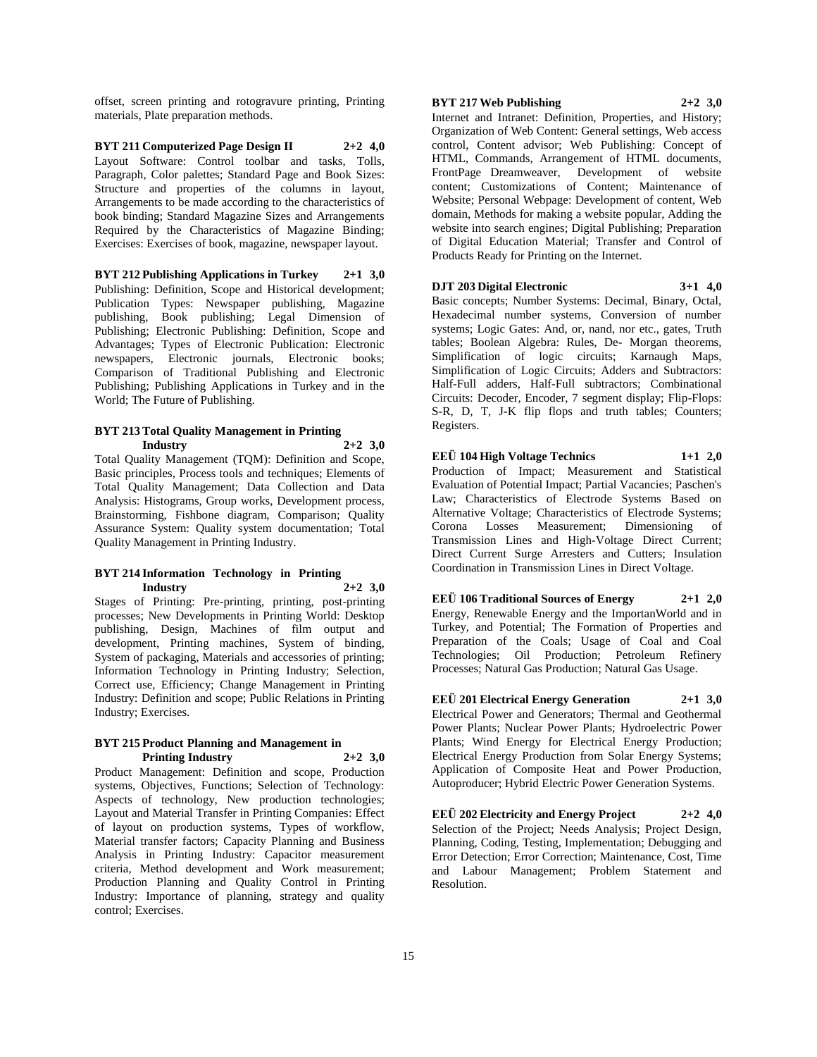offset, screen printing and rotogravure printing, Printing materials, Plate preparation methods.

**BYT 211 Computerized Page Design II 2+2 4,0** Layout Software: Control toolbar and tasks, Tolls, Paragraph, Color palettes; Standard Page and Book Sizes: Structure and properties of the columns in layout, Arrangements to be made according to the characteristics of book binding; Standard Magazine Sizes and Arrangements Required by the Characteristics of Magazine Binding; Exercises: Exercises of book, magazine, newspaper layout.

**BYT 212 Publishing Applications in Turkey 2+1 3,0** Publishing: Definition, Scope and Historical development; Publication Types: Newspaper publishing, Magazine publishing, Book publishing; Legal Dimension of Publishing; Electronic Publishing: Definition, Scope and Advantages; Types of Electronic Publication: Electronic newspapers, Electronic journals, Electronic books; Comparison of Traditional Publishing and Electronic Publishing; Publishing Applications in Turkey and in the World; The Future of Publishing.

## **BYT 213 Total Quality Management in Printing Industry 2+2 3,0**

Total Quality Management (TQM): Definition and Scope, Basic principles, Process tools and techniques; Elements of Total Quality Management; Data Collection and Data Analysis: Histograms, Group works, Development process, Brainstorming, Fishbone diagram, Comparison; Quality Assurance System: Quality system documentation; Total Quality Management in Printing Industry.

#### **BYT 214 Information Technology in Printing Industry 2+2 3,0**

Stages of Printing: Pre-printing, printing, post-printing processes; New Developments in Printing World: Desktop publishing, Design, Machines of film output and development, Printing machines, System of binding, System of packaging, Materials and accessories of printing; Information Technology in Printing Industry; Selection, Correct use, Efficiency; Change Management in Printing Industry: Definition and scope; Public Relations in Printing Industry; Exercises.

#### **BYT 215 Product Planning and Management in Printing Industry 2+2 3,0**

Product Management: Definition and scope, Production systems, Objectives, Functions; Selection of Technology: Aspects of technology, New production technologies; Layout and Material Transfer in Printing Companies: Effect of layout on production systems, Types of workflow, Material transfer factors; Capacity Planning and Business Analysis in Printing Industry: Capacitor measurement criteria, Method development and Work measurement; Production Planning and Quality Control in Printing Industry: Importance of planning, strategy and quality control; Exercises.

## **BYT 217 Web Publishing 2+2 3,0**

Internet and Intranet: Definition, Properties, and History; Organization of Web Content: General settings, Web access control, Content advisor; Web Publishing: Concept of HTML, Commands, Arrangement of HTML documents, FrontPage Dreamweaver, Development of website content; Customizations of Content; Maintenance of Website; Personal Webpage: Development of content, Web domain, Methods for making a website popular, Adding the website into search engines; Digital Publishing; Preparation of Digital Education Material; Transfer and Control of Products Ready for Printing on the Internet.

## **DJT 203 Digital Electronic 3+1 4,0**

Basic concepts; Number Systems: Decimal, Binary, Octal, Hexadecimal number systems, Conversion of number systems; Logic Gates: And, or, nand, nor etc., gates, Truth tables; Boolean Algebra: Rules, De- Morgan theorems, Simplification of logic circuits; Karnaugh Maps, Simplification of Logic Circuits; Adders and Subtractors: Half-Full adders, Half-Full subtractors; Combinational Circuits: Decoder, Encoder, 7 segment display; Flip-Flops: S-R, D, T, J-K flip flops and truth tables; Counters; Registers.

**EEÜ 104 High Voltage Technics 1+1 2,0** Production of Impact; Measurement and Statistical Evaluation of Potential Impact; Partial Vacancies; Paschen's Law; Characteristics of Electrode Systems Based on Alternative Voltage; Characteristics of Electrode Systems; Corona Losses Measurement; Dimensioning of Transmission Lines and High-Voltage Direct Current; Direct Current Surge Arresters and Cutters; Insulation Coordination in Transmission Lines in Direct Voltage.

**EEÜ 106 Traditional Sources of Energy 2+1 2,0** Energy, Renewable Energy and the ImportanWorld and in Turkey, and Potential; The Formation of Properties and Preparation of the Coals; Usage of Coal and Coal Technologies; Oil Production; Petroleum Refinery Processes; Natural Gas Production; Natural Gas Usage.

**EEÜ 201 Electrical Energy Generation 2+1 3,0** Electrical Power and Generators; Thermal and Geothermal Power Plants; Nuclear Power Plants; Hydroelectric Power Plants; Wind Energy for Electrical Energy Production; Electrical Energy Production from Solar Energy Systems; Application of Composite Heat and Power Production, Autoproducer; Hybrid Electric Power Generation Systems.

**EEÜ 202 Electricity and Energy Project 2+2 4,0** Selection of the Project; Needs Analysis; Project Design, Planning, Coding, Testing, Implementation; Debugging and Error Detection; Error Correction; Maintenance, Cost, Time and Labour Management; Problem Statement and Resolution.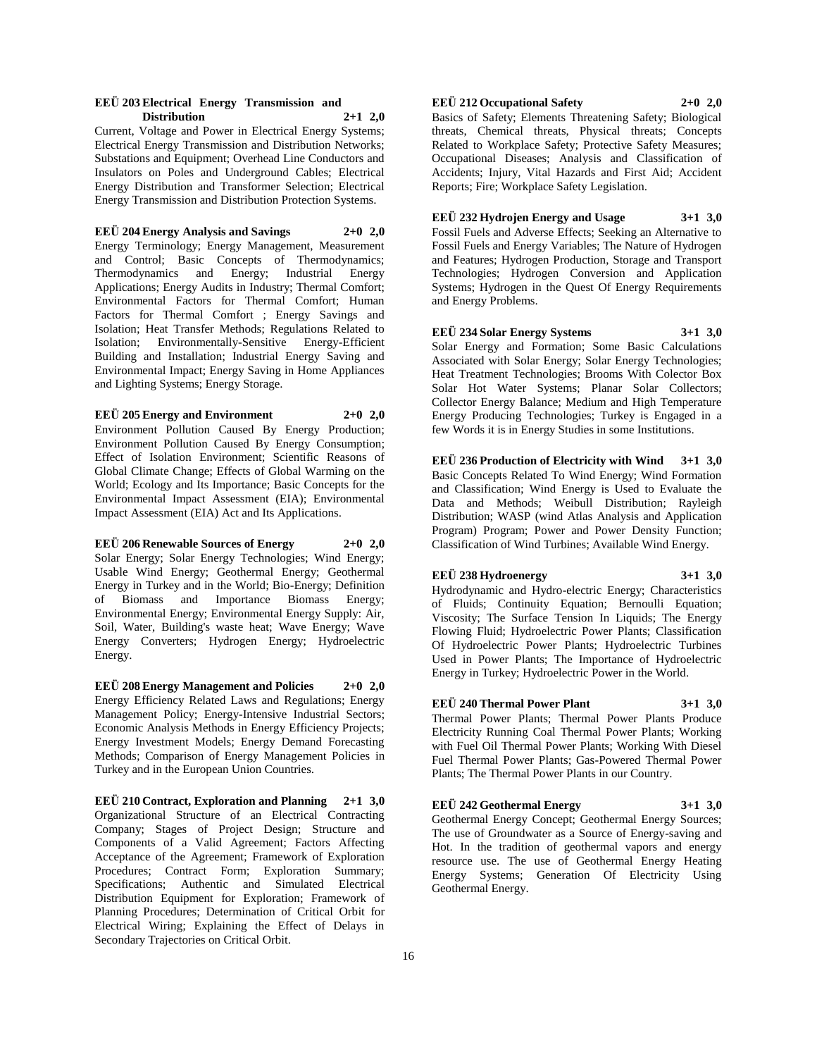#### **EEÜ 203 Electrical Energy Transmission and Distribution 2+1 2,0**

Current, Voltage and Power in Electrical Energy Systems; Electrical Energy Transmission and Distribution Networks; Substations and Equipment; Overhead Line Conductors and Insulators on Poles and Underground Cables; Electrical Energy Distribution and Transformer Selection; Electrical Energy Transmission and Distribution Protection Systems.

#### **EEÜ 204 Energy Analysis and Savings 2+0 2,0**

Energy Terminology; Energy Management, Measurement and Control; Basic Concepts of Thermodynamics; Thermodynamics and Energy; Industrial Energy Applications; Energy Audits in Industry; Thermal Comfort; Environmental Factors for Thermal Comfort; Human Factors for Thermal Comfort ; Energy Savings and Isolation; Heat Transfer Methods; Regulations Related to Isolation; Environmentally-Sensitive Energy-Efficient Building and Installation; Industrial Energy Saving and Environmental Impact; Energy Saving in Home Appliances and Lighting Systems; Energy Storage.

**EEÜ 205 Energy and Environment 2+0 2,0** Environment Pollution Caused By Energy Production; Environment Pollution Caused By Energy Consumption; Effect of Isolation Environment; Scientific Reasons of Global Climate Change; Effects of Global Warming on the World; Ecology and Its Importance; Basic Concepts for the Environmental Impact Assessment (EIA); Environmental Impact Assessment (EIA) Act and Its Applications.

## **EEÜ 206 Renewable Sources of Energy 2+0 2,0** Solar Energy; Solar Energy Technologies; Wind Energy; Usable Wind Energy; Geothermal Energy; Geothermal Energy in Turkey and in the World; Bio-Energy; Definition of Biomass and Importance Biomass Energy; Environmental Energy; Environmental Energy Supply: Air, Soil, Water, Building's waste heat; Wave Energy; Wave Energy Converters; Hydrogen Energy; Hydroelectric Energy.

**EEÜ 208 Energy Management and Policies 2+0 2,0** Energy Efficiency Related Laws and Regulations; Energy Management Policy; Energy-Intensive Industrial Sectors; Economic Analysis Methods in Energy Efficiency Projects; Energy Investment Models; Energy Demand Forecasting Methods; Comparison of Energy Management Policies in Turkey and in the European Union Countries.

**EEÜ 210 Contract, Exploration and Planning 2+1 3,0** Organizational Structure of an Electrical Contracting Company; Stages of Project Design; Structure and Components of a Valid Agreement; Factors Affecting Acceptance of the Agreement; Framework of Exploration Procedures; Contract Form; Exploration Summary; Specifications; Authentic and Simulated Electrical Distribution Equipment for Exploration; Framework of Planning Procedures; Determination of Critical Orbit for Electrical Wiring; Explaining the Effect of Delays in Secondary Trajectories on Critical Orbit.

## **EEÜ 212 Occupational Safety 2+0 2,0**

Basics of Safety; Elements Threatening Safety; Biological threats, Chemical threats, Physical threats; Concepts Related to Workplace Safety; Protective Safety Measures; Occupational Diseases; Analysis and Classification of Accidents; Injury, Vital Hazards and First Aid; Accident Reports; Fire; Workplace Safety Legislation.

## **EEÜ 232 Hydrojen Energy and Usage 3+1 3,0**

Fossil Fuels and Adverse Effects; Seeking an Alternative to Fossil Fuels and Energy Variables; The Nature of Hydrogen and Features; Hydrogen Production, Storage and Transport Technologies; Hydrogen Conversion and Application Systems; Hydrogen in the Quest Of Energy Requirements and Energy Problems.

**EEÜ 234 Solar Energy Systems 3+1 3,0** Solar Energy and Formation; Some Basic Calculations Associated with Solar Energy; Solar Energy Technologies; Heat Treatment Technologies; Brooms With Colector Box Solar Hot Water Systems; Planar Solar Collectors; Collector Energy Balance; Medium and High Temperature Energy Producing Technologies; Turkey is Engaged in a few Words it is in Energy Studies in some Institutions.

**EEÜ 236 Production of Electricity with Wind 3+1 3,0** Basic Concepts Related To Wind Energy; Wind Formation and Classification; Wind Energy is Used to Evaluate the Data and Methods; Weibull Distribution; Rayleigh Distribution; WASP (wind Atlas Analysis and Application Program) Program; Power and Power Density Function; Classification of Wind Turbines; Available Wind Energy.

#### **EEÜ 238 Hydroenergy 3+1 3,0**

Hydrodynamic and Hydro-electric Energy; Characteristics of Fluids; Continuity Equation; Bernoulli Equation; Viscosity; The Surface Tension In Liquids; The Energy Flowing Fluid; Hydroelectric Power Plants; Classification Of Hydroelectric Power Plants; Hydroelectric Turbines Used in Power Plants; The Importance of Hydroelectric Energy in Turkey; Hydroelectric Power in the World.

#### **EEÜ 240 Thermal Power Plant 3+1 3,0**

Thermal Power Plants; Thermal Power Plants Produce Electricity Running Coal Thermal Power Plants; Working with Fuel Oil Thermal Power Plants; Working With Diesel Fuel Thermal Power Plants; Gas-Powered Thermal Power Plants; The Thermal Power Plants in our Country.

#### **EEÜ 242 Geothermal Energy 3+1 3,0**

Geothermal Energy Concept; Geothermal Energy Sources; The use of Groundwater as a Source of Energy-saving and Hot. In the tradition of geothermal vapors and energy resource use. The use of Geothermal Energy Heating Energy Systems; Generation Of Electricity Using Geothermal Energy.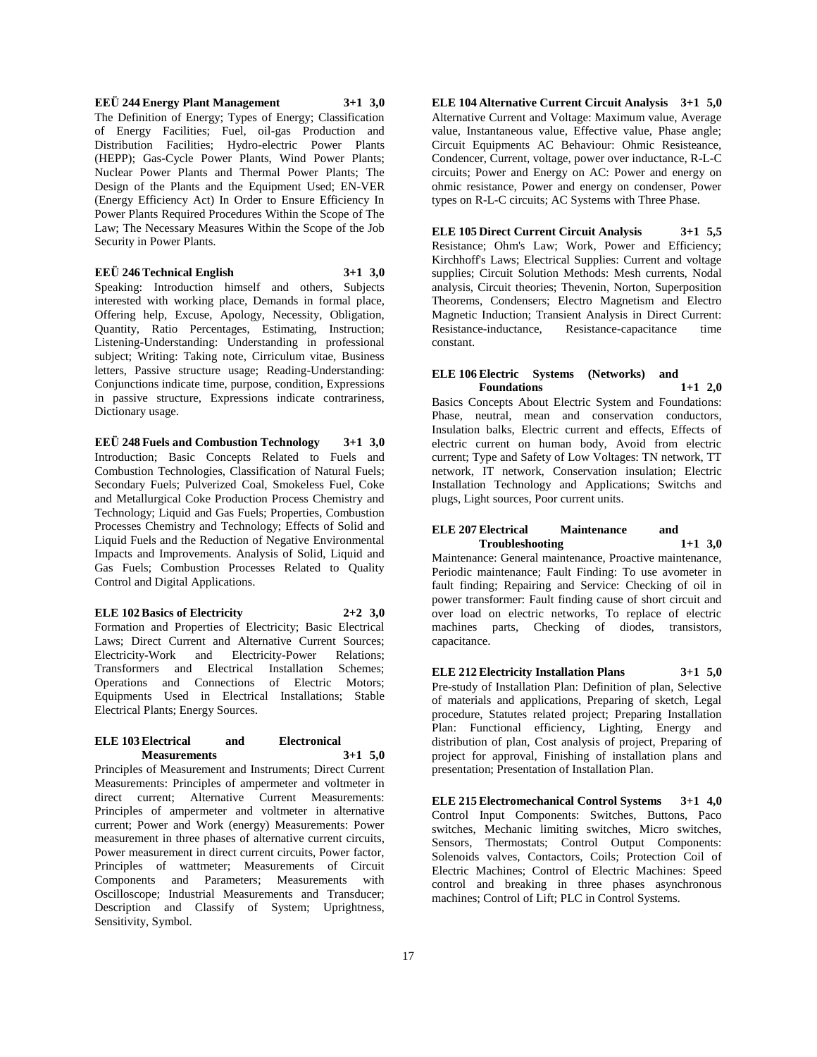## **EEÜ 244 Energy Plant Management 3+1 3,0** The Definition of Energy; Types of Energy; Classification of Energy Facilities; Fuel, oil-gas Production and Distribution Facilities; Hydro-electric Power Plants (HEPP); Gas-Cycle Power Plants, Wind Power Plants; Nuclear Power Plants and Thermal Power Plants; The Design of the Plants and the Equipment Used; EN-VER (Energy Efficiency Act) In Order to Ensure Efficiency In Power Plants Required Procedures Within the Scope of The Law; The Necessary Measures Within the Scope of the Job Security in Power Plants.

**EEÜ 246 Technical English 3+1 3,0**

Speaking: Introduction himself and others, Subjects interested with working place, Demands in formal place, Offering help, Excuse, Apology, Necessity, Obligation, Quantity, Ratio Percentages, Estimating, Instruction; Listening-Understanding: Understanding in professional subject; Writing: Taking note, Cirriculum vitae, Business letters, Passive structure usage; Reading-Understanding: Conjunctions indicate time, purpose, condition, Expressions in passive structure, Expressions indicate contrariness, Dictionary usage.

**EEÜ 248 Fuels and Combustion Technology 3+1 3,0** Introduction; Basic Concepts Related to Fuels and Combustion Technologies, Classification of Natural Fuels; Secondary Fuels; Pulverized Coal, Smokeless Fuel, Coke and Metallurgical Coke Production Process Chemistry and Technology; Liquid and Gas Fuels; Properties, Combustion Processes Chemistry and Technology; Effects of Solid and Liquid Fuels and the Reduction of Negative Environmental Impacts and Improvements. Analysis of Solid, Liquid and Gas Fuels; Combustion Processes Related to Quality Control and Digital Applications.

**ELE 102 Basics of Electricity 2+2 3,0** Formation and Properties of Electricity; Basic Electrical Laws; Direct Current and Alternative Current Sources; Electricity-Work and Electricity-Power Relations; Transformers and Electrical Installation Schemes; Operations and Connections of Electric Motors; Equipments Used in Electrical Installations; Stable Electrical Plants; Energy Sources.

#### **ELE 103 Electrical and Electronical Measurements 3+1 5,0**

Principles of Measurement and Instruments; Direct Current Measurements: Principles of ampermeter and voltmeter in direct current; Alternative Current Measurements: Principles of ampermeter and voltmeter in alternative current; Power and Work (energy) Measurements: Power measurement in three phases of alternative current circuits, Power measurement in direct current circuits, Power factor, Principles of wattmeter; Measurements of Circuit Components and Parameters; Measurements with Oscilloscope; Industrial Measurements and Transducer; Description and Classify of System; Uprightness, Sensitivity, Symbol.

**ELE 104 Alternative Current Circuit Analysis 3+1 5,0** Alternative Current and Voltage: Maximum value, Average value, Instantaneous value, Effective value, Phase angle; Circuit Equipments AC Behaviour: Ohmic Resisteance, Condencer, Current, voltage, power over inductance, R-L-C circuits; Power and Energy on AC: Power and energy on ohmic resistance, Power and energy on condenser, Power types on R-L-C circuits; AC Systems with Three Phase.

## **ELE 105 Direct Current Circuit Analysis 3+1 5,5**

Resistance; Ohm's Law; Work, Power and Efficiency; Kirchhoff's Laws; Electrical Supplies: Current and voltage supplies; Circuit Solution Methods: Mesh currents, Nodal analysis, Circuit theories; Thevenin, Norton, Superposition Theorems, Condensers; Electro Magnetism and Electro Magnetic Induction; Transient Analysis in Direct Current: Resistance-inductance, Resistance-capacitance time constant.

#### **ELE 106 Electric Systems (Networks) and Foundations 1+1 2,0**

Basics Concepts About Electric System and Foundations: Phase, neutral, mean and conservation conductors, Insulation balks, Electric current and effects, Effects of electric current on human body, Avoid from electric current; Type and Safety of Low Voltages: TN network, TT network, IT network, Conservation insulation; Electric Installation Technology and Applications; Switchs and plugs, Light sources, Poor current units.

## **ELE 207 Electrical Maintenance and Troubleshooting 1+1 3,0**

Maintenance: General maintenance, Proactive maintenance, Periodic maintenance; Fault Finding: To use avometer in fault finding; Repairing and Service: Checking of oil in power transformer: Fault finding cause of short circuit and over load on electric networks, To replace of electric machines parts, Checking of diodes, transistors, capacitance.

**ELE 212 Electricity Installation Plans 3+1 5,0** Pre-study of Installation Plan: Definition of plan, Selective of materials and applications, Preparing of sketch, Legal procedure, Statutes related project; Preparing Installation Plan: Functional efficiency, Lighting, Energy and distribution of plan, Cost analysis of project, Preparing of project for approval, Finishing of installation plans and presentation; Presentation of Installation Plan.

**ELE 215 Electromechanical Control Systems 3+1 4,0** Control Input Components: Switches, Buttons, Paco switches, Mechanic limiting switches, Micro switches, Sensors, Thermostats; Control Output Components: Solenoids valves, Contactors, Coils; Protection Coil of Electric Machines; Control of Electric Machines: Speed control and breaking in three phases asynchronous machines; Control of Lift; PLC in Control Systems.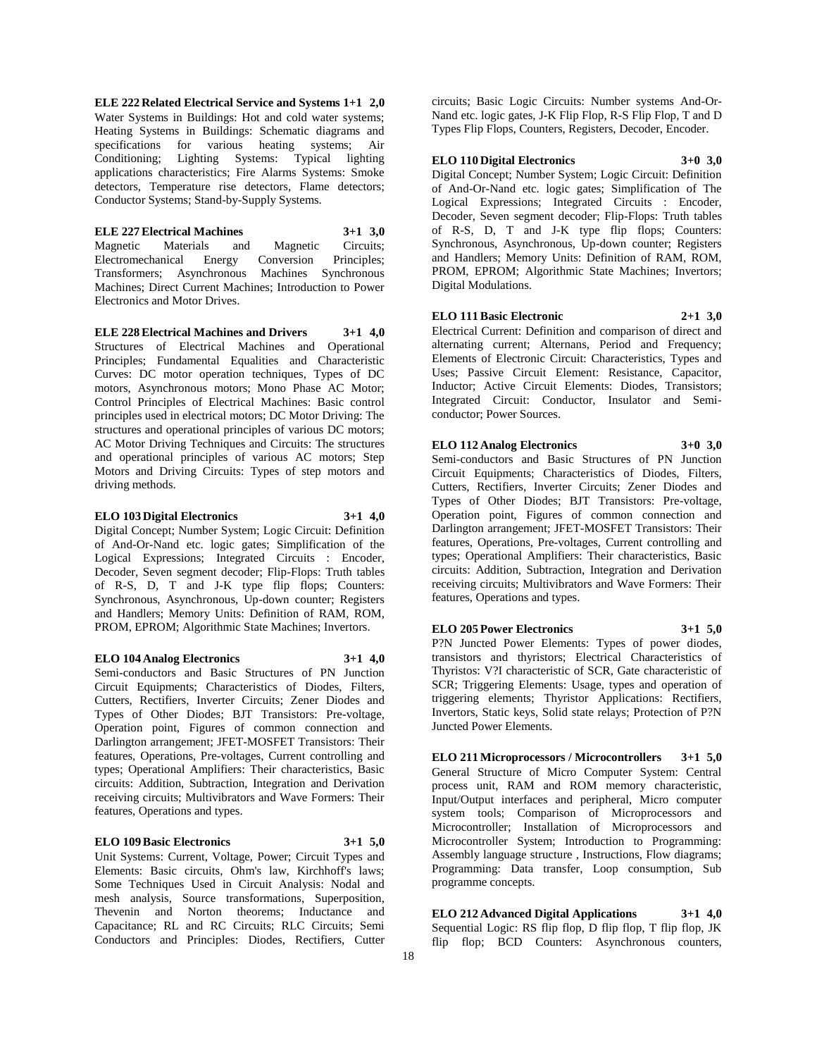**ELE 222 Related Electrical Service and Systems 1+1 2,0** Water Systems in Buildings: Hot and cold water systems; Heating Systems in Buildings: Schematic diagrams and specifications for various heating systems; Air Conditioning; Lighting Systems: Typical lighting applications characteristics; Fire Alarms Systems: Smoke detectors, Temperature rise detectors, Flame detectors; Conductor Systems; Stand-by-Supply Systems.

**ELE 227 Electrical Machines 3+1 3,0** Magnetic Materials and Magnetic Circuits; Electromechanical Energy Conversion Principles; Transformers; Asynchronous Machines Synchronous Machines; Direct Current Machines; Introduction to Power Electronics and Motor Drives.

**ELE 228 Electrical Machines and Drivers 3+1 4,0** Structures of Electrical Machines and Operational Principles; Fundamental Equalities and Characteristic Curves: DC motor operation techniques, Types of DC motors, Asynchronous motors; Mono Phase AC Motor; Control Principles of Electrical Machines: Basic control principles used in electrical motors; DC Motor Driving: The structures and operational principles of various DC motors; AC Motor Driving Techniques and Circuits: The structures and operational principles of various AC motors; Step Motors and Driving Circuits: Types of step motors and driving methods.

## **ELO 103 Digital Electronics 3+1 4,0**

Digital Concept; Number System; Logic Circuit: Definition of And-Or-Nand etc. logic gates; Simplification of the Logical Expressions; Integrated Circuits : Encoder, Decoder, Seven segment decoder; Flip-Flops: Truth tables of R-S, D, T and J-K type flip flops; Counters: Synchronous, Asynchronous, Up-down counter; Registers and Handlers; Memory Units: Definition of RAM, ROM, PROM, EPROM; Algorithmic State Machines; Invertors.

## **ELO 104 Analog Electronics 3+1 4,0**

Semi-conductors and Basic Structures of PN Junction Circuit Equipments; Characteristics of Diodes, Filters, Cutters, Rectifiers, Inverter Circuits; Zener Diodes and Types of Other Diodes; BJT Transistors: Pre-voltage, Operation point, Figures of common connection and Darlington arrangement; JFET-MOSFET Transistors: Their

features, Operations, Pre-voltages, Current controlling and types; Operational Amplifiers: Their characteristics, Basic circuits: Addition, Subtraction, Integration and Derivation receiving circuits; Multivibrators and Wave Formers: Their features, Operations and types.

#### **ELO 109 Basic Electronics 3+1 5,0**

Unit Systems: Current, Voltage, Power; Circuit Types and Elements: Basic circuits, Ohm's law, Kirchhoff's laws; Some Techniques Used in Circuit Analysis: Nodal and mesh analysis, Source transformations, Superposition, Thevenin and Norton theorems; Inductance and Capacitance; RL and RC Circuits; RLC Circuits; Semi Conductors and Principles: Diodes, Rectifiers, Cutter

circuits; Basic Logic Circuits: Number systems And-Or-Nand etc. logic gates, J-K Flip Flop, R-S Flip Flop, T and D Types Flip Flops, Counters, Registers, Decoder, Encoder.

#### **ELO 110 Digital Electronics 3+0 3,0**

Digital Concept; Number System; Logic Circuit: Definition of And-Or-Nand etc. logic gates; Simplification of The Logical Expressions; Integrated Circuits : Encoder, Decoder, Seven segment decoder; Flip-Flops: Truth tables of R-S, D, T and J-K type flip flops; Counters: Synchronous, Asynchronous, Up-down counter; Registers and Handlers; Memory Units: Definition of RAM, ROM, PROM, EPROM; Algorithmic State Machines; Invertors; Digital Modulations.

**ELO 111 Basic Electronic 2+1 3,0**

Electrical Current: Definition and comparison of direct and alternating current; Alternans, Period and Frequency; Elements of Electronic Circuit: Characteristics, Types and Uses; Passive Circuit Element: Resistance, Capacitor, Inductor; Active Circuit Elements: Diodes, Transistors; Integrated Circuit: Conductor, Insulator and Semiconductor; Power Sources.

## **ELO 112 Analog Electronics 3+0 3,0**

Semi-conductors and Basic Structures of PN Junction Circuit Equipments; Characteristics of Diodes, Filters, Cutters, Rectifiers, Inverter Circuits; Zener Diodes and Types of Other Diodes; BJT Transistors: Pre-voltage, Operation point, Figures of common connection and Darlington arrangement; JFET-MOSFET Transistors: Their features, Operations, Pre-voltages, Current controlling and types; Operational Amplifiers: Their characteristics, Basic circuits: Addition, Subtraction, Integration and Derivation receiving circuits; Multivibrators and Wave Formers: Their features, Operations and types.

#### **ELO 205 Power Electronics 3+1 5,0**

P?N Juncted Power Elements: Types of power diodes, transistors and thyristors; Electrical Characteristics of Thyristos: V?I characteristic of SCR, Gate characteristic of SCR; Triggering Elements: Usage, types and operation of triggering elements; Thyristor Applications: Rectifiers, Invertors, Static keys, Solid state relays; Protection of P?N Juncted Power Elements.

**ELO 211 Microprocessors / Microcontrollers 3+1 5,0** General Structure of Micro Computer System: Central process unit, RAM and ROM memory characteristic, Input/Output interfaces and peripheral, Micro computer system tools; Comparison of Microprocessors and Microcontroller; Installation of Microprocessors and Microcontroller System; Introduction to Programming: Assembly language structure , Instructions, Flow diagrams; Programming: Data transfer, Loop consumption, Sub programme concepts.

**ELO 212 Advanced Digital Applications 3+1 4,0** Sequential Logic: RS flip flop, D flip flop, T flip flop, JK flip flop; BCD Counters: Asynchronous counters,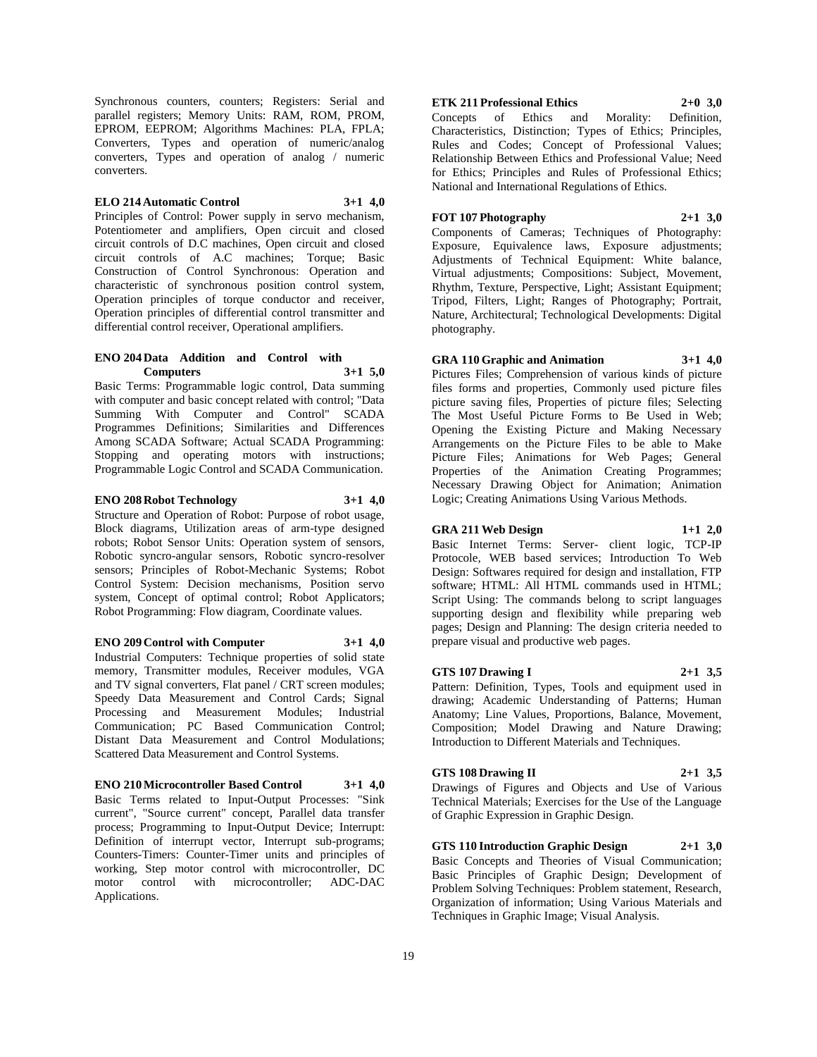Synchronous counters, counters; Registers: Serial and parallel registers; Memory Units: RAM, ROM, PROM, EPROM, EEPROM; Algorithms Machines: PLA, FPLA; Converters, Types and operation of numeric/analog converters, Types and operation of analog / numeric converters.

## **ELO 214 Automatic Control 3+1 4,0**

Principles of Control: Power supply in servo mechanism, Potentiometer and amplifiers, Open circuit and closed circuit controls of D.C machines, Open circuit and closed circuit controls of A.C machines; Torque; Basic Construction of Control Synchronous: Operation and characteristic of synchronous position control system, Operation principles of torque conductor and receiver, Operation principles of differential control transmitter and differential control receiver, Operational amplifiers.

#### **ENO 204 Data Addition and Control with Computers 3+1 5,0**

Basic Terms: Programmable logic control, Data summing with computer and basic concept related with control; "Data Summing With Computer and Control" SCADA Programmes Definitions; Similarities and Differences Among SCADA Software; Actual SCADA Programming: Stopping and operating motors with instructions; Programmable Logic Control and SCADA Communication.

#### **ENO 208 Robot Technology 3+1 4,0**

Structure and Operation of Robot: Purpose of robot usage, Block diagrams, Utilization areas of arm-type designed robots; Robot Sensor Units: Operation system of sensors, Robotic syncro-angular sensors, Robotic syncro-resolver sensors; Principles of Robot-Mechanic Systems; Robot Control System: Decision mechanisms, Position servo system, Concept of optimal control; Robot Applicators; Robot Programming: Flow diagram, Coordinate values.

## **ENO 209 Control with Computer 3+1 4,0**

Industrial Computers: Technique properties of solid state memory, Transmitter modules, Receiver modules, VGA and TV signal converters, Flat panel / CRT screen modules; Speedy Data Measurement and Control Cards; Signal Processing and Measurement Modules; Industrial Communication; PC Based Communication Control; Distant Data Measurement and Control Modulations; Scattered Data Measurement and Control Systems.

## **ENO 210 Microcontroller Based Control 3+1 4,0**

Basic Terms related to Input-Output Processes: "Sink current", "Source current" concept, Parallel data transfer process; Programming to Input-Output Device; Interrupt: Definition of interrupt vector, Interrupt sub-programs; Counters-Timers: Counter-Timer units and principles of working, Step motor control with microcontroller, DC motor control with microcontroller; ADC-DAC Applications.

## **ETK 211 Professional Ethics 2+0 3,0**

Concepts of Ethics and Morality: Definition, Characteristics, Distinction; Types of Ethics; Principles, Rules and Codes; Concept of Professional Values; Relationship Between Ethics and Professional Value; Need for Ethics; Principles and Rules of Professional Ethics; National and International Regulations of Ethics.

#### **FOT 107 Photography 2+1 3,0**

Components of Cameras; Techniques of Photography: Exposure, Equivalence laws, Exposure adjustments; Adjustments of Technical Equipment: White balance, Virtual adjustments; Compositions: Subject, Movement, Rhythm, Texture, Perspective, Light; Assistant Equipment; Tripod, Filters, Light; Ranges of Photography; Portrait, Nature, Architectural; Technological Developments: Digital photography.

## **GRA 110 Graphic and Animation 3+1 4,0**

Pictures Files; Comprehension of various kinds of picture files forms and properties, Commonly used picture files picture saving files, Properties of picture files; Selecting The Most Useful Picture Forms to Be Used in Web; Opening the Existing Picture and Making Necessary Arrangements on the Picture Files to be able to Make Picture Files; Animations for Web Pages; General Properties of the Animation Creating Programmes; Necessary Drawing Object for Animation; Animation Logic; Creating Animations Using Various Methods.

## **GRA 211 Web Design 1+1 2,0**

Basic Internet Terms: Server- client logic, TCP-IP Protocole, WEB based services; Introduction To Web Design: Softwares required for design and installation, FTP software; HTML: All HTML commands used in HTML; Script Using: The commands belong to script languages supporting design and flexibility while preparing web pages; Design and Planning: The design criteria needed to prepare visual and productive web pages.

#### **GTS 107 Drawing I 2+1 3,5**

Pattern: Definition, Types, Tools and equipment used in drawing; Academic Understanding of Patterns; Human Anatomy; Line Values, Proportions, Balance, Movement, Composition; Model Drawing and Nature Drawing; Introduction to Different Materials and Techniques.

#### **GTS 108 Drawing II 2+1 3,5**

Drawings of Figures and Objects and Use of Various Technical Materials; Exercises for the Use of the Language of Graphic Expression in Graphic Design.

**GTS 110 Introduction Graphic Design 2+1 3,0** Basic Concepts and Theories of Visual Communication; Basic Principles of Graphic Design; Development of Problem Solving Techniques: Problem statement, Research, Organization of information; Using Various Materials and Techniques in Graphic Image; Visual Analysis.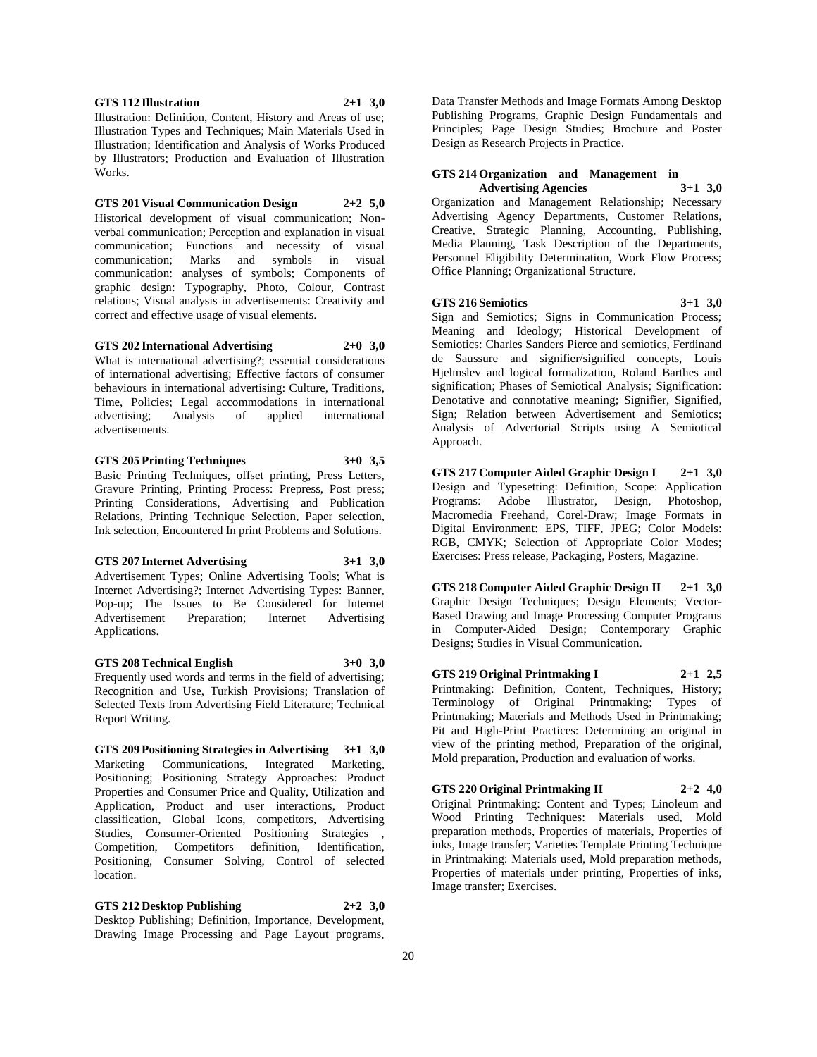**GTS 112 Illustration 2+1 3,0**

Illustration: Definition, Content, History and Areas of use; Illustration Types and Techniques; Main Materials Used in Illustration; Identification and Analysis of Works Produced by Illustrators; Production and Evaluation of Illustration Works.

**GTS 201 Visual Communication Design 2+2 5,0** Historical development of visual communication; Nonverbal communication; Perception and explanation in visual communication; Functions and necessity of visual communication; Marks and symbols in visual communication: analyses of symbols; Components of graphic design: Typography, Photo, Colour, Contrast relations; Visual analysis in advertisements: Creativity and correct and effective usage of visual elements.

**GTS 202 International Advertising 2+0 3,0**

What is international advertising?; essential considerations of international advertising; Effective factors of consumer behaviours in international advertising: Culture, Traditions, Time, Policies; Legal accommodations in international advertising; Analysis of applied international advertisements.

## **GTS 205 Printing Techniques 3+0 3,5**

Basic Printing Techniques, offset printing, Press Letters, Gravure Printing, Printing Process: Prepress, Post press; Printing Considerations, Advertising and Publication Relations, Printing Technique Selection, Paper selection, Ink selection, Encountered In print Problems and Solutions.

## **GTS 207 Internet Advertising 3+1 3,0**

Advertisement Types; Online Advertising Tools; What is Internet Advertising?; Internet Advertising Types: Banner, Pop-up; The Issues to Be Considered for Internet Advertisement Preparation; Internet Advertising Applications.

**GTS 208 Technical English 3+0 3,0**

Frequently used words and terms in the field of advertising; Recognition and Use, Turkish Provisions; Translation of Selected Texts from Advertising Field Literature; Technical Report Writing.

**GTS 209 Positioning Strategies in Advertising 3+1 3,0** Marketing Communications, Integrated Marketing, Positioning; Positioning Strategy Approaches: Product Properties and Consumer Price and Quality, Utilization and Application, Product and user interactions, Product classification, Global Icons, competitors, Advertising Studies, Consumer-Oriented Positioning Strategies , Competition, Competitors definition, Identification, Positioning, Consumer Solving, Control of selected location.

**GTS 212 Desktop Publishing 2+2 3,0** Desktop Publishing; Definition, Importance, Development, Drawing Image Processing and Page Layout programs,

Data Transfer Methods and Image Formats Among Desktop Publishing Programs, Graphic Design Fundamentals and Principles; Page Design Studies; Brochure and Poster Design as Research Projects in Practice.

## **GTS 214 Organization and Management in**

**Advertising Agencies 3+1 3,0** Organization and Management Relationship; Necessary Advertising Agency Departments, Customer Relations, Creative, Strategic Planning, Accounting, Publishing, Media Planning, Task Description of the Departments, Personnel Eligibility Determination, Work Flow Process; Office Planning; Organizational Structure.

**GTS 216 Semiotics 3+1 3,0**

Sign and Semiotics; Signs in Communication Process; Meaning and Ideology; Historical Development of Semiotics: Charles Sanders Pierce and semiotics, Ferdinand de Saussure and signifier/signified concepts, Louis Hjelmslev and logical formalization, Roland Barthes and signification; Phases of Semiotical Analysis; Signification: Denotative and connotative meaning; Signifier, Signified, Sign; Relation between Advertisement and Semiotics; Analysis of Advertorial Scripts using A Semiotical Approach.

**GTS 217 Computer Aided Graphic Design I 2+1 3,0** Design and Typesetting: Definition, Scope: Application Programs: Adobe Illustrator, Design, Photoshop, Macromedia Freehand, Corel-Draw; Image Formats in Digital Environment: EPS, TIFF, JPEG; Color Models: RGB, CMYK; Selection of Appropriate Color Modes; Exercises: Press release, Packaging, Posters, Magazine.

**GTS 218 Computer Aided Graphic Design II 2+1 3,0** Graphic Design Techniques; Design Elements; Vector-Based Drawing and Image Processing Computer Programs in Computer-Aided Design; Contemporary Graphic Designs; Studies in Visual Communication.

**GTS 219 Original Printmaking I 2+1 2,5** Printmaking: Definition, Content, Techniques, History; Terminology of Original Printmaking; Types of Printmaking; Materials and Methods Used in Printmaking; Pit and High-Print Practices: Determining an original in view of the printing method, Preparation of the original, Mold preparation, Production and evaluation of works.

**GTS 220 Original Printmaking II 2+2 4,0**

Original Printmaking: Content and Types; Linoleum and Wood Printing Techniques: Materials used, Mold preparation methods, Properties of materials, Properties of inks, Image transfer; Varieties Template Printing Technique in Printmaking: Materials used, Mold preparation methods, Properties of materials under printing, Properties of inks, Image transfer; Exercises.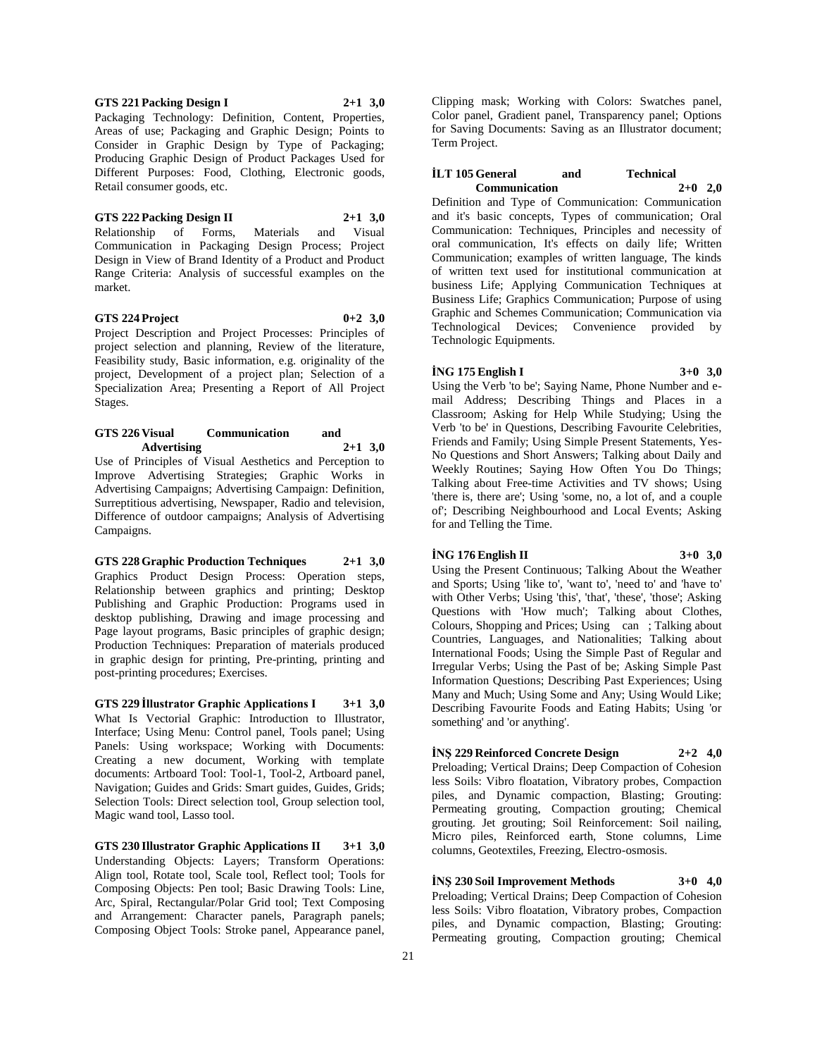**GTS 221 Packing Design I 2+1 3,0** Packaging Technology: Definition, Content, Properties, Areas of use; Packaging and Graphic Design; Points to Consider in Graphic Design by Type of Packaging; Producing Graphic Design of Product Packages Used for Different Purposes: Food, Clothing, Electronic goods, Retail consumer goods, etc.

#### **GTS 222 Packing Design II 2+1 3,0**

Relationship of Forms, Materials and Visual Communication in Packaging Design Process; Project Design in View of Brand Identity of a Product and Product Range Criteria: Analysis of successful examples on the market.

#### **GTS 224 Project 0+2 3,0**

Project Description and Project Processes: Principles of project selection and planning, Review of the literature, Feasibility study, Basic information, e.g. originality of the project, Development of a project plan; Selection of a Specialization Area; Presenting a Report of All Project Stages.

#### **GTS 226 Visual Communication and Advertising 2+1 3,0**

Use of Principles of Visual Aesthetics and Perception to Improve Advertising Strategies; Graphic Works in Advertising Campaigns; Advertising Campaign: Definition, Surreptitious advertising, Newspaper, Radio and television, Difference of outdoor campaigns; Analysis of Advertising Campaigns.

## **GTS 228 Graphic Production Techniques 2+1 3,0**

Graphics Product Design Process: Operation steps, Relationship between graphics and printing; Desktop Publishing and Graphic Production: Programs used in desktop publishing, Drawing and image processing and Page layout programs, Basic principles of graphic design; Production Techniques: Preparation of materials produced in graphic design for printing, Pre-printing, printing and post-printing procedures; Exercises.

**GTS 229 İllustrator Graphic Applications I 3+1 3,0** What Is Vectorial Graphic: Introduction to Illustrator, Interface; Using Menu: Control panel, Tools panel; Using Panels: Using workspace; Working with Documents: Creating a new document, Working with template documents: Artboard Tool: Tool-1, Tool-2, Artboard panel, Navigation; Guides and Grids: Smart guides, Guides, Grids; Selection Tools: Direct selection tool, Group selection tool, Magic wand tool, Lasso tool.

**GTS 230 Illustrator Graphic Applications II 3+1 3,0** Understanding Objects: Layers; Transform Operations: Align tool, Rotate tool, Scale tool, Reflect tool; Tools for Composing Objects: Pen tool; Basic Drawing Tools: Line, Arc, Spiral, Rectangular/Polar Grid tool; Text Composing and Arrangement: Character panels, Paragraph panels; Composing Object Tools: Stroke panel, Appearance panel,

Clipping mask; Working with Colors: Swatches panel, Color panel, Gradient panel, Transparency panel; Options for Saving Documents: Saving as an Illustrator document; Term Project.

#### **İLT 105 General and Technical Communication 2+0 2,0**

Definition and Type of Communication: Communication and it's basic concepts, Types of communication; Oral Communication: Techniques, Principles and necessity of oral communication, It's effects on daily life; Written Communication; examples of written language, The kinds of written text used for institutional communication at business Life; Applying Communication Techniques at Business Life; Graphics Communication; Purpose of using Graphic and Schemes Communication; Communication via Technological Devices; Convenience provided by Technologic Equipments.

## **İNG 175 English I 3+0 3,0**

Using the Verb 'to be'; Saying Name, Phone Number and email Address; Describing Things and Places in a Classroom; Asking for Help While Studying; Using the Verb 'to be' in Questions, Describing Favourite Celebrities, Friends and Family; Using Simple Present Statements, Yes-No Questions and Short Answers; Talking about Daily and Weekly Routines; Saying How Often You Do Things; Talking about Free-time Activities and TV shows; Using 'there is, there are'; Using 'some, no, a lot of, and a couple of'; Describing Neighbourhood and Local Events; Asking for and Telling the Time.

## **İNG 176 English II 3+0 3,0**

Using the Present Continuous; Talking About the Weather and Sports; Using 'like to', 'want to', 'need to' and 'have to' with Other Verbs; Using 'this', 'that', 'these', 'those'; Asking Questions with 'How much'; Talking about Clothes, Colours, Shopping and Prices; Using can; Talking about Countries, Languages, and Nationalities; Talking about International Foods; Using the Simple Past of Regular and Irregular Verbs; Using the Past of be; Asking Simple Past Information Questions; Describing Past Experiences; Using Many and Much; Using Some and Any; Using Would Like; Describing Favourite Foods and Eating Habits; Using 'or something' and 'or anything'.

#### **İNŞ 229 Reinforced Concrete Design 2+2 4,0**

Preloading; Vertical Drains; Deep Compaction of Cohesion less Soils: Vibro floatation, Vibratory probes, Compaction piles, and Dynamic compaction, Blasting; Grouting: Permeating grouting, Compaction grouting; Chemical grouting. Jet grouting; Soil Reinforcement: Soil nailing, Micro piles, Reinforced earth, Stone columns, Lime columns, Geotextiles, Freezing, Electro-osmosis.

#### **İNŞ 230 Soil Improvement Methods 3+0 4,0** Preloading; Vertical Drains; Deep Compaction of Cohesion

less Soils: Vibro floatation, Vibratory probes, Compaction piles, and Dynamic compaction, Blasting; Grouting: Permeating grouting, Compaction grouting; Chemical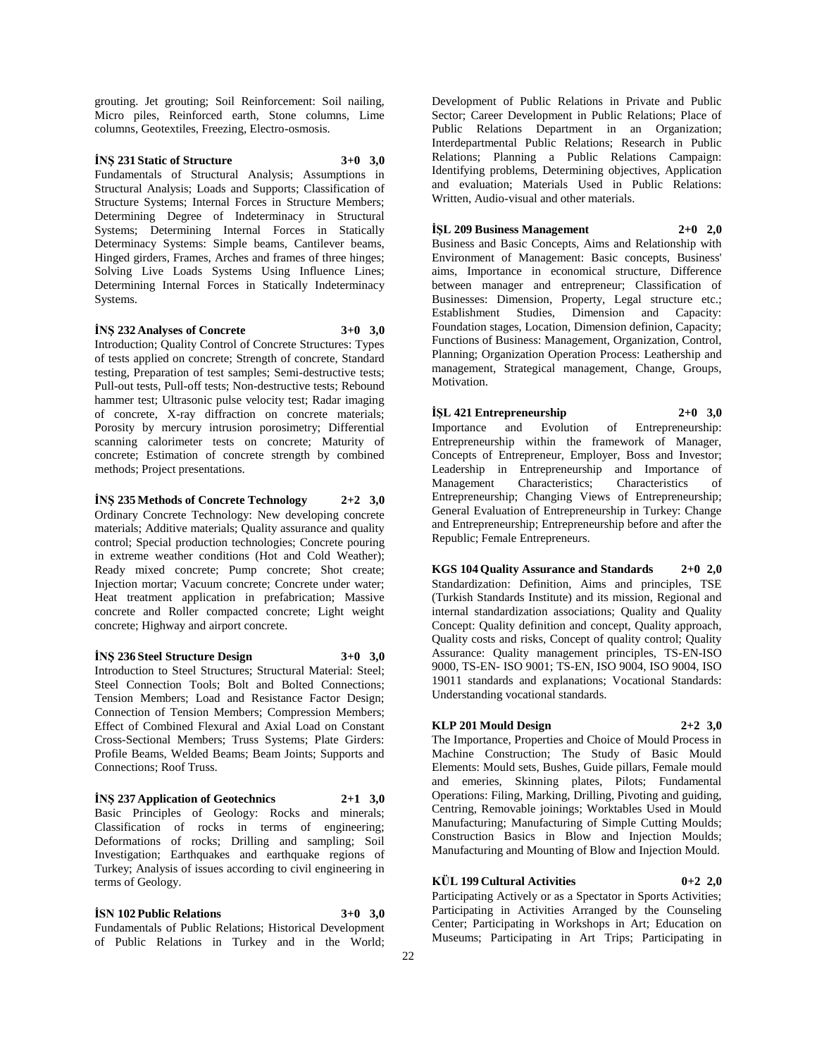grouting. Jet grouting; Soil Reinforcement: Soil nailing, Micro piles, Reinforced earth, Stone columns, Lime columns, Geotextiles, Freezing, Electro-osmosis.

## **İNŞ 231 Static of Structure 3+0 3,0**

Fundamentals of Structural Analysis; Assumptions in Structural Analysis; Loads and Supports; Classification of Structure Systems; Internal Forces in Structure Members; Determining Degree of Indeterminacy in Structural Systems; Determining Internal Forces in Statically Determinacy Systems: Simple beams, Cantilever beams, Hinged girders, Frames, Arches and frames of three hinges; Solving Live Loads Systems Using Influence Lines; Determining Internal Forces in Statically Indeterminacy Systems.

**İNŞ 232 Analyses of Concrete 3+0 3,0** Introduction; Quality Control of Concrete Structures: Types of tests applied on concrete; Strength of concrete, Standard testing, Preparation of test samples; Semi-destructive tests; Pull-out tests, Pull-off tests; Non-destructive tests; Rebound hammer test; Ultrasonic pulse velocity test; Radar imaging of concrete, X-ray diffraction on concrete materials; Porosity by mercury intrusion porosimetry; Differential scanning calorimeter tests on concrete; Maturity of concrete; Estimation of concrete strength by combined methods; Project presentations.

**İNŞ 235 Methods of Concrete Technology 2+2 3,0** Ordinary Concrete Technology: New developing concrete materials; Additive materials; Quality assurance and quality control; Special production technologies; Concrete pouring in extreme weather conditions (Hot and Cold Weather); Ready mixed concrete; Pump concrete; Shot create; Injection mortar; Vacuum concrete; Concrete under water; Heat treatment application in prefabrication; Massive concrete and Roller compacted concrete; Light weight concrete; Highway and airport concrete.

## **İNŞ 236 Steel Structure Design 3+0 3,0**

Introduction to Steel Structures; Structural Material: Steel; Steel Connection Tools; Bolt and Bolted Connections; Tension Members; Load and Resistance Factor Design; Connection of Tension Members; Compression Members; Effect of Combined Flexural and Axial Load on Constant Cross-Sectional Members; Truss Systems; Plate Girders: Profile Beams, Welded Beams; Beam Joints; Supports and Connections; Roof Truss.

**İNŞ 237 Application of Geotechnics 2+1 3,0** Basic Principles of Geology: Rocks and minerals; Classification of rocks in terms of engineering; Deformations of rocks; Drilling and sampling; Soil Investigation; Earthquakes and earthquake regions of

Turkey; Analysis of issues according to civil engineering in

terms of Geology.

**İSN 102 Public Relations 3+0 3,0** Fundamentals of Public Relations; Historical Development of Public Relations in Turkey and in the World; Development of Public Relations in Private and Public Sector; Career Development in Public Relations; Place of Public Relations Department in an Organization; Interdepartmental Public Relations; Research in Public Relations; Planning a Public Relations Campaign: Identifying problems, Determining objectives, Application and evaluation; Materials Used in Public Relations: Written, Audio-visual and other materials.

**İŞL 209 Business Management 2+0 2,0**

Business and Basic Concepts, Aims and Relationship with Environment of Management: Basic concepts, Business' aims, Importance in economical structure, Difference between manager and entrepreneur; Classification of Businesses: Dimension, Property, Legal structure etc.; Establishment Studies, Dimension and Capacity: Foundation stages, Location, Dimension definion, Capacity; Functions of Business: Management, Organization, Control, Planning; Organization Operation Process: Leathership and management, Strategical management, Change, Groups, Motivation.

**İŞL 421 Entrepreneurship 2+0 3,0** Importance and Evolution of Entrepreneurship: Entrepreneurship within the framework of Manager, Concepts of Entrepreneur, Employer, Boss and Investor; Leadership in Entrepreneurship and Importance of Characteristics; Characteristics of Entrepreneurship; Changing Views of Entrepreneurship; General Evaluation of Entrepreneurship in Turkey: Change and Entrepreneurship; Entrepreneurship before and after the Republic; Female Entrepreneurs.

**KGS 104 Quality Assurance and Standards 2+0 2,0** Standardization: Definition, Aims and principles, TSE (Turkish Standards Institute) and its mission, Regional and internal standardization associations; Quality and Quality Concept: Quality definition and concept, Quality approach, Quality costs and risks, Concept of quality control; Quality Assurance: Quality management principles, TS-EN-ISO 9000, TS-EN- ISO 9001; TS-EN, ISO 9004, ISO 9004, ISO 19011 standards and explanations; Vocational Standards: Understanding vocational standards.

## **KLP 201 Mould Design 2+2 3,0**

The Importance, Properties and Choice of Mould Process in Machine Construction; The Study of Basic Mould Elements: Mould sets, Bushes, Guide pillars, Female mould and emeries, Skinning plates, Pilots; Fundamental Operations: Filing, Marking, Drilling, Pivoting and guiding, Centring, Removable joinings; Worktables Used in Mould Manufacturing; Manufacturing of Simple Cutting Moulds; Construction Basics in Blow and Injection Moulds; Manufacturing and Mounting of Blow and Injection Mould.

## **KÜL 199 Cultural Activities 0+2 2,0**

Participating Actively or as a Spectator in Sports Activities; Participating in Activities Arranged by the Counseling Center; Participating in Workshops in Art; Education on Museums; Participating in Art Trips; Participating in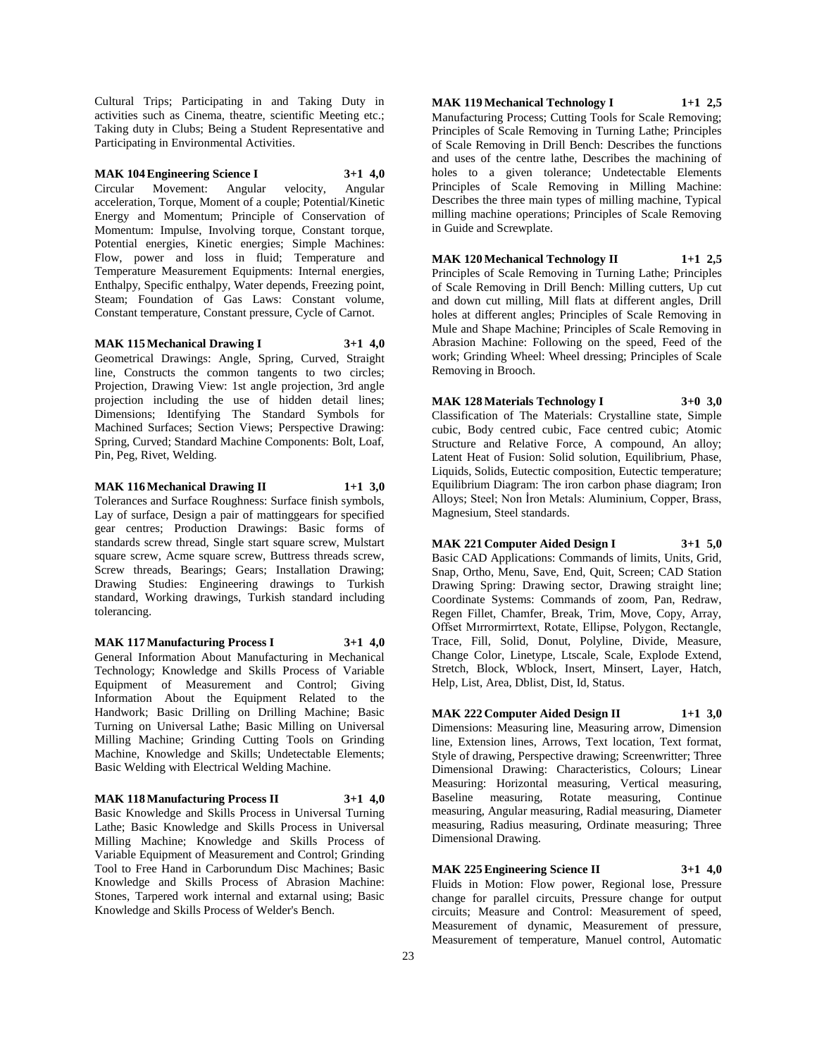Cultural Trips; Participating in and Taking Duty in activities such as Cinema, theatre, scientific Meeting etc.; Taking duty in Clubs; Being a Student Representative and Participating in Environmental Activities.

## **MAK 104 Engineering Science I 3+1 4,0**

Circular Movement: Angular velocity, Angular acceleration, Torque, Moment of a couple; Potential/Kinetic Energy and Momentum; Principle of Conservation of Momentum: Impulse, Involving torque, Constant torque, Potential energies, Kinetic energies; Simple Machines: Flow, power and loss in fluid; Temperature and Temperature Measurement Equipments: Internal energies, Enthalpy, Specific enthalpy, Water depends, Freezing point, Steam; Foundation of Gas Laws: Constant volume, Constant temperature, Constant pressure, Cycle of Carnot.

#### **MAK 115 Mechanical Drawing I 3+1 4,0**

Geometrical Drawings: Angle, Spring, Curved, Straight line, Constructs the common tangents to two circles; Projection, Drawing View: 1st angle projection, 3rd angle projection including the use of hidden detail lines; Dimensions; Identifying The Standard Symbols for Machined Surfaces; Section Views; Perspective Drawing: Spring, Curved; Standard Machine Components: Bolt, Loaf, Pin, Peg, Rivet, Welding.

#### **MAK 116 Mechanical Drawing II 1+1 3,0**

Tolerances and Surface Roughness: Surface finish symbols, Lay of surface, Design a pair of mattinggears for specified gear centres; Production Drawings: Basic forms of standards screw thread, Single start square screw, Mulstart square screw, Acme square screw, Buttress threads screw, Screw threads, Bearings; Gears; Installation Drawing; Drawing Studies: Engineering drawings to Turkish standard, Working drawings, Turkish standard including tolerancing.

## **MAK 117 Manufacturing Process I 3+1 4,0**

General Information About Manufacturing in Mechanical Technology; Knowledge and Skills Process of Variable Equipment of Measurement and Control; Giving Information About the Equipment Related to the Handwork; Basic Drilling on Drilling Machine; Basic Turning on Universal Lathe; Basic Milling on Universal Milling Machine; Grinding Cutting Tools on Grinding Machine, Knowledge and Skills; Undetectable Elements; Basic Welding with Electrical Welding Machine.

## **MAK 118 Manufacturing Process II 3+1 4,0**

Basic Knowledge and Skills Process in Universal Turning Lathe; Basic Knowledge and Skills Process in Universal Milling Machine; Knowledge and Skills Process of Variable Equipment of Measurement and Control; Grinding Tool to Free Hand in Carborundum Disc Machines; Basic Knowledge and Skills Process of Abrasion Machine: Stones, Tarpered work internal and extarnal using; Basic Knowledge and Skills Process of Welder's Bench.

**MAK 119 Mechanical Technology I 1+1 2,5** Manufacturing Process; Cutting Tools for Scale Removing; Principles of Scale Removing in Turning Lathe; Principles of Scale Removing in Drill Bench: Describes the functions and uses of the centre lathe, Describes the machining of holes to a given tolerance; Undetectable Elements Principles of Scale Removing in Milling Machine: Describes the three main types of milling machine, Typical milling machine operations; Principles of Scale Removing in Guide and Screwplate.

**MAK 120 Mechanical Technology II 1+1 2,5** Principles of Scale Removing in Turning Lathe; Principles of Scale Removing in Drill Bench: Milling cutters, Up cut and down cut milling, Mill flats at different angles, Drill holes at different angles; Principles of Scale Removing in Mule and Shape Machine; Principles of Scale Removing in Abrasion Machine: Following on the speed, Feed of the work; Grinding Wheel: Wheel dressing; Principles of Scale Removing in Brooch.

**MAK 128 Materials Technology I 3+0 3,0** Classification of The Materials: Crystalline state, Simple cubic, Body centred cubic, Face centred cubic; Atomic Structure and Relative Force, A compound, An alloy; Latent Heat of Fusion: Solid solution, Equilibrium, Phase, Liquids, Solids, Eutectic composition, Eutectic temperature; Equilibrium Diagram: The iron carbon phase diagram; Iron Alloys; Steel; Non İron Metals: Aluminium, Copper, Brass, Magnesium, Steel standards.

## **MAK 221 Computer Aided Design I 3+1 5,0**

Basic CAD Applications: Commands of limits, Units, Grid, Snap, Ortho, Menu, Save, End, Quit, Screen; CAD Station Drawing Spring: Drawing sector, Drawing straight line; Coordinate Systems: Commands of zoom, Pan, Redraw, Regen Fillet, Chamfer, Break, Trim, Move, Copy, Array, Offset Mırrormirrtext, Rotate, Ellipse, Polygon, Rectangle, Trace, Fill, Solid, Donut, Polyline, Divide, Measure, Change Color, Linetype, Ltscale, Scale, Explode Extend, Stretch, Block, Wblock, Insert, Minsert, Layer, Hatch, Help, List, Area, Dblist, Dist, Id, Status.

**MAK 222 Computer Aided Design II 1+1 3,0** Dimensions: Measuring line, Measuring arrow, Dimension line, Extension lines, Arrows, Text location, Text format, Style of drawing, Perspective drawing; Screenwritter; Three Dimensional Drawing: Characteristics, Colours; Linear Measuring: Horizontal measuring, Vertical measuring, Baseline measuring, Rotate measuring, Continue measuring, Angular measuring, Radial measuring, Diameter measuring, Radius measuring, Ordinate measuring; Three Dimensional Drawing.

## **MAK 225 Engineering Science II 3+1 4,0** Fluids in Motion: Flow power, Regional lose, Pressure

change for parallel circuits, Pressure change for output circuits; Measure and Control: Measurement of speed, Measurement of dynamic, Measurement of pressure, Measurement of temperature, Manuel control, Automatic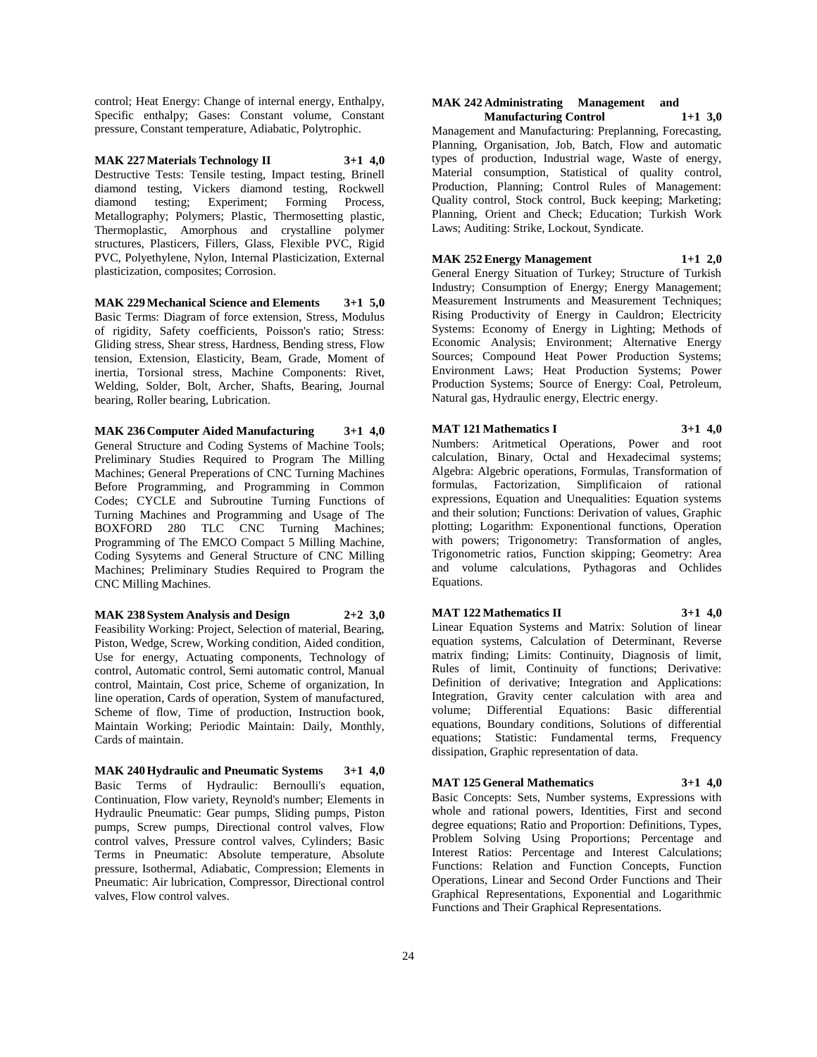control; Heat Energy: Change of internal energy, Enthalpy, Specific enthalpy; Gases: Constant volume, Constant pressure, Constant temperature, Adiabatic, Polytrophic.

## **MAK 227 Materials Technology II 3+1 4,0**

Destructive Tests: Tensile testing, Impact testing, Brinell diamond testing, Vickers diamond testing, Rockwell diamond testing; Experiment; Forming Process, Metallography; Polymers; Plastic, Thermosetting plastic, Thermoplastic, Amorphous and crystalline polymer structures, Plasticers, Fillers, Glass, Flexible PVC, Rigid PVC, Polyethylene, Nylon, Internal Plasticization, External plasticization, composites; Corrosion.

**MAK 229 Mechanical Science and Elements 3+1 5,0** Basic Terms: Diagram of force extension, Stress, Modulus of rigidity, Safety coefficients, Poisson's ratio; Stress: Gliding stress, Shear stress, Hardness, Bending stress, Flow tension, Extension, Elasticity, Beam, Grade, Moment of inertia, Torsional stress, Machine Components: Rivet, Welding, Solder, Bolt, Archer, Shafts, Bearing, Journal bearing, Roller bearing, Lubrication.

**MAK 236 Computer Aided Manufacturing 3+1 4,0** General Structure and Coding Systems of Machine Tools; Preliminary Studies Required to Program The Milling Machines; General Preperations of CNC Turning Machines Before Programming, and Programming in Common Codes; CYCLE and Subroutine Turning Functions of Turning Machines and Programming and Usage of The BOXFORD 280 TLC CNC Turning Machines; Programming of The EMCO Compact 5 Milling Machine, Coding Sysytems and General Structure of CNC Milling Machines; Preliminary Studies Required to Program the CNC Milling Machines.

## **MAK 238 System Analysis and Design 2+2 3,0**

Feasibility Working: Project, Selection of material, Bearing, Piston, Wedge, Screw, Working condition, Aided condition, Use for energy, Actuating components, Technology of control, Automatic control, Semi automatic control, Manual control, Maintain, Cost price, Scheme of organization, In line operation, Cards of operation, System of manufactured, Scheme of flow, Time of production, Instruction book, Maintain Working; Periodic Maintain: Daily, Monthly, Cards of maintain.

**MAK 240 Hydraulic and Pneumatic Systems 3+1 4,0** Basic Terms of Hydraulic: Bernoulli's equation, Continuation, Flow variety, Reynold's number; Elements in Hydraulic Pneumatic: Gear pumps, Sliding pumps, Piston pumps, Screw pumps, Directional control valves, Flow control valves, Pressure control valves, Cylinders; Basic Terms in Pneumatic: Absolute temperature, Absolute pressure, Isothermal, Adiabatic, Compression; Elements in Pneumatic: Air lubrication, Compressor, Directional control valves, Flow control valves.

#### **MAK 242 Administrating Management and Manufacturing Control 1+1 3,0**

Management and Manufacturing: Preplanning, Forecasting, Planning, Organisation, Job, Batch, Flow and automatic types of production, Industrial wage, Waste of energy, Material consumption, Statistical of quality control, Production, Planning; Control Rules of Management: Quality control, Stock control, Buck keeping; Marketing; Planning, Orient and Check; Education; Turkish Work Laws; Auditing: Strike, Lockout, Syndicate.

## **MAK 252 Energy Management 1+1 2,0**

General Energy Situation of Turkey; Structure of Turkish Industry; Consumption of Energy; Energy Management; Measurement Instruments and Measurement Techniques; Rising Productivity of Energy in Cauldron; Electricity Systems: Economy of Energy in Lighting; Methods of Economic Analysis; Environment; Alternative Energy Sources; Compound Heat Power Production Systems; Environment Laws; Heat Production Systems; Power Production Systems; Source of Energy: Coal, Petroleum, Natural gas, Hydraulic energy, Electric energy.

## **MAT 121 Mathematics I 3+1 4,0**

Numbers: Aritmetical Operations, Power and root calculation, Binary, Octal and Hexadecimal systems; Algebra: Algebric operations, Formulas, Transformation of formulas, Factorization, Simplificaion of rational expressions, Equation and Unequalities: Equation systems and their solution; Functions: Derivation of values, Graphic plotting; Logarithm: Exponentional functions, Operation with powers; Trigonometry: Transformation of angles, Trigonometric ratios, Function skipping; Geometry: Area and volume calculations, Pythagoras and Ochlides Equations.

#### **MAT 122 Mathematics II 3+1 4,0**

Linear Equation Systems and Matrix: Solution of linear equation systems, Calculation of Determinant, Reverse matrix finding; Limits: Continuity, Diagnosis of limit, Rules of limit, Continuity of functions; Derivative: Definition of derivative; Integration and Applications: Integration, Gravity center calculation with area and volume; Differential Equations: Basic differential equations, Boundary conditions, Solutions of differential equations; Statistic: Fundamental terms, Frequency dissipation, Graphic representation of data.

#### **MAT 125 General Mathematics 3+1 4,0**

Basic Concepts: Sets, Number systems, Expressions with whole and rational powers, Identities, First and second degree equations; Ratio and Proportion: Definitions, Types, Problem Solving Using Proportions; Percentage and Interest Ratios: Percentage and Interest Calculations; Functions: Relation and Function Concepts, Function Operations, Linear and Second Order Functions and Their Graphical Representations, Exponential and Logarithmic Functions and Their Graphical Representations.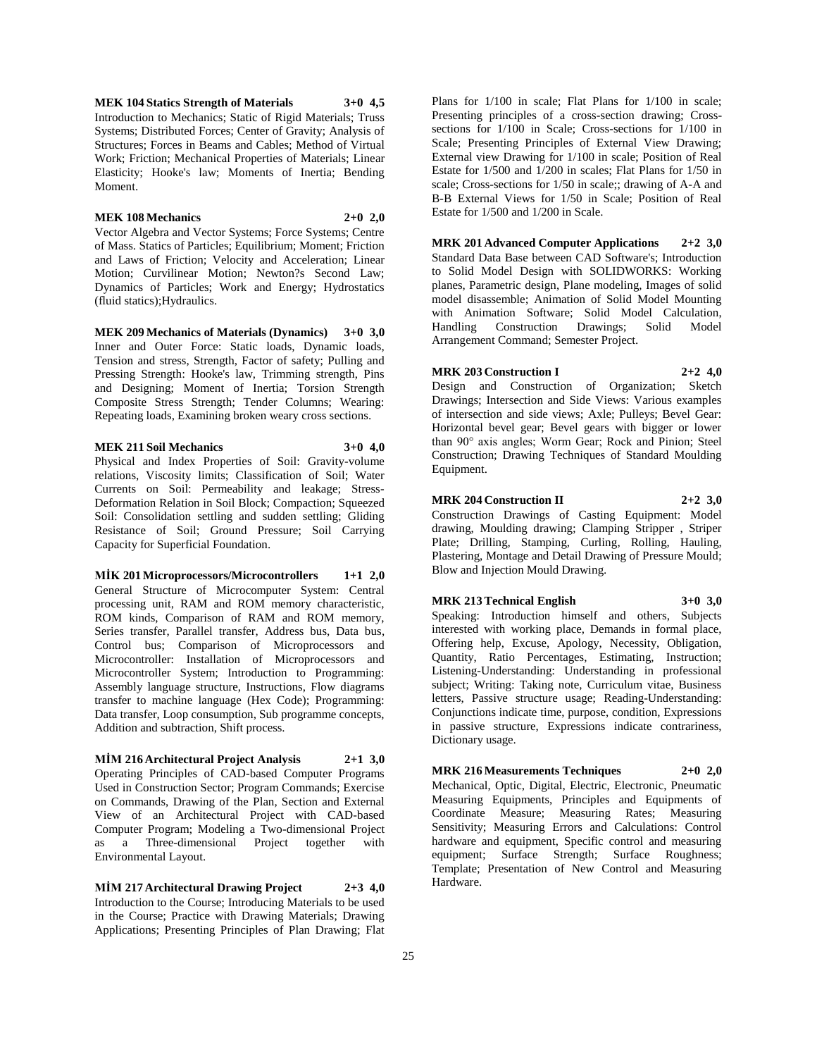**MEK 104 Statics Strength of Materials 3+0 4,5** Introduction to Mechanics; Static of Rigid Materials; Truss Systems; Distributed Forces; Center of Gravity; Analysis of Structures; Forces in Beams and Cables; Method of Virtual Work; Friction; Mechanical Properties of Materials; Linear Elasticity; Hooke's law; Moments of Inertia; Bending Moment.

#### **MEK 108 Mechanics 2+0 2,0**

Vector Algebra and Vector Systems; Force Systems; Centre of Mass. Statics of Particles; Equilibrium; Moment; Friction and Laws of Friction; Velocity and Acceleration; Linear Motion; Curvilinear Motion; Newton?s Second Law; Dynamics of Particles; Work and Energy; Hydrostatics (fluid statics);Hydraulics.

**MEK 209 Mechanics of Materials (Dynamics) 3+0 3,0** Inner and Outer Force: Static loads, Dynamic loads, Tension and stress, Strength, Factor of safety; Pulling and Pressing Strength: Hooke's law, Trimming strength, Pins and Designing; Moment of Inertia; Torsion Strength Composite Stress Strength; Tender Columns; Wearing: Repeating loads, Examining broken weary cross sections.

#### **MEK 211 Soil Mechanics 3+0 4,0**

Physical and Index Properties of Soil: Gravity-volume relations, Viscosity limits; Classification of Soil; Water Currents on Soil: Permeability and leakage; Stress-Deformation Relation in Soil Block; Compaction; Squeezed Soil: Consolidation settling and sudden settling; Gliding Resistance of Soil; Ground Pressure; Soil Carrying Capacity for Superficial Foundation.

#### **MİK 201 Microprocessors/Microcontrollers 1+1 2,0**

General Structure of Microcomputer System: Central processing unit, RAM and ROM memory characteristic, ROM kinds, Comparison of RAM and ROM memory, Series transfer, Parallel transfer, Address bus, Data bus, Control bus; Comparison of Microprocessors and Microcontroller: Installation of Microprocessors and Microcontroller System; Introduction to Programming: Assembly language structure, Instructions, Flow diagrams transfer to machine language (Hex Code); Programming: Data transfer, Loop consumption, Sub programme concepts, Addition and subtraction, Shift process.

#### **MİM 216 Architectural Project Analysis 2+1 3,0**

Operating Principles of CAD-based Computer Programs Used in Construction Sector; Program Commands; Exercise on Commands, Drawing of the Plan, Section and External View of an Architectural Project with CAD-based Computer Program; Modeling a Two-dimensional Project as a Three-dimensional Project together with Environmental Layout.

**MİM 217 Architectural Drawing Project 2+3 4,0** Introduction to the Course; Introducing Materials to be used in the Course; Practice with Drawing Materials; Drawing Applications; Presenting Principles of Plan Drawing; Flat Plans for 1/100 in scale; Flat Plans for 1/100 in scale; Presenting principles of a cross-section drawing; Crosssections for 1/100 in Scale; Cross-sections for 1/100 in Scale; Presenting Principles of External View Drawing; External view Drawing for 1/100 in scale; Position of Real Estate for 1/500 and 1/200 in scales; Flat Plans for 1/50 in scale; Cross-sections for 1/50 in scale;; drawing of A-A and B-B External Views for 1/50 in Scale; Position of Real Estate for 1/500 and 1/200 in Scale.

**MRK 201 Advanced Computer Applications 2+2 3,0** Standard Data Base between CAD Software's; Introduction to Solid Model Design with SOLIDWORKS: Working planes, Parametric design, Plane modeling, Images of solid model disassemble; Animation of Solid Model Mounting with Animation Software; Solid Model Calculation,<br>Handling Construction Drawings; Solid Model Construction Drawings; Solid Model Arrangement Command; Semester Project.

## **MRK 203 Construction I 2+2 4,0**

Design and Construction of Organization; Sketch Drawings; Intersection and Side Views: Various examples of intersection and side views; Axle; Pulleys; Bevel Gear: Horizontal bevel gear; Bevel gears with bigger or lower than 90° axis angles; Worm Gear; Rock and Pinion; Steel Construction; Drawing Techniques of Standard Moulding Equipment.

#### **MRK 204 Construction II 2+2 3,0**

Construction Drawings of Casting Equipment: Model drawing, Moulding drawing; Clamping Stripper , Striper Plate; Drilling, Stamping, Curling, Rolling, Hauling, Plastering, Montage and Detail Drawing of Pressure Mould; Blow and Injection Mould Drawing.

#### **MRK 213 Technical English 3+0 3,0**

Speaking: Introduction himself and others, Subjects interested with working place, Demands in formal place, Offering help, Excuse, Apology, Necessity, Obligation, Quantity, Ratio Percentages, Estimating, Instruction; Listening-Understanding: Understanding in professional subject; Writing: Taking note, Curriculum vitae, Business letters, Passive structure usage; Reading-Understanding: Conjunctions indicate time, purpose, condition, Expressions in passive structure, Expressions indicate contrariness, Dictionary usage.

## **MRK 216 Measurements Techniques 2+0 2,0**

Mechanical, Optic, Digital, Electric, Electronic, Pneumatic Measuring Equipments, Principles and Equipments of Coordinate Measure; Measuring Rates; Measuring Sensitivity; Measuring Errors and Calculations: Control hardware and equipment, Specific control and measuring equipment; Surface Strength; Surface Roughness; Template; Presentation of New Control and Measuring Hardware.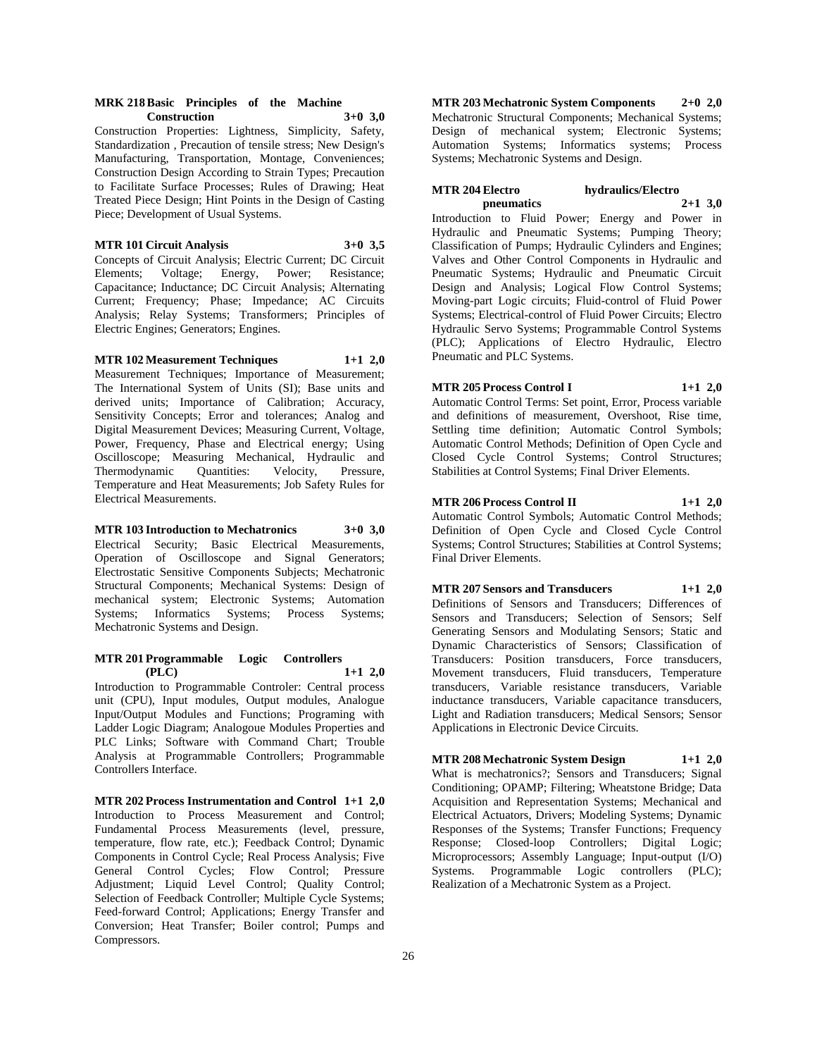#### **MRK 218 Basic Principles of the Machine Construction 3+0 3,0**

Construction Properties: Lightness, Simplicity, Safety, Standardization , Precaution of tensile stress; New Design's Manufacturing, Transportation, Montage, Conveniences; Construction Design According to Strain Types; Precaution to Facilitate Surface Processes; Rules of Drawing; Heat Treated Piece Design; Hint Points in the Design of Casting Piece; Development of Usual Systems.

## **MTR 101 Circuit Analysis 3+0 3,5**

Concepts of Circuit Analysis; Electric Current; DC Circuit Elements; Voltage; Energy, Power; Resistance; Capacitance; Inductance; DC Circuit Analysis; Alternating Current; Frequency; Phase; Impedance; AC Circuits Analysis; Relay Systems; Transformers; Principles of Electric Engines; Generators; Engines.

## **MTR 102 Measurement Techniques 1+1 2,0**

Measurement Techniques; Importance of Measurement; The International System of Units (SI); Base units and derived units; Importance of Calibration; Accuracy, Sensitivity Concepts; Error and tolerances; Analog and Digital Measurement Devices; Measuring Current, Voltage, Power, Frequency, Phase and Electrical energy; Using Oscilloscope; Measuring Mechanical, Hydraulic and Thermodynamic Quantities: Velocity, Pressure, Temperature and Heat Measurements; Job Safety Rules for Electrical Measurements.

#### **MTR 103 Introduction to Mechatronics 3+0 3,0**

Electrical Security; Basic Electrical Measurements, Operation of Oscilloscope and Signal Generators; Electrostatic Sensitive Components Subjects; Mechatronic Structural Components; Mechanical Systems: Design of mechanical system; Electronic Systems; Automation Systems; Informatics Systems; Process Systems; Mechatronic Systems and Design.

#### **MTR 201 Programmable Logic Controllers (PLC) 1+1 2,0**

Introduction to Programmable Controler: Central process unit (CPU), Input modules, Output modules, Analogue Input/Output Modules and Functions; Programing with Ladder Logic Diagram; Analogoue Modules Properties and PLC Links; Software with Command Chart; Trouble Analysis at Programmable Controllers; Programmable Controllers Interface.

**MTR 202 Process Instrumentation and Control 1+1 2,0** Introduction to Process Measurement and Control; Fundamental Process Measurements (level, pressure, temperature, flow rate, etc.); Feedback Control; Dynamic Components in Control Cycle; Real Process Analysis; Five General Control Cycles; Flow Control; Pressure Adjustment; Liquid Level Control; Quality Control; Selection of Feedback Controller; Multiple Cycle Systems; Feed-forward Control; Applications; Energy Transfer and Conversion; Heat Transfer; Boiler control; Pumps and Compressors.

**MTR 203 Mechatronic System Components 2+0 2,0** Mechatronic Structural Components; Mechanical Systems; Design of mechanical system; Electronic Systems; Automation Systems; Informatics systems; Process Systems; Mechatronic Systems and Design.

## **MTR 204 Electro hydraulics/Electro pneumatics 2+1 3,0**

Introduction to Fluid Power; Energy and Power in Hydraulic and Pneumatic Systems; Pumping Theory; Classification of Pumps; Hydraulic Cylinders and Engines; Valves and Other Control Components in Hydraulic and Pneumatic Systems; Hydraulic and Pneumatic Circuit Design and Analysis; Logical Flow Control Systems; Moving-part Logic circuits; Fluid-control of Fluid Power Systems; Electrical-control of Fluid Power Circuits; Electro Hydraulic Servo Systems; Programmable Control Systems (PLC); Applications of Electro Hydraulic, Electro Pneumatic and PLC Systems.

#### **MTR 205 Process Control I 1+1 2,0**

Automatic Control Terms: Set point, Error, Process variable and definitions of measurement, Overshoot, Rise time, Settling time definition; Automatic Control Symbols; Automatic Control Methods; Definition of Open Cycle and Closed Cycle Control Systems; Control Structures; Stabilities at Control Systems; Final Driver Elements.

## **MTR 206 Process Control II 1+1 2,0**

Automatic Control Symbols; Automatic Control Methods; Definition of Open Cycle and Closed Cycle Control Systems; Control Structures; Stabilities at Control Systems; Final Driver Elements.

## **MTR 207 Sensors and Transducers 1+1 2,0**

Definitions of Sensors and Transducers; Differences of Sensors and Transducers; Selection of Sensors; Self Generating Sensors and Modulating Sensors; Static and Dynamic Characteristics of Sensors; Classification of Transducers: Position transducers, Force transducers, Movement transducers, Fluid transducers, Temperature transducers, Variable resistance transducers, Variable inductance transducers, Variable capacitance transducers, Light and Radiation transducers; Medical Sensors; Sensor Applications in Electronic Device Circuits.

## **MTR 208 Mechatronic System Design 1+1 2,0**

What is mechatronics?; Sensors and Transducers; Signal Conditioning; OPAMP; Filtering; Wheatstone Bridge; Data Acquisition and Representation Systems; Mechanical and Electrical Actuators, Drivers; Modeling Systems; Dynamic Responses of the Systems; Transfer Functions; Frequency Response; Closed-loop Controllers; Digital Logic; Microprocessors; Assembly Language; Input-output (I/O) Systems. Programmable Logic controllers (PLC); Realization of a Mechatronic System as a Project.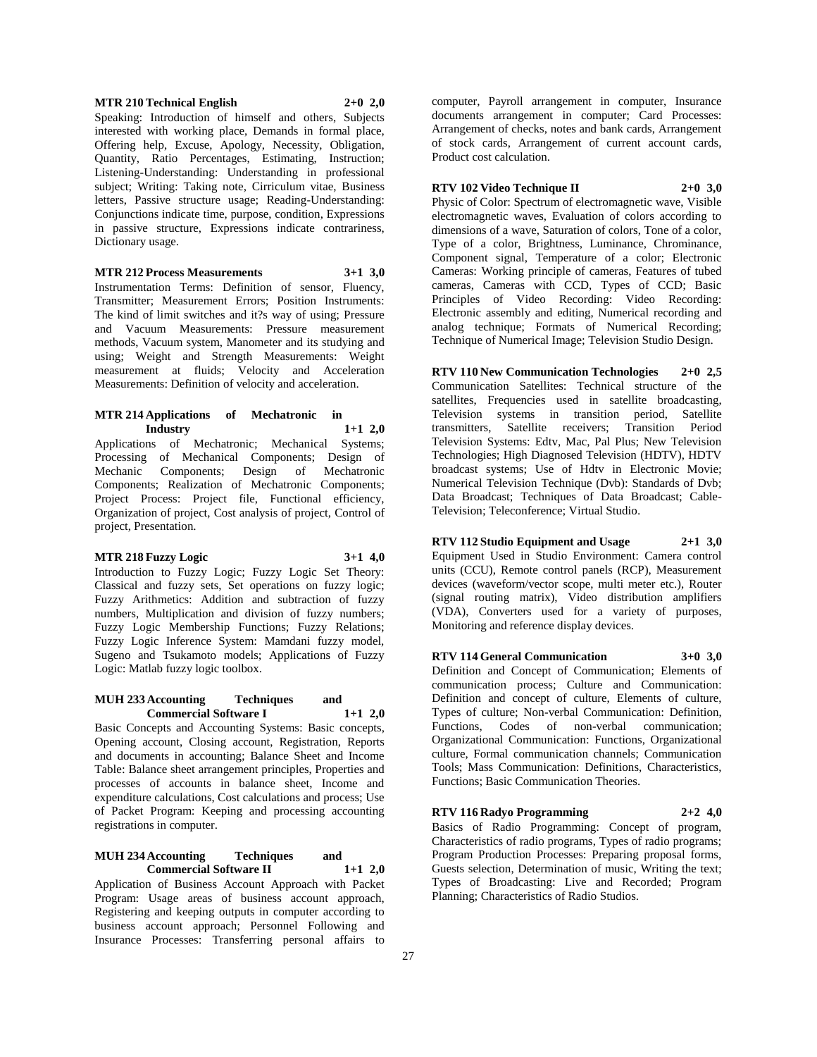#### **MTR 210 Technical English 2+0 2,0**

Speaking: Introduction of himself and others, Subjects interested with working place, Demands in formal place, Offering help, Excuse, Apology, Necessity, Obligation, Quantity, Ratio Percentages, Estimating, Instruction; Listening-Understanding: Understanding in professional subject; Writing: Taking note, Cirriculum vitae, Business letters, Passive structure usage; Reading-Understanding: Conjunctions indicate time, purpose, condition, Expressions in passive structure, Expressions indicate contrariness, Dictionary usage.

**MTR 212 Process Measurements 3+1 3,0**

Instrumentation Terms: Definition of sensor, Fluency, Transmitter; Measurement Errors; Position Instruments: The kind of limit switches and it?s way of using; Pressure and Vacuum Measurements: Pressure measurement methods, Vacuum system, Manometer and its studying and using; Weight and Strength Measurements: Weight measurement at fluids; Velocity and Acceleration Measurements: Definition of velocity and acceleration.

#### **MTR 214 Applications of Mechatronic in Industry 1+1 2,0**

Applications of Mechatronic; Mechanical Systems; Processing of Mechanical Components; Design of Mechanic Components; Design of Mechatronic Components; Realization of Mechatronic Components; Project Process: Project file, Functional efficiency, Organization of project, Cost analysis of project, Control of project, Presentation.

## **MTR 218 Fuzzy Logic 3+1 4,0**

Introduction to Fuzzy Logic; Fuzzy Logic Set Theory: Classical and fuzzy sets, Set operations on fuzzy logic; Fuzzy Arithmetics: Addition and subtraction of fuzzy numbers, Multiplication and division of fuzzy numbers; Fuzzy Logic Membership Functions; Fuzzy Relations; Fuzzy Logic Inference System: Mamdani fuzzy model, Sugeno and Tsukamoto models; Applications of Fuzzy Logic: Matlab fuzzy logic toolbox.

## **MUH 233 Accounting Techniques and Commercial Software I 1+1 2,0**

Basic Concepts and Accounting Systems: Basic concepts, Opening account, Closing account, Registration, Reports and documents in accounting; Balance Sheet and Income Table: Balance sheet arrangement principles, Properties and processes of accounts in balance sheet, Income and expenditure calculations, Cost calculations and process; Use of Packet Program: Keeping and processing accounting registrations in computer.

#### **MUH 234 Accounting Techniques and Commercial Software II 1+1 2,0**

Application of Business Account Approach with Packet Program: Usage areas of business account approach, Registering and keeping outputs in computer according to business account approach; Personnel Following and Insurance Processes: Transferring personal affairs to

computer, Payroll arrangement in computer, Insurance documents arrangement in computer; Card Processes: Arrangement of checks, notes and bank cards, Arrangement of stock cards, Arrangement of current account cards, Product cost calculation.

# **RTV 102 Video Technique II 2+0 3,0**

Physic of Color: Spectrum of electromagnetic wave, Visible electromagnetic waves, Evaluation of colors according to dimensions of a wave, Saturation of colors, Tone of a color, Type of a color, Brightness, Luminance, Chrominance, Component signal, Temperature of a color; Electronic Cameras: Working principle of cameras, Features of tubed cameras, Cameras with CCD, Types of CCD; Basic Principles of Video Recording: Video Recording: Electronic assembly and editing, Numerical recording and analog technique; Formats of Numerical Recording; Technique of Numerical Image; Television Studio Design.

**RTV 110 New Communication Technologies 2+0 2,5** Communication Satellites: Technical structure of the satellites, Frequencies used in satellite broadcasting, Television systems in transition period, Satellite transmitters, Satellite receivers; Transition Period Television Systems: Edtv, Mac, Pal Plus; New Television Technologies; High Diagnosed Television (HDTV), HDTV broadcast systems; Use of Hdtv in Electronic Movie; Numerical Television Technique (Dvb): Standards of Dvb; Data Broadcast; Techniques of Data Broadcast; Cable-Television; Teleconference; Virtual Studio.

**RTV 112 Studio Equipment and Usage 2+1 3,0** Equipment Used in Studio Environment: Camera control units (CCU), Remote control panels (RCP), Measurement devices (waveform/vector scope, multi meter etc.), Router (signal routing matrix), Video distribution amplifiers (VDA), Converters used for a variety of purposes, Monitoring and reference display devices.

**RTV 114 General Communication 3+0 3,0** Definition and Concept of Communication; Elements of communication process; Culture and Communication: Definition and concept of culture, Elements of culture, Types of culture; Non-verbal Communication: Definition, Functions, Codes of non-verbal communication; Organizational Communication: Functions, Organizational culture, Formal communication channels; Communication Tools; Mass Communication: Definitions, Characteristics, Functions; Basic Communication Theories.

**RTV 116 Radyo Programming 2+2 4,0** Basics of Radio Programming: Concept of program, Characteristics of radio programs, Types of radio programs; Program Production Processes: Preparing proposal forms, Guests selection, Determination of music, Writing the text; Types of Broadcasting: Live and Recorded; Program Planning; Characteristics of Radio Studios.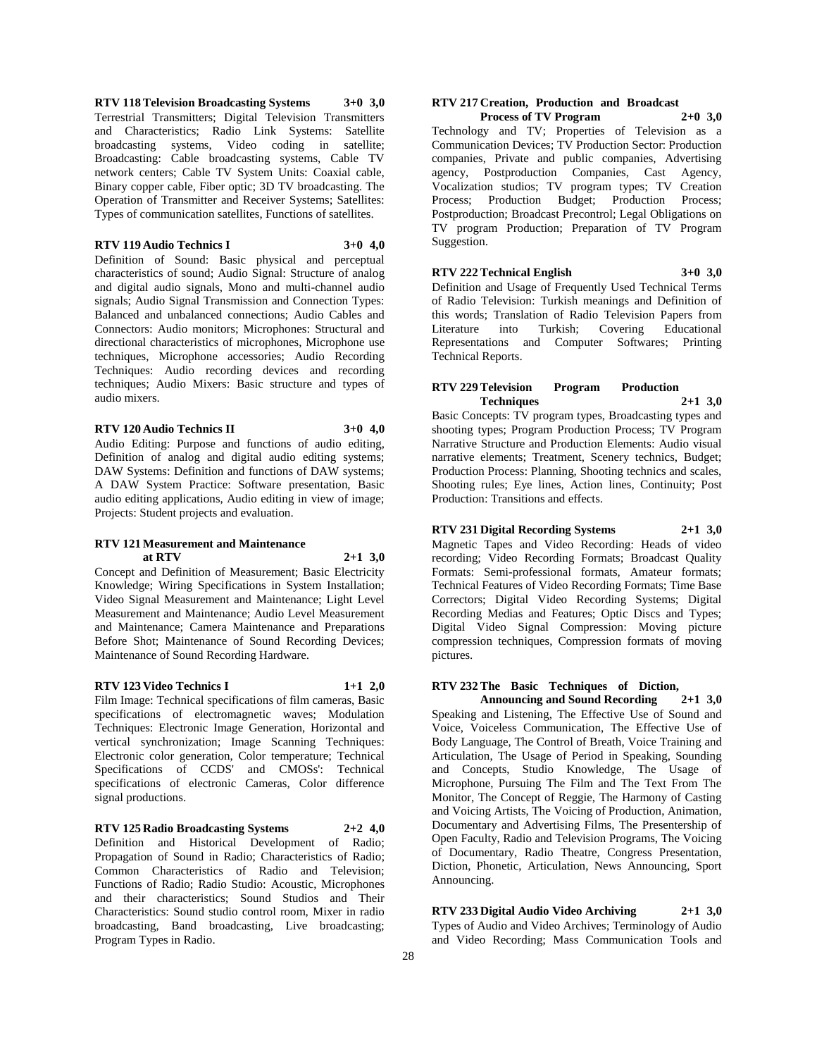**RTV 118 Television Broadcasting Systems 3+0 3,0** Terrestrial Transmitters; Digital Television Transmitters and Characteristics; Radio Link Systems: Satellite broadcasting systems, Video coding in satellite; Broadcasting: Cable broadcasting systems, Cable TV network centers; Cable TV System Units: Coaxial cable, Binary copper cable, Fiber optic; 3D TV broadcasting. The Operation of Transmitter and Receiver Systems; Satellites: Types of communication satellites, Functions of satellites.

## **RTV 119 Audio Technics I 3+0 4,0**

Definition of Sound: Basic physical and perceptual characteristics of sound; Audio Signal: Structure of analog and digital audio signals, Mono and multi-channel audio signals; Audio Signal Transmission and Connection Types: Balanced and unbalanced connections; Audio Cables and Connectors: Audio monitors; Microphones: Structural and directional characteristics of microphones, Microphone use techniques, Microphone accessories; Audio Recording Techniques: Audio recording devices and recording techniques; Audio Mixers: Basic structure and types of audio mixers.

#### **RTV 120 Audio Technics II 3+0 4,0**

Audio Editing: Purpose and functions of audio editing, Definition of analog and digital audio editing systems; DAW Systems: Definition and functions of DAW systems; A DAW System Practice: Software presentation, Basic audio editing applications, Audio editing in view of image; Projects: Student projects and evaluation.

#### **RTV 121 Measurement and Maintenance at RTV 2+1 3,0**

Concept and Definition of Measurement; Basic Electricity Knowledge; Wiring Specifications in System Installation; Video Signal Measurement and Maintenance; Light Level Measurement and Maintenance; Audio Level Measurement and Maintenance; Camera Maintenance and Preparations Before Shot; Maintenance of Sound Recording Devices; Maintenance of Sound Recording Hardware.

#### **RTV 123 Video Technics I 1+1 2,0**

Film Image: Technical specifications of film cameras, Basic specifications of electromagnetic waves; Modulation Techniques: Electronic Image Generation, Horizontal and vertical synchronization; Image Scanning Techniques: Electronic color generation, Color temperature; Technical Specifications of CCDS' and CMOSs': Technical specifications of electronic Cameras, Color difference signal productions.

**RTV 125 Radio Broadcasting Systems 2+2 4,0** Definition and Historical Development of Radio; Propagation of Sound in Radio; Characteristics of Radio; Common Characteristics of Radio and Television; Functions of Radio; Radio Studio: Acoustic, Microphones and their characteristics; Sound Studios and Their Characteristics: Sound studio control room, Mixer in radio broadcasting, Band broadcasting, Live broadcasting; Program Types in Radio.

## **RTV 217 Creation, Production and Broadcast**

**Process of TV Program 2+0 3,0** Technology and TV; Properties of Television as a Communication Devices; TV Production Sector: Production companies, Private and public companies, Advertising agency, Postproduction Companies, Cast Agency, Vocalization studios; TV program types; TV Creation Process; Production Budget; Production Process; Postproduction; Broadcast Precontrol; Legal Obligations on TV program Production; Preparation of TV Program Suggestion.

## **RTV 222 Technical English 3+0 3,0**

Definition and Usage of Frequently Used Technical Terms of Radio Television: Turkish meanings and Definition of this words; Translation of Radio Television Papers from Literature into Turkish; Covering Educational Representations and Computer Softwares; Printing Technical Reports.

## **RTV 229 Television Program Production Techniques 2+1 3,0**

Basic Concepts: TV program types, Broadcasting types and shooting types; Program Production Process; TV Program Narrative Structure and Production Elements: Audio visual narrative elements; Treatment, Scenery technics, Budget; Production Process: Planning, Shooting technics and scales, Shooting rules; Eye lines, Action lines, Continuity; Post Production: Transitions and effects.

## **RTV 231 Digital Recording Systems 2+1 3,0**

Magnetic Tapes and Video Recording: Heads of video recording; Video Recording Formats; Broadcast Quality Formats: Semi-professional formats, Amateur formats; Technical Features of Video Recording Formats; Time Base Correctors; Digital Video Recording Systems; Digital Recording Medias and Features; Optic Discs and Types; Digital Video Signal Compression: Moving picture compression techniques, Compression formats of moving pictures.

## **RTV 232 The Basic Techniques of Diction,**

**Announcing and Sound Recording 2+1 3,0** Speaking and Listening, The Effective Use of Sound and Voice, Voiceless Communication, The Effective Use of Body Language, The Control of Breath, Voice Training and Articulation, The Usage of Period in Speaking, Sounding and Concepts, Studio Knowledge, The Usage of Microphone, Pursuing The Film and The Text From The Monitor, The Concept of Reggie, The Harmony of Casting and Voicing Artists, The Voicing of Production, Animation, Documentary and Advertising Films, The Presentership of Open Faculty, Radio and Television Programs, The Voicing of Documentary, Radio Theatre, Congress Presentation, Diction, Phonetic, Articulation, News Announcing, Sport Announcing.

**RTV 233 Digital Audio Video Archiving 2+1 3,0** Types of Audio and Video Archives; Terminology of Audio and Video Recording; Mass Communication Tools and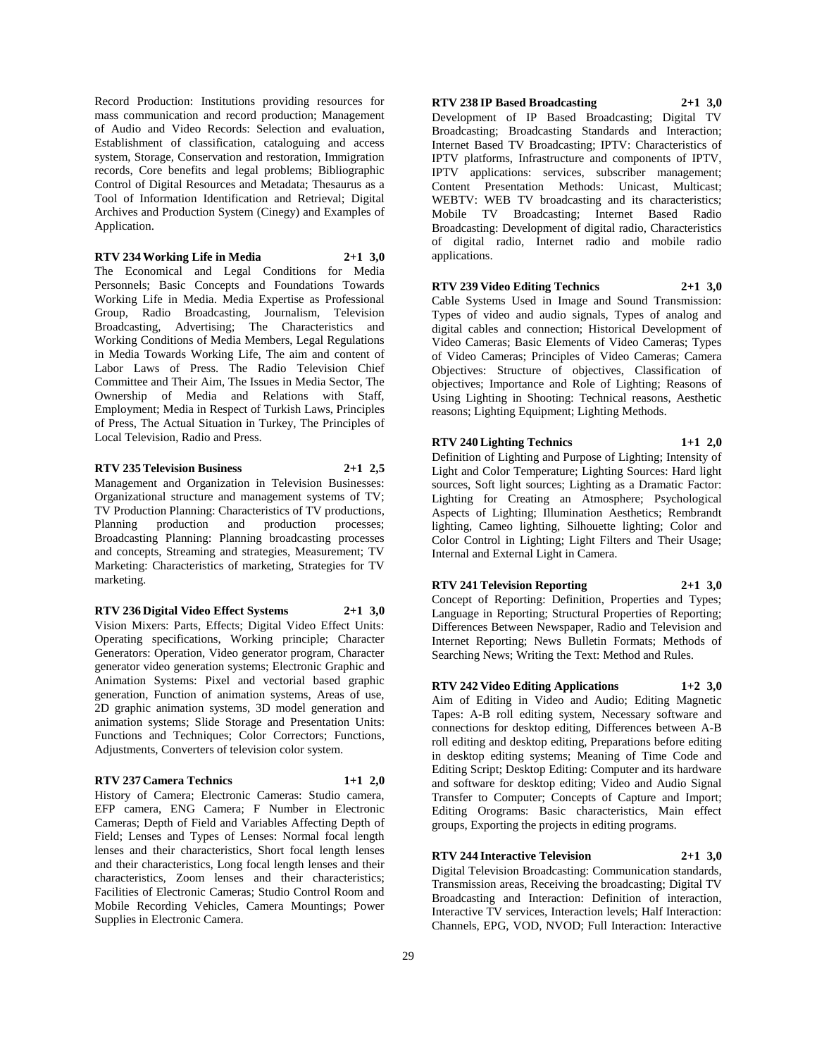Record Production: Institutions providing resources for mass communication and record production; Management of Audio and Video Records: Selection and evaluation, Establishment of classification, cataloguing and access system, Storage, Conservation and restoration, Immigration records, Core benefits and legal problems; Bibliographic Control of Digital Resources and Metadata; Thesaurus as a Tool of Information Identification and Retrieval; Digital Archives and Production System (Cinegy) and Examples of Application.

**RTV 234 Working Life in Media 2+1 3,0**

The Economical and Legal Conditions for Media Personnels; Basic Concepts and Foundations Towards Working Life in Media. Media Expertise as Professional Group, Radio Broadcasting, Journalism, Television Broadcasting, Advertising; The Characteristics and Working Conditions of Media Members, Legal Regulations in Media Towards Working Life, The aim and content of Labor Laws of Press. The Radio Television Chief Committee and Their Aim, The Issues in Media Sector, The Ownership of Media and Relations with Staff, Employment; Media in Respect of Turkish Laws, Principles of Press, The Actual Situation in Turkey, The Principles of Local Television, Radio and Press.

## **RTV 235 Television Business 2+1 2,5**

Management and Organization in Television Businesses: Organizational structure and management systems of TV; TV Production Planning: Characteristics of TV productions, Planning production and production processes; Broadcasting Planning: Planning broadcasting processes and concepts, Streaming and strategies, Measurement; TV Marketing: Characteristics of marketing, Strategies for TV marketing.

#### **RTV 236 Digital Video Effect Systems 2+1 3,0**

Vision Mixers: Parts, Effects; Digital Video Effect Units: Operating specifications, Working principle; Character Generators: Operation, Video generator program, Character generator video generation systems; Electronic Graphic and Animation Systems: Pixel and vectorial based graphic generation, Function of animation systems, Areas of use, 2D graphic animation systems, 3D model generation and animation systems; Slide Storage and Presentation Units: Functions and Techniques; Color Correctors; Functions, Adjustments, Converters of television color system.

## **RTV 237 Camera Technics 1+1 2,0**

History of Camera; Electronic Cameras: Studio camera, EFP camera, ENG Camera; F Number in Electronic Cameras; Depth of Field and Variables Affecting Depth of Field; Lenses and Types of Lenses: Normal focal length lenses and their characteristics, Short focal length lenses and their characteristics, Long focal length lenses and their characteristics, Zoom lenses and their characteristics; Facilities of Electronic Cameras; Studio Control Room and Mobile Recording Vehicles, Camera Mountings; Power Supplies in Electronic Camera.

# **RTV 238 IP Based Broadcasting 2+1 3,0**

Development of IP Based Broadcasting; Digital TV Broadcasting; Broadcasting Standards and Interaction; Internet Based TV Broadcasting; IPTV: Characteristics of IPTV platforms, Infrastructure and components of IPTV, IPTV applications: services, subscriber management; Content Presentation Methods: Unicast, Multicast; WEBTV: WEB TV broadcasting and its characteristics; Mobile TV Broadcasting; Internet Based Radio Broadcasting: Development of digital radio, Characteristics of digital radio, Internet radio and mobile radio applications.

## **RTV 239 Video Editing Technics 2+1 3,0**

Cable Systems Used in Image and Sound Transmission: Types of video and audio signals, Types of analog and digital cables and connection; Historical Development of Video Cameras; Basic Elements of Video Cameras; Types of Video Cameras; Principles of Video Cameras; Camera Objectives: Structure of objectives, Classification of objectives; Importance and Role of Lighting; Reasons of Using Lighting in Shooting: Technical reasons, Aesthetic reasons; Lighting Equipment; Lighting Methods.

## **RTV 240 Lighting Technics 1+1 2,0**

Definition of Lighting and Purpose of Lighting; Intensity of Light and Color Temperature; Lighting Sources: Hard light sources, Soft light sources; Lighting as a Dramatic Factor: Lighting for Creating an Atmosphere; Psychological Aspects of Lighting; Illumination Aesthetics; Rembrandt lighting, Cameo lighting, Silhouette lighting; Color and Color Control in Lighting; Light Filters and Their Usage; Internal and External Light in Camera.

## **RTV 241 Television Reporting 2+1 3,0**

Concept of Reporting: Definition, Properties and Types; Language in Reporting; Structural Properties of Reporting; Differences Between Newspaper, Radio and Television and Internet Reporting; News Bulletin Formats; Methods of Searching News; Writing the Text: Method and Rules.

#### **RTV 242 Video Editing Applications 1+2 3,0**

Aim of Editing in Video and Audio; Editing Magnetic Tapes: A-B roll editing system, Necessary software and connections for desktop editing, Differences between A-B roll editing and desktop editing, Preparations before editing in desktop editing systems; Meaning of Time Code and Editing Script; Desktop Editing: Computer and its hardware and software for desktop editing; Video and Audio Signal Transfer to Computer; Concepts of Capture and Import; Editing Orograms: Basic characteristics, Main effect groups, Exporting the projects in editing programs.

## **RTV 244 Interactive Television 2+1 3,0**

Digital Television Broadcasting: Communication standards, Transmission areas, Receiving the broadcasting; Digital TV Broadcasting and Interaction: Definition of interaction, Interactive TV services, Interaction levels; Half Interaction: Channels, EPG, VOD, NVOD; Full Interaction: Interactive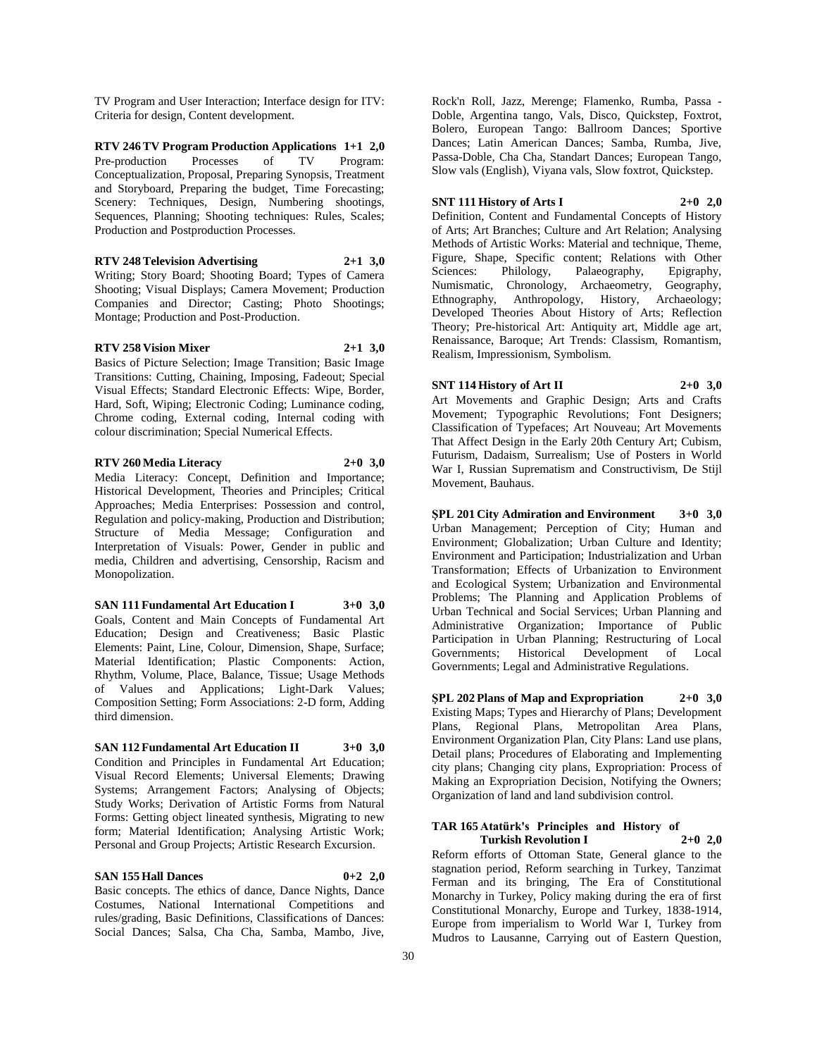TV Program and User Interaction; Interface design for ITV: Criteria for design, Content development.

**RTV 246 TV Program Production Applications 1+1 2,0** Pre-production Processes of TV Program: Conceptualization, Proposal, Preparing Synopsis, Treatment and Storyboard, Preparing the budget, Time Forecasting; Scenery: Techniques, Design, Numbering shootings, Sequences, Planning; Shooting techniques: Rules, Scales; Production and Postproduction Processes.

**RTV 248 Television Advertising 2+1 3,0** Writing; Story Board; Shooting Board; Types of Camera Shooting; Visual Displays; Camera Movement; Production Companies and Director; Casting; Photo Shootings; Montage; Production and Post-Production.

#### **RTV 258 Vision Mixer 2+1 3,0**

Monopolization.

Basics of Picture Selection; Image Transition; Basic Image Transitions: Cutting, Chaining, Imposing, Fadeout; Special Visual Effects; Standard Electronic Effects: Wipe, Border, Hard, Soft, Wiping; Electronic Coding; Luminance coding, Chrome coding, External coding, Internal coding with colour discrimination; Special Numerical Effects.

**RTV 260 Media Literacy 2+0 3,0** Media Literacy: Concept, Definition and Importance; Historical Development, Theories and Principles; Critical Approaches; Media Enterprises: Possession and control, Regulation and policy-making, Production and Distribution; Structure of Media Message; Configuration and Interpretation of Visuals: Power, Gender in public and

media, Children and advertising, Censorship, Racism and

**SAN 111 Fundamental Art Education I 3+0 3,0** Goals, Content and Main Concepts of Fundamental Art Education; Design and Creativeness; Basic Plastic Elements: Paint, Line, Colour, Dimension, Shape, Surface; Material Identification; Plastic Components: Action, Rhythm, Volume, Place, Balance, Tissue; Usage Methods of Values and Applications; Light-Dark Values; Composition Setting; Form Associations: 2-D form, Adding third dimension.

#### **SAN 112 Fundamental Art Education II 3+0 3,0**

Condition and Principles in Fundamental Art Education; Visual Record Elements; Universal Elements; Drawing Systems; Arrangement Factors; Analysing of Objects; Study Works; Derivation of Artistic Forms from Natural Forms: Getting object lineated synthesis, Migrating to new form; Material Identification; Analysing Artistic Work; Personal and Group Projects; Artistic Research Excursion.

#### **SAN 155 Hall Dances 0+2 2,0**

Basic concepts. The ethics of dance, Dance Nights, Dance Costumes, National International Competitions and rules/grading, Basic Definitions, Classifications of Dances: Social Dances; Salsa, Cha Cha, Samba, Mambo, Jive,

Rock'n Roll, Jazz, Merenge; Flamenko, Rumba, Passa - Doble, Argentina tango, Vals, Disco, Quickstep, Foxtrot, Bolero, European Tango: Ballroom Dances; Sportive Dances; Latin American Dances; Samba, Rumba, Jive, Passa-Doble, Cha Cha, Standart Dances; European Tango, Slow vals (English), Viyana vals, Slow foxtrot, Quickstep.

## **SNT 111 History of Arts I 2+0 2,0**

Definition, Content and Fundamental Concepts of History of Arts; Art Branches; Culture and Art Relation; Analysing Methods of Artistic Works: Material and technique, Theme, Figure, Shape, Specific content; Relations with Other Sciences: Philology, Palaeography, Epigraphy, Numismatic, Chronology, Archaeometry, Geography, Ethnography, Anthropology, History, Archaeology; Developed Theories About History of Arts; Reflection Theory; Pre-historical Art: Antiquity art, Middle age art, Renaissance, Baroque; Art Trends: Classism, Romantism, Realism, Impressionism, Symbolism.

## **SNT 114 History of Art II 2+0 3,0**

Art Movements and Graphic Design; Arts and Crafts Movement; Typographic Revolutions; Font Designers; Classification of Typefaces; Art Nouveau; Art Movements That Affect Design in the Early 20th Century Art; Cubism, Futurism, Dadaism, Surrealism; Use of Posters in World War I, Russian Suprematism and Constructivism, De Stijl Movement, Bauhaus.

**ŞPL 201 City Admiration and Environment 3+0 3,0** Urban Management; Perception of City; Human and Environment; Globalization; Urban Culture and Identity; Environment and Participation; Industrialization and Urban Transformation; Effects of Urbanization to Environment and Ecological System; Urbanization and Environmental Problems; The Planning and Application Problems of Urban Technical and Social Services; Urban Planning and Administrative Organization; Importance of Public Participation in Urban Planning; Restructuring of Local Governments; Historical Development of Local Governments; Legal and Administrative Regulations.

**ŞPL 202 Plans of Map and Expropriation 2+0 3,0** Existing Maps; Types and Hierarchy of Plans; Development Plans, Regional Plans, Metropolitan Area Plans, Environment Organization Plan, City Plans: Land use plans, Detail plans; Procedures of Elaborating and Implementing city plans; Changing city plans, Expropriation: Process of Making an Expropriation Decision, Notifying the Owners; Organization of land and land subdivision control.

#### **TAR 165 Atatürk's Principles and History of Turkish Revolution I 2+0 2,0**

Reform efforts of Ottoman State, General glance to the stagnation period, Reform searching in Turkey, Tanzimat Ferman and its bringing, The Era of Constitutional Monarchy in Turkey, Policy making during the era of first Constitutional Monarchy, Europe and Turkey, 1838-1914, Europe from imperialism to World War I, Turkey from Mudros to Lausanne, Carrying out of Eastern Question,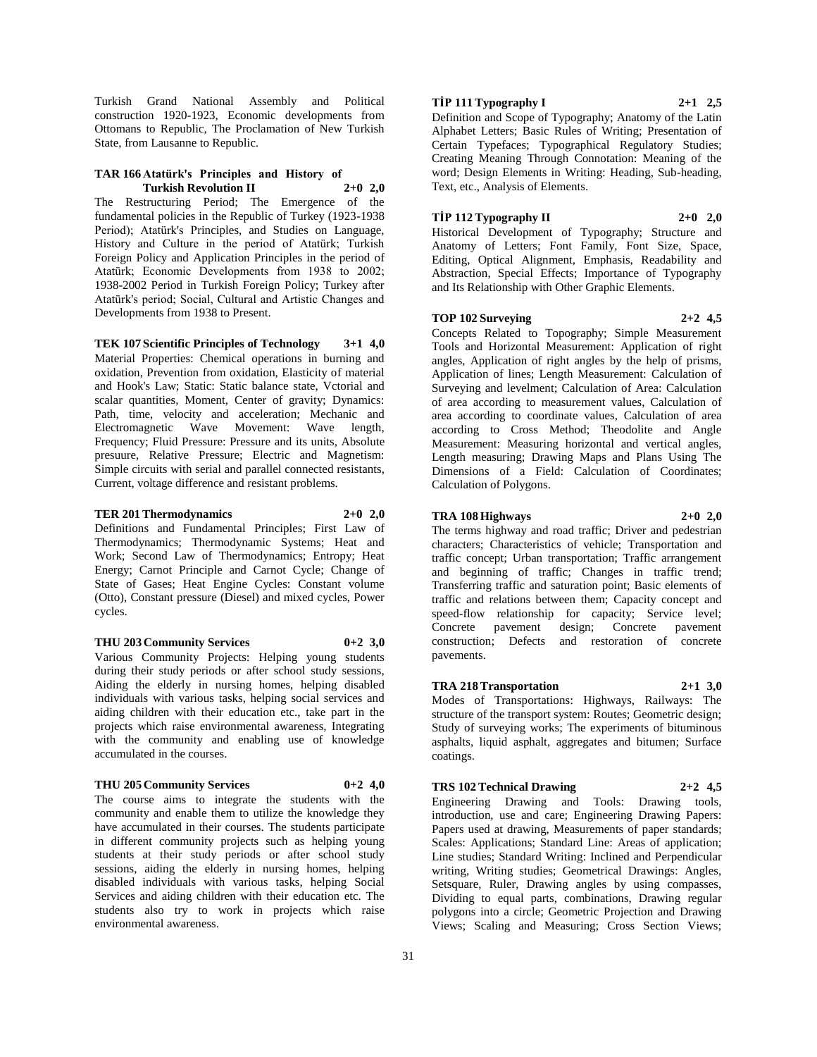Turkish Grand National Assembly and Political construction 1920-1923, Economic developments from Ottomans to Republic, The Proclamation of New Turkish State, from Lausanne to Republic.

#### **TAR 166 Atatürk's Principles and History of Turkish Revolution II 2+0 2,0**

The Restructuring Period; The Emergence of the fundamental policies in the Republic of Turkey (1923-1938 Period); Atatürk's Principles, and Studies on Language, History and Culture in the period of Atatürk; Turkish Foreign Policy and Application Principles in the period of Atatürk; Economic Developments from 1938 to 2002; 1938-2002 Period in Turkish Foreign Policy; Turkey after Atatürk's period; Social, Cultural and Artistic Changes and Developments from 1938 to Present.

**TEK 107 Scientific Principles of Technology 3+1 4,0** Material Properties: Chemical operations in burning and oxidation, Prevention from oxidation, Elasticity of material and Hook's Law; Static: Static balance state, Vctorial and scalar quantities, Moment, Center of gravity; Dynamics: Path, time, velocity and acceleration; Mechanic and Electromagnetic Wave Movement: Wave length, Frequency; Fluid Pressure: Pressure and its units, Absolute presuure, Relative Pressure; Electric and Magnetism: Simple circuits with serial and parallel connected resistants, Current, voltage difference and resistant problems.

## **TER 201 Thermodynamics 2+0 2,0**

Definitions and Fundamental Principles; First Law of Thermodynamics; Thermodynamic Systems; Heat and Work; Second Law of Thermodynamics; Entropy; Heat Energy; Carnot Principle and Carnot Cycle; Change of State of Gases; Heat Engine Cycles: Constant volume (Otto), Constant pressure (Diesel) and mixed cycles, Power cycles.

## **THU 203 Community Services 0+2 3,0**

Various Community Projects: Helping young students during their study periods or after school study sessions, Aiding the elderly in nursing homes, helping disabled individuals with various tasks, helping social services and aiding children with their education etc., take part in the projects which raise environmental awareness, Integrating with the community and enabling use of knowledge accumulated in the courses.

#### **THU 205 Community Services 0+2 4,0**

The course aims to integrate the students with the community and enable them to utilize the knowledge they have accumulated in their courses. The students participate in different community projects such as helping young students at their study periods or after school study sessions, aiding the elderly in nursing homes, helping disabled individuals with various tasks, helping Social Services and aiding children with their education etc. The students also try to work in projects which raise environmental awareness.

## **TİP 111 Typography I 2+1 2,5**

Definition and Scope of Typography; Anatomy of the Latin Alphabet Letters; Basic Rules of Writing; Presentation of Certain Typefaces; Typographical Regulatory Studies; Creating Meaning Through Connotation: Meaning of the word; Design Elements in Writing: Heading, Sub-heading, Text, etc., Analysis of Elements.

## **TİP 112 Typography II 2+0 2,0**

Historical Development of Typography; Structure and Anatomy of Letters; Font Family, Font Size, Space, Editing, Optical Alignment, Emphasis, Readability and Abstraction, Special Effects; Importance of Typography and Its Relationship with Other Graphic Elements.

#### **TOP 102 Surveying 2+2 4,5**

Concepts Related to Topography; Simple Measurement Tools and Horizontal Measurement: Application of right angles, Application of right angles by the help of prisms, Application of lines; Length Measurement: Calculation of Surveying and levelment; Calculation of Area: Calculation of area according to measurement values, Calculation of area according to coordinate values, Calculation of area according to Cross Method; Theodolite and Angle Measurement: Measuring horizontal and vertical angles, Length measuring; Drawing Maps and Plans Using The Dimensions of a Field: Calculation of Coordinates; Calculation of Polygons.

## **TRA 108 Highways 2+0 2,0**

The terms highway and road traffic; Driver and pedestrian characters; Characteristics of vehicle; Transportation and traffic concept; Urban transportation; Traffic arrangement and beginning of traffic; Changes in traffic trend; Transferring traffic and saturation point; Basic elements of traffic and relations between them; Capacity concept and speed-flow relationship for capacity; Service level; Concrete pavement design; Concrete pavement construction; Defects and restoration of concrete pavements.

## **TRA 218 Transportation 2+1 3,0**

Modes of Transportations: Highways, Railways: The structure of the transport system: Routes; Geometric design; Study of surveying works; The experiments of bituminous asphalts, liquid asphalt, aggregates and bitumen; Surface coatings.

## **TRS 102 Technical Drawing 2+2 4,5**

Engineering Drawing and Tools: Drawing tools, introduction, use and care; Engineering Drawing Papers: Papers used at drawing, Measurements of paper standards; Scales: Applications; Standard Line: Areas of application; Line studies; Standard Writing: Inclined and Perpendicular writing, Writing studies; Geometrical Drawings: Angles, Setsquare, Ruler, Drawing angles by using compasses, Dividing to equal parts, combinations, Drawing regular polygons into a circle; Geometric Projection and Drawing Views; Scaling and Measuring; Cross Section Views;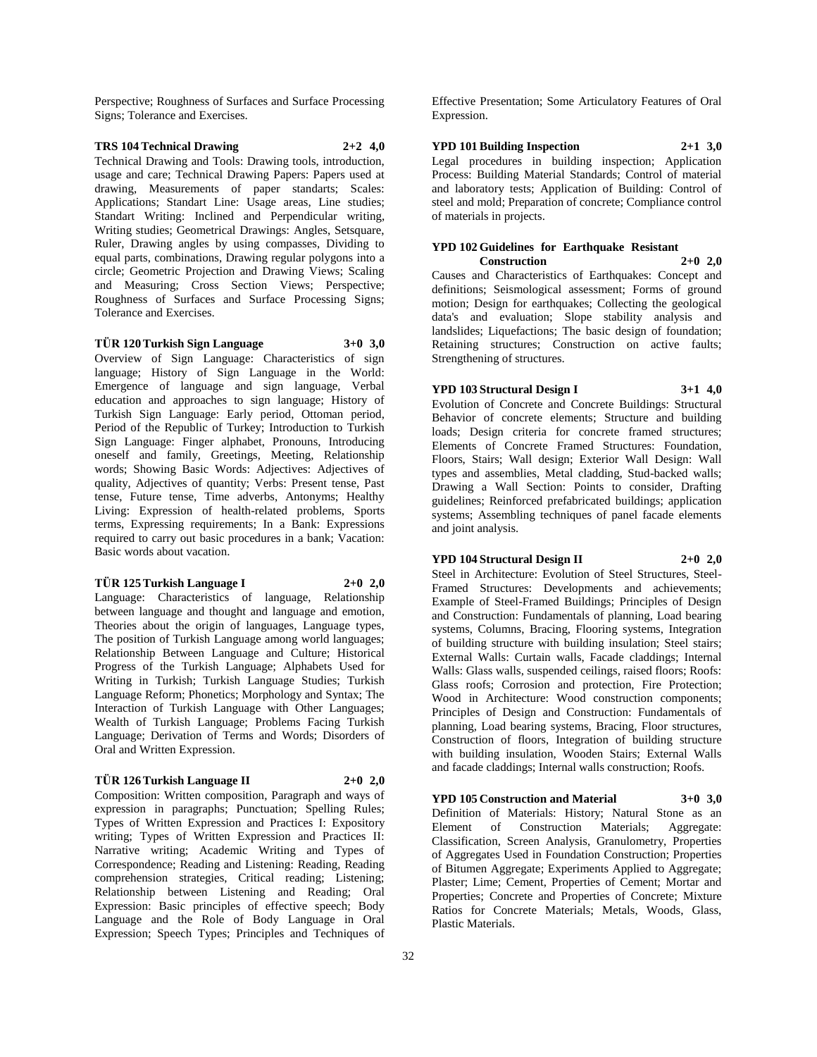Perspective; Roughness of Surfaces and Surface Processing Signs; Tolerance and Exercises.

## **TRS 104 Technical Drawing 2+2 4,0**

Technical Drawing and Tools: Drawing tools, introduction, usage and care; Technical Drawing Papers: Papers used at drawing, Measurements of paper standarts; Scales: Applications; Standart Line: Usage areas, Line studies; Standart Writing: Inclined and Perpendicular writing, Writing studies; Geometrical Drawings: Angles, Setsquare, Ruler, Drawing angles by using compasses, Dividing to equal parts, combinations, Drawing regular polygons into a circle; Geometric Projection and Drawing Views; Scaling and Measuring; Cross Section Views; Perspective; Roughness of Surfaces and Surface Processing Signs; Tolerance and Exercises.

## **TÜR 120 Turkish Sign Language 3+0 3,0**

Overview of Sign Language: Characteristics of sign

language; History of Sign Language in the World: Emergence of language and sign language, Verbal education and approaches to sign language; History of Turkish Sign Language: Early period, Ottoman period, Period of the Republic of Turkey; Introduction to Turkish Sign Language: Finger alphabet, Pronouns, Introducing oneself and family, Greetings, Meeting, Relationship words; Showing Basic Words: Adjectives: Adjectives of quality, Adjectives of quantity; Verbs: Present tense, Past tense, Future tense, Time adverbs, Antonyms; Healthy Living: Expression of health-related problems, Sports terms, Expressing requirements; In a Bank: Expressions required to carry out basic procedures in a bank; Vacation: Basic words about vacation.

#### **TÜR 125 Turkish Language I 2+0 2,0**

Language: Characteristics of language, Relationship between language and thought and language and emotion, Theories about the origin of languages, Language types, The position of Turkish Language among world languages; Relationship Between Language and Culture; Historical Progress of the Turkish Language; Alphabets Used for Writing in Turkish; Turkish Language Studies; Turkish Language Reform; Phonetics; Morphology and Syntax; The Interaction of Turkish Language with Other Languages; Wealth of Turkish Language; Problems Facing Turkish Language; Derivation of Terms and Words; Disorders of Oral and Written Expression.

## **TÜR 126 Turkish Language II 2+0 2,0**

Composition: Written composition, Paragraph and ways of expression in paragraphs; Punctuation; Spelling Rules; Types of Written Expression and Practices I: Expository writing; Types of Written Expression and Practices II: Narrative writing; Academic Writing and Types of Correspondence; Reading and Listening: Reading, Reading comprehension strategies, Critical reading; Listening; Relationship between Listening and Reading; Oral Expression: Basic principles of effective speech; Body Language and the Role of Body Language in Oral Expression; Speech Types; Principles and Techniques of

Effective Presentation; Some Articulatory Features of Oral Expression.

## **YPD 101 Building Inspection 2+1 3,0**

Legal procedures in building inspection; Application Process: Building Material Standards; Control of material and laboratory tests; Application of Building: Control of steel and mold; Preparation of concrete; Compliance control of materials in projects.

## **YPD 102 Guidelines for Earthquake Resistant**

**Construction 2+0 2,0** Causes and Characteristics of Earthquakes: Concept and definitions; Seismological assessment; Forms of ground motion; Design for earthquakes; Collecting the geological data's and evaluation; Slope stability analysis and landslides; Liquefactions; The basic design of foundation; Retaining structures; Construction on active faults; Strengthening of structures.

#### **YPD 103 Structural Design I 3+1 4,0**

Evolution of Concrete and Concrete Buildings: Structural Behavior of concrete elements; Structure and building loads; Design criteria for concrete framed structures; Elements of Concrete Framed Structures: Foundation, Floors, Stairs; Wall design; Exterior Wall Design: Wall types and assemblies, Metal cladding, Stud-backed walls; Drawing a Wall Section: Points to consider, Drafting guidelines; Reinforced prefabricated buildings; application systems; Assembling techniques of panel facade elements and joint analysis.

## **YPD 104 Structural Design II 2+0 2,0**

Steel in Architecture: Evolution of Steel Structures, Steel-Framed Structures: Developments and achievements; Example of Steel-Framed Buildings; Principles of Design and Construction: Fundamentals of planning, Load bearing systems, Columns, Bracing, Flooring systems, Integration of building structure with building insulation; Steel stairs; External Walls: Curtain walls, Facade claddings; Internal Walls: Glass walls, suspended ceilings, raised floors; Roofs: Glass roofs; Corrosion and protection, Fire Protection; Wood in Architecture: Wood construction components; Principles of Design and Construction: Fundamentals of planning, Load bearing systems, Bracing, Floor structures, Construction of floors, Integration of building structure with building insulation, Wooden Stairs; External Walls and facade claddings; Internal walls construction; Roofs.

**YPD 105 Construction and Material 3+0 3,0** Definition of Materials: History; Natural Stone as an Element of Construction Materials; Aggregate: Classification, Screen Analysis, Granulometry, Properties of Aggregates Used in Foundation Construction; Properties of Bitumen Aggregate; Experiments Applied to Aggregate; Plaster; Lime; Cement, Properties of Cement; Mortar and Properties; Concrete and Properties of Concrete; Mixture Ratios for Concrete Materials; Metals, Woods, Glass, Plastic Materials.